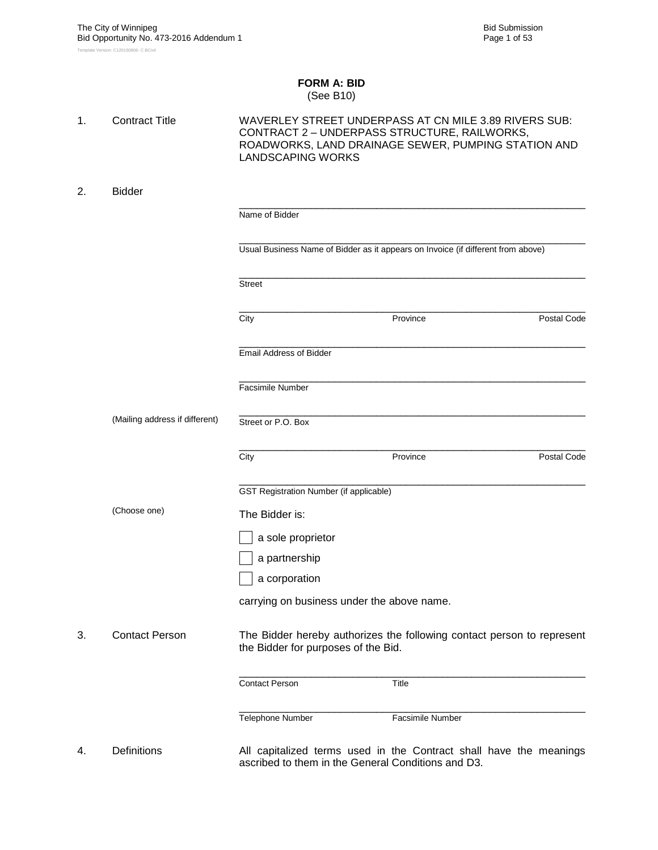#### **FORM A: BID** (See B10)

| 1. | <b>Contract Title</b>          | <b>LANDSCAPING WORKS</b>                       | WAVERLEY STREET UNDERPASS AT CN MILE 3.89 RIVERS SUB:<br>CONTRACT 2 - UNDERPASS STRUCTURE, RAILWORKS,<br>ROADWORKS, LAND DRAINAGE SEWER, PUMPING STATION AND |             |
|----|--------------------------------|------------------------------------------------|--------------------------------------------------------------------------------------------------------------------------------------------------------------|-------------|
| 2. | <b>Bidder</b>                  |                                                |                                                                                                                                                              |             |
|    |                                | Name of Bidder                                 |                                                                                                                                                              |             |
|    |                                |                                                | Usual Business Name of Bidder as it appears on Invoice (if different from above)                                                                             |             |
|    |                                | <b>Street</b>                                  |                                                                                                                                                              |             |
|    |                                | City                                           | Province                                                                                                                                                     | Postal Code |
|    |                                | <b>Email Address of Bidder</b>                 |                                                                                                                                                              |             |
|    |                                | <b>Facsimile Number</b>                        |                                                                                                                                                              |             |
|    | (Mailing address if different) | Street or P.O. Box                             |                                                                                                                                                              |             |
|    |                                | City                                           | Province                                                                                                                                                     | Postal Code |
|    |                                | <b>GST Registration Number (if applicable)</b> |                                                                                                                                                              |             |
|    | (Choose one)                   | The Bidder is:                                 |                                                                                                                                                              |             |
|    |                                | a sole proprietor                              |                                                                                                                                                              |             |
|    |                                | a partnership                                  |                                                                                                                                                              |             |
|    |                                | a corporation                                  |                                                                                                                                                              |             |
|    |                                | carrying on business under the above name.     |                                                                                                                                                              |             |
| 3. | <b>Contact Person</b>          | the Bidder for purposes of the Bid.            | The Bidder hereby authorizes the following contact person to represent                                                                                       |             |
|    |                                | <b>Contact Person</b>                          | Title                                                                                                                                                        |             |
|    |                                | Telephone Number                               | Facsimile Number                                                                                                                                             |             |
| 4. | <b>Definitions</b>             |                                                | All capitalized terms used in the Contract shall have the meanings<br>ascribed to them in the General Conditions and D3.                                     |             |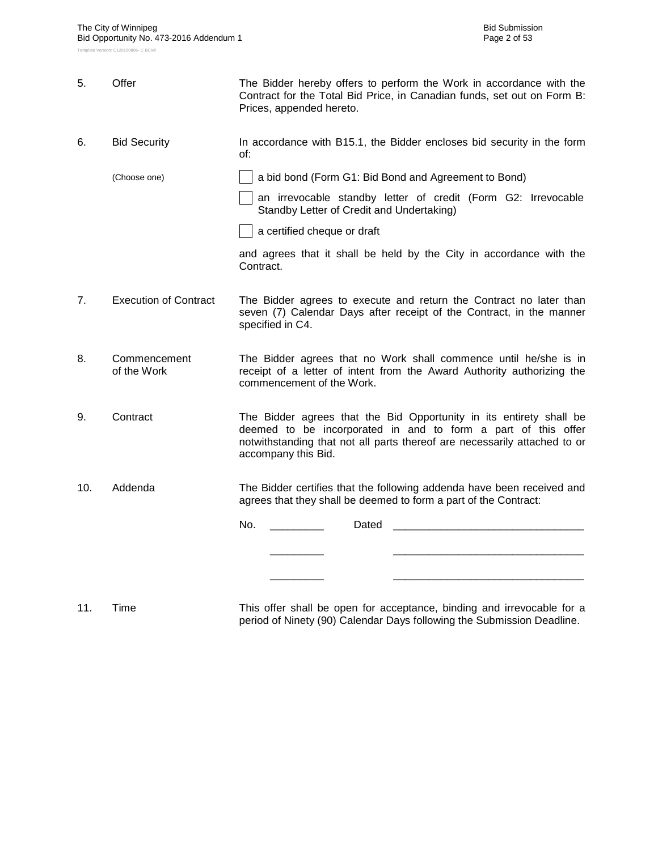| 5.  | Offer                        | The Bidder hereby offers to perform the Work in accordance with the<br>Contract for the Total Bid Price, in Canadian funds, set out on Form B:<br>Prices, appended hereto.                                                               |  |  |  |  |  |  |  |
|-----|------------------------------|------------------------------------------------------------------------------------------------------------------------------------------------------------------------------------------------------------------------------------------|--|--|--|--|--|--|--|
| 6.  | <b>Bid Security</b>          | In accordance with B15.1, the Bidder encloses bid security in the form<br>of:                                                                                                                                                            |  |  |  |  |  |  |  |
|     | (Choose one)                 | a bid bond (Form G1: Bid Bond and Agreement to Bond)                                                                                                                                                                                     |  |  |  |  |  |  |  |
|     |                              | an irrevocable standby letter of credit (Form G2: Irrevocable<br>Standby Letter of Credit and Undertaking)                                                                                                                               |  |  |  |  |  |  |  |
|     |                              | a certified cheque or draft                                                                                                                                                                                                              |  |  |  |  |  |  |  |
|     |                              | and agrees that it shall be held by the City in accordance with the<br>Contract.                                                                                                                                                         |  |  |  |  |  |  |  |
| 7.  | <b>Execution of Contract</b> | The Bidder agrees to execute and return the Contract no later than<br>seven (7) Calendar Days after receipt of the Contract, in the manner<br>specified in C4.                                                                           |  |  |  |  |  |  |  |
| 8.  | Commencement<br>of the Work  | The Bidder agrees that no Work shall commence until he/she is in<br>receipt of a letter of intent from the Award Authority authorizing the<br>commencement of the Work.                                                                  |  |  |  |  |  |  |  |
| 9.  | Contract                     | The Bidder agrees that the Bid Opportunity in its entirety shall be<br>deemed to be incorporated in and to form a part of this offer<br>notwithstanding that not all parts thereof are necessarily attached to or<br>accompany this Bid. |  |  |  |  |  |  |  |
| 10. | Addenda                      | The Bidder certifies that the following addenda have been received and<br>agrees that they shall be deemed to form a part of the Contract:                                                                                               |  |  |  |  |  |  |  |
|     |                              | No.<br>Dated                                                                                                                                                                                                                             |  |  |  |  |  |  |  |
|     |                              |                                                                                                                                                                                                                                          |  |  |  |  |  |  |  |
|     |                              |                                                                                                                                                                                                                                          |  |  |  |  |  |  |  |
|     |                              |                                                                                                                                                                                                                                          |  |  |  |  |  |  |  |
|     |                              |                                                                                                                                                                                                                                          |  |  |  |  |  |  |  |

11. Time This offer shall be open for acceptance, binding and irrevocable for a period of Ninety (90) Calendar Days following the Submission Deadline.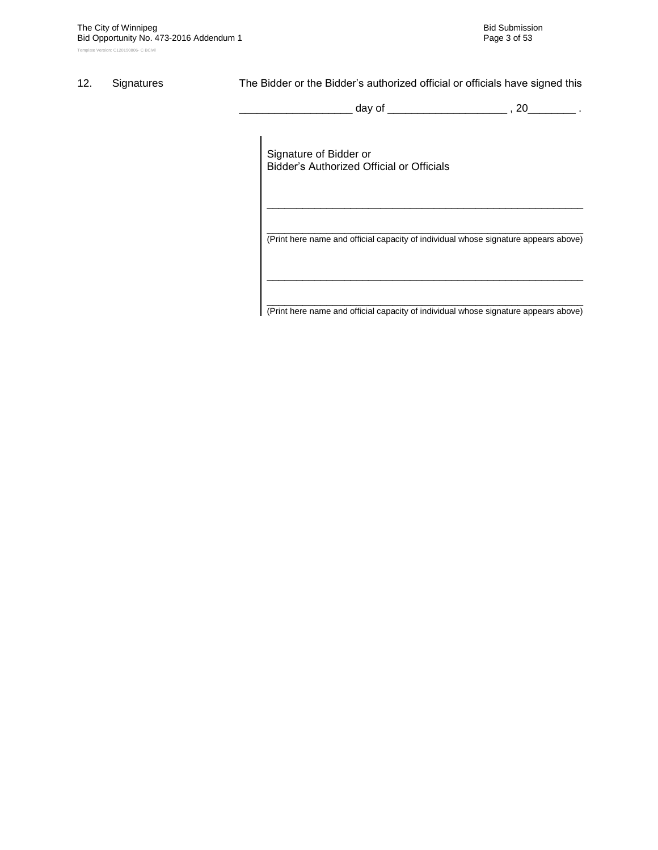#### 12. Signatures The Bidder or the Bidder's authorized official or officials have signed this

\_ day of \_\_\_\_\_\_\_\_\_\_\_\_\_\_\_\_\_\_\_\_\_\_\_ , 20\_\_\_\_\_\_\_\_ .

Signature of Bidder or Bidder"s Authorized Official or Officials

\_\_\_\_\_\_\_\_\_\_\_\_\_\_\_\_\_\_\_\_\_\_\_\_\_\_\_\_\_\_\_\_\_\_\_\_\_\_\_\_\_\_\_\_\_\_\_\_\_\_\_\_\_ (Print here name and official capacity of individual whose signature appears above)

\_\_\_\_\_\_\_\_\_\_\_\_\_\_\_\_\_\_\_\_\_\_\_\_\_\_\_\_\_\_\_\_\_\_\_\_\_\_\_\_\_\_\_\_\_\_\_\_\_\_\_\_\_

\_\_\_\_\_\_\_\_\_\_\_\_\_\_\_\_\_\_\_\_\_\_\_\_\_\_\_\_\_\_\_\_\_\_\_\_\_\_\_\_\_\_\_\_\_\_\_\_\_\_\_\_\_ (Print here name and official capacity of individual whose signature appears above)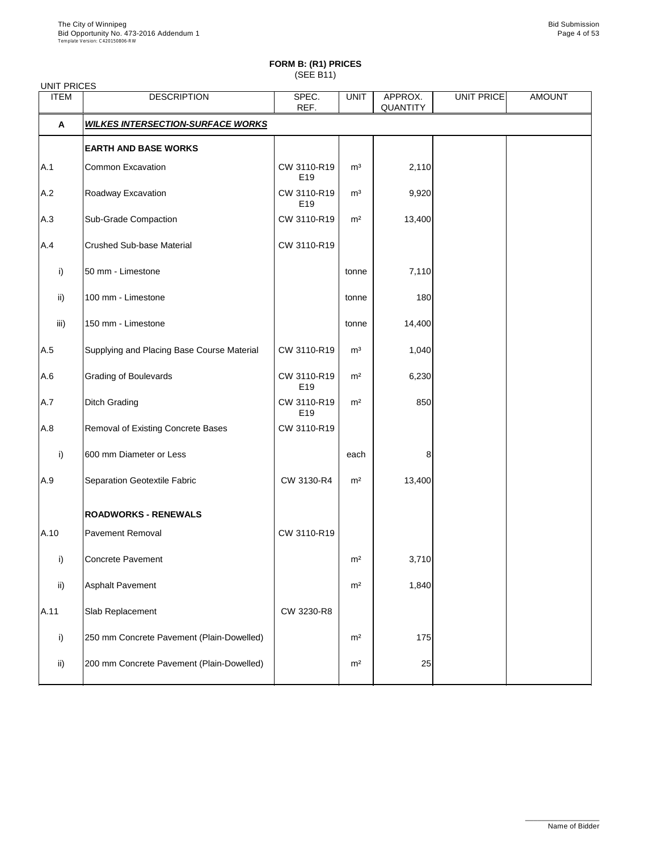| <b>UNIT PRICES</b> |                                            |                    |                |                            |            |               |
|--------------------|--------------------------------------------|--------------------|----------------|----------------------------|------------|---------------|
| <b>ITEM</b>        | <b>DESCRIPTION</b>                         | SPEC.<br>REF.      | <b>UNIT</b>    | APPROX.<br><b>QUANTITY</b> | UNIT PRICE | <b>AMOUNT</b> |
| A                  | <b>WILKES INTERSECTION-SURFACE WORKS</b>   |                    |                |                            |            |               |
|                    | <b>EARTH AND BASE WORKS</b>                |                    |                |                            |            |               |
| A.1                | <b>Common Excavation</b>                   | CW 3110-R19<br>E19 | m <sup>3</sup> | 2,110                      |            |               |
| A.2                | Roadway Excavation                         | CW 3110-R19<br>E19 | m <sup>3</sup> | 9,920                      |            |               |
| A.3                | <b>Sub-Grade Compaction</b>                | CW 3110-R19        | m <sup>2</sup> | 13,400                     |            |               |
| A.4                | <b>Crushed Sub-base Material</b>           | CW 3110-R19        |                |                            |            |               |
| i)                 | 50 mm - Limestone                          |                    | tonne          | 7,110                      |            |               |
| $\mathsf{ii}$      | 100 mm - Limestone                         |                    | tonne          | 180                        |            |               |
| iii)               | 150 mm - Limestone                         |                    | tonne          | 14,400                     |            |               |
| A.5                | Supplying and Placing Base Course Material | CW 3110-R19        | m <sup>3</sup> | 1,040                      |            |               |
| A.6                | <b>Grading of Boulevards</b>               | CW 3110-R19<br>E19 | m <sup>2</sup> | 6,230                      |            |               |
| A.7                | <b>Ditch Grading</b>                       | CW 3110-R19<br>E19 | m <sup>2</sup> | 850                        |            |               |
| A.8                | Removal of Existing Concrete Bases         | CW 3110-R19        |                |                            |            |               |
| i)                 | 600 mm Diameter or Less                    |                    | each           | 8                          |            |               |
| A.9                | Separation Geotextile Fabric               | CW 3130-R4         | m <sup>2</sup> | 13,400                     |            |               |
|                    | <b>ROADWORKS - RENEWALS</b>                |                    |                |                            |            |               |
| A.10               | <b>Pavement Removal</b>                    | CW 3110-R19        |                |                            |            |               |
| i)                 | <b>Concrete Pavement</b>                   |                    | m <sup>2</sup> | 3,710                      |            |               |
| $\mathsf{ii}$      | <b>Asphalt Pavement</b>                    |                    | m <sup>2</sup> | 1,840                      |            |               |
| A.11               | Slab Replacement                           | CW 3230-R8         |                |                            |            |               |
| i)                 | 250 mm Concrete Pavement (Plain-Dowelled)  |                    | m <sup>2</sup> | 175                        |            |               |
|                    |                                            |                    |                |                            |            |               |

| -::\ | 200 mm Concrete Pavement (Plain-Dowelled) | m <sup>2</sup> |  |  |
|------|-------------------------------------------|----------------|--|--|
|      |                                           |                |  |  |

\_\_\_\_\_\_\_\_\_\_\_\_\_\_\_\_\_\_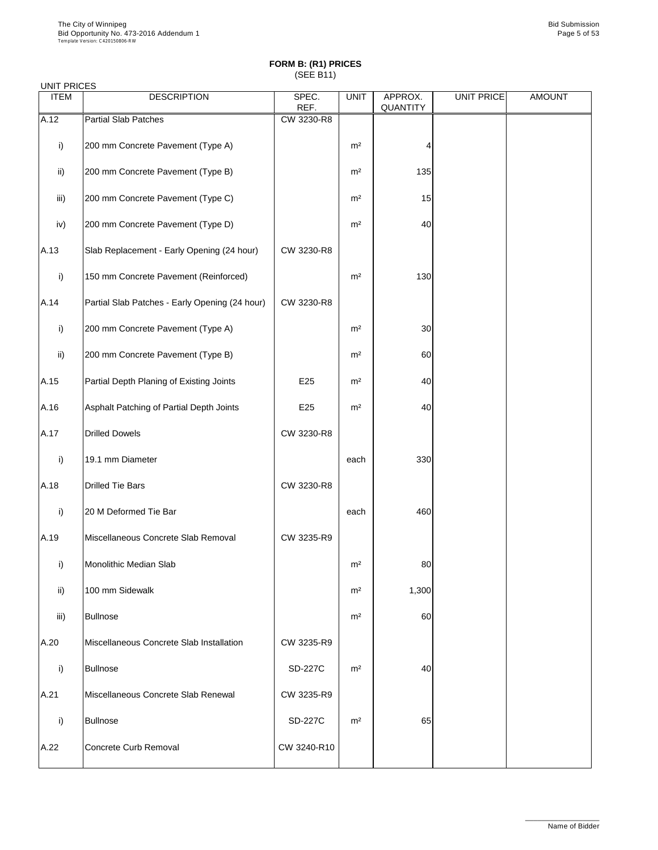## UNIT PRICES

| <b>ITEM</b>     | <b>DESCRIPTION</b>                             | SPEC.      | <b>UNIT</b>    | APPROX.         | UNIT PRICE | <b>AMOUNT</b> |
|-----------------|------------------------------------------------|------------|----------------|-----------------|------------|---------------|
|                 |                                                | REF.       |                | <b>QUANTITY</b> |            |               |
| A.12            | <b>Partial Slab Patches</b>                    | CW 3230-R8 |                |                 |            |               |
| i)              | 200 mm Concrete Pavement (Type A)              |            | m <sup>2</sup> | 4               |            |               |
| $\mathsf{ii}$   | 200 mm Concrete Pavement (Type B)              |            | m <sup>2</sup> | 135             |            |               |
| iii)            | 200 mm Concrete Pavement (Type C)              |            | m <sup>2</sup> | 15              |            |               |
| iv)             | 200 mm Concrete Pavement (Type D)              |            | m <sup>2</sup> | 40              |            |               |
| A.13            | Slab Replacement - Early Opening (24 hour)     | CW 3230-R8 |                |                 |            |               |
| i)              | 150 mm Concrete Pavement (Reinforced)          |            | m <sup>2</sup> | 130             |            |               |
| A.14            | Partial Slab Patches - Early Opening (24 hour) | CW 3230-R8 |                |                 |            |               |
| i)              | 200 mm Concrete Pavement (Type A)              |            | m <sup>2</sup> | 30              |            |               |
| $\mathsf{ii}$ ) | 200 mm Concrete Pavement (Type B)              |            | m <sup>2</sup> | 60              |            |               |
| A.15            | Partial Depth Planing of Existing Joints       | E25        | m <sup>2</sup> | 40              |            |               |
| A.16            | Asphalt Patching of Partial Depth Joints       | E25        | m <sup>2</sup> | 40              |            |               |
| A.17            | <b>Drilled Dowels</b>                          | CW 3230-R8 |                |                 |            |               |
| i)              | 19.1 mm Diameter                               |            | each           | 330             |            |               |
| A.18            | <b>Drilled Tie Bars</b>                        | CW 3230-R8 |                |                 |            |               |
| i)              | 20 M Deformed Tie Bar                          |            | each           | 460             |            |               |
| A.19            | Miscellaneous Concrete Slab Removal            | CW 3235-R9 |                |                 |            |               |
| i)              | <b>Monolithic Median Slab</b>                  |            | m <sup>2</sup> | 80              |            |               |
| ii)             | 100 mm Sidewalk                                |            | m <sup>2</sup> | 1,300           |            |               |
| iii)            | <b>Bullnose</b>                                |            | m <sup>2</sup> | 60              |            |               |
| A.20            | Miscellaneous Concrete Slab Installation       | CW 3235-R9 |                |                 |            |               |

| i)   | Bullnose                            | <b>SD-227C</b> | m <sup>2</sup> | 40 |  |
|------|-------------------------------------|----------------|----------------|----|--|
| A.21 | Miscellaneous Concrete Slab Renewal | CW 3235-R9     |                |    |  |
| i)   | Bullnose                            | <b>SD-227C</b> | m <sup>2</sup> | 65 |  |
| A.22 | Concrete Curb Removal               | CW 3240-R10    |                |    |  |

\_\_\_\_\_\_\_\_\_\_\_\_\_\_\_\_\_\_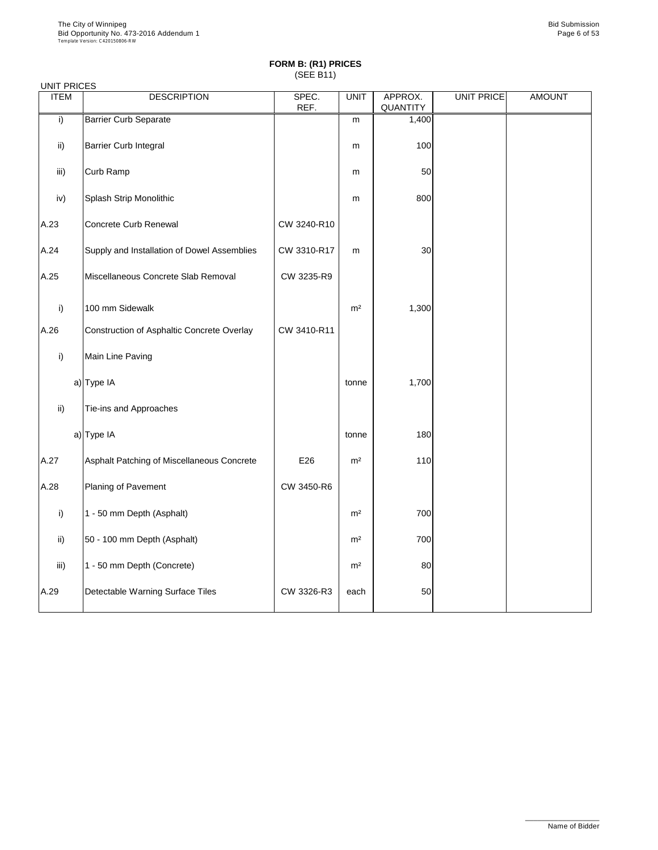#### UNIT PRICES

| <b>ITEM</b>     | <b>DESCRIPTION</b>                          | SPEC.<br>REF. | <b>UNIT</b>    | APPROX.<br>QUANTITY | <b>UNIT PRICE</b> | <b>AMOUNT</b> |
|-----------------|---------------------------------------------|---------------|----------------|---------------------|-------------------|---------------|
| i)              | <b>Barrier Curb Separate</b>                |               | m              | 1,400               |                   |               |
| $\mathsf{ii}$ ) | <b>Barrier Curb Integral</b>                |               | m              | 100                 |                   |               |
| iii)            | <b>Curb Ramp</b>                            |               | m              | 50                  |                   |               |
| iv)             | Splash Strip Monolithic                     |               | m              | 800                 |                   |               |
| A.23            | Concrete Curb Renewal                       | CW 3240-R10   |                |                     |                   |               |
| A.24            | Supply and Installation of Dowel Assemblies | CW 3310-R17   | m              | 30                  |                   |               |
| A.25            | Miscellaneous Concrete Slab Removal         | CW 3235-R9    |                |                     |                   |               |
| i)              | 100 mm Sidewalk                             |               | m <sup>2</sup> | 1,300               |                   |               |
| A.26            | Construction of Asphaltic Concrete Overlay  | CW 3410-R11   |                |                     |                   |               |
| i)              | Main Line Paving                            |               |                |                     |                   |               |
|                 | a) Type IA                                  |               | tonne          | 1,700               |                   |               |
| $\mathsf{ii}$ ) | Tie-ins and Approaches                      |               |                |                     |                   |               |
|                 | a) Type IA                                  |               | tonne          | 180                 |                   |               |
| A.27            | Asphalt Patching of Miscellaneous Concrete  | E26           | m <sup>2</sup> | 110                 |                   |               |
| A.28            | Planing of Pavement                         | CW 3450-R6    |                |                     |                   |               |
| i)              | 1 - 50 mm Depth (Asphalt)                   |               | m <sup>2</sup> | 700                 |                   |               |
| $\mathsf{ii}$   | 50 - 100 mm Depth (Asphalt)                 |               | m <sup>2</sup> | 700                 |                   |               |
| iii)            | 1 - 50 mm Depth (Concrete)                  |               | m <sup>2</sup> | 80                  |                   |               |
| A.29            | Detectable Warning Surface Tiles            | CW 3326-R3    | each           | 50                  |                   |               |

\_\_\_\_\_\_\_\_\_\_\_\_\_\_\_\_\_\_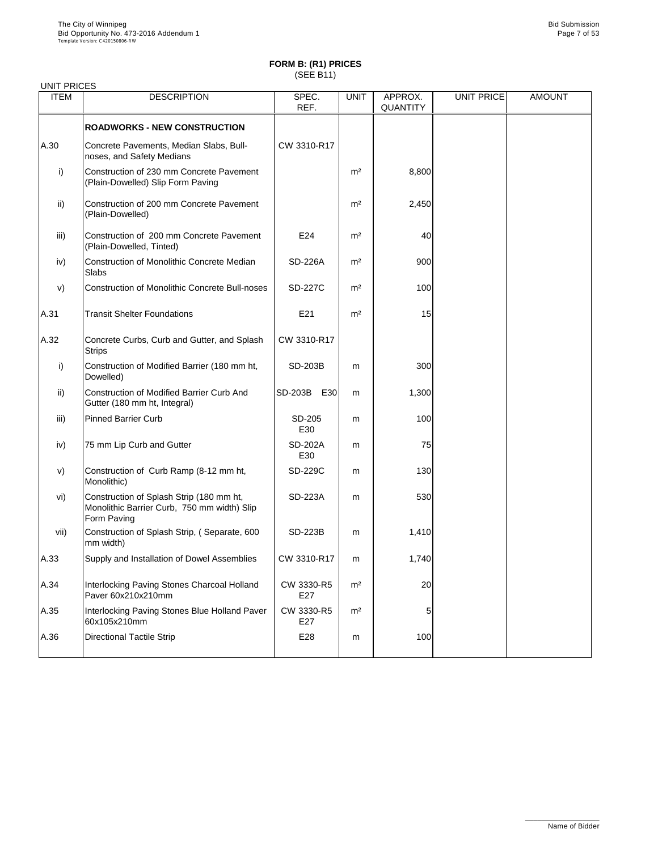| <b>ITEM</b>   | <b>DESCRIPTION</b>                                                                                     | SPEC.                 | <b>UNIT</b>    | APPROX.<br><b>QUANTITY</b> | <b>UNIT PRICE</b> | <b>AMOUNT</b> |
|---------------|--------------------------------------------------------------------------------------------------------|-----------------------|----------------|----------------------------|-------------------|---------------|
|               |                                                                                                        | REF.                  |                |                            |                   |               |
|               | <b>ROADWORKS - NEW CONSTRUCTION</b>                                                                    |                       |                |                            |                   |               |
| A.30          | Concrete Pavements, Median Slabs, Bull-<br>noses, and Safety Medians                                   | CW 3310-R17           |                |                            |                   |               |
| i)            | Construction of 230 mm Concrete Pavement<br>(Plain-Dowelled) Slip Form Paving                          |                       | m <sup>2</sup> | 8,800                      |                   |               |
| $\mathsf{ii}$ | Construction of 200 mm Concrete Pavement<br>(Plain-Dowelled)                                           |                       | m <sup>2</sup> | 2,450                      |                   |               |
| iii)          | Construction of 200 mm Concrete Pavement<br>(Plain-Dowelled, Tinted)                                   | E24                   | m <sup>2</sup> | 40                         |                   |               |
| iv)           | <b>Construction of Monolithic Concrete Median</b><br>Slabs                                             | <b>SD-226A</b>        | m <sup>2</sup> | 900                        |                   |               |
| V)            | <b>Construction of Monolithic Concrete Bull-noses</b>                                                  | <b>SD-227C</b>        | m <sup>2</sup> | 100                        |                   |               |
| A.31          | <b>Transit Shelter Foundations</b>                                                                     | E21                   | m <sup>2</sup> | 15                         |                   |               |
| A.32          | Concrete Curbs, Curb and Gutter, and Splash<br><b>Strips</b>                                           | CW 3310-R17           |                |                            |                   |               |
| i)            | Construction of Modified Barrier (180 mm ht,<br>Dowelled)                                              | <b>SD-203B</b>        | m              | 300                        |                   |               |
| ii)           | <b>Construction of Modified Barrier Curb And</b><br>Gutter (180 mm ht, Integral)                       | <b>SD-203B</b><br>E30 | m              | 1,300                      |                   |               |
| iii)          | <b>Pinned Barrier Curb</b>                                                                             | SD-205<br>E30         | m              | 100                        |                   |               |
| iv)           | 75 mm Lip Curb and Gutter                                                                              | <b>SD-202A</b><br>E30 | m              | 75                         |                   |               |
| V)            | Construction of Curb Ramp (8-12 mm ht,<br>Monolithic)                                                  | <b>SD-229C</b>        | m              | 130                        |                   |               |
| vi)           | Construction of Splash Strip (180 mm ht,<br>Monolithic Barrier Curb, 750 mm width) Slip<br>Form Paving | <b>SD-223A</b>        | m              | 530                        |                   |               |
| vii)          | Construction of Splash Strip, (Separate, 600<br>mm width)                                              | <b>SD-223B</b>        | m              | 1,410                      |                   |               |
| A.33          | Supply and Installation of Dowel Assemblies                                                            | CW 3310-R17           | m              | 1,740                      |                   |               |
| A.34          | Interlocking Paving Stones Charcoal Holland<br>Paver 60x210x210mm                                      | CW 3330-R5<br>E27     | m <sup>2</sup> | 20                         |                   |               |
| A.35          | Interlocking Paving Stones Blue Holland Paver<br>60x105x210mm                                          | CW 3330-R5<br>E27     | m <sup>2</sup> | 5                          |                   |               |
| A.36          | <b>Directional Tactile Strip</b>                                                                       | E28                   | m              | 100                        |                   |               |

\_\_\_\_\_\_\_\_\_\_\_\_\_\_\_\_\_\_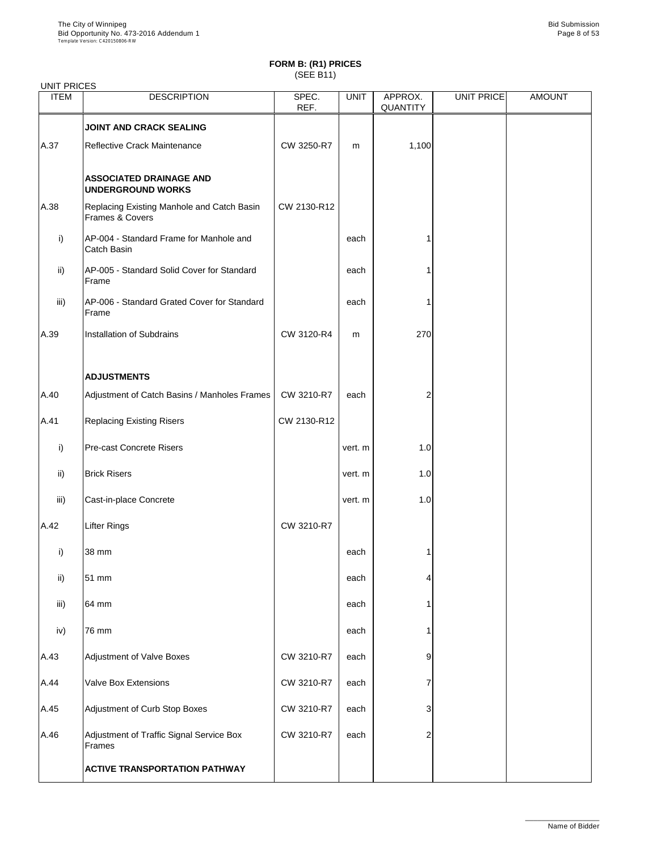| <b>UNIT PRICES</b> |                                                               |               |             |                            |                   |               |
|--------------------|---------------------------------------------------------------|---------------|-------------|----------------------------|-------------------|---------------|
| <b>ITEM</b>        | <b>DESCRIPTION</b>                                            | SPEC.<br>REF. | <b>UNIT</b> | APPROX.<br><b>QUANTITY</b> | <b>UNIT PRICE</b> | <b>AMOUNT</b> |
|                    | JOINT AND CRACK SEALING                                       |               |             |                            |                   |               |
| A.37               | <b>Reflective Crack Maintenance</b>                           | CW 3250-R7    | m           | 1,100                      |                   |               |
|                    | <b>ASSOCIATED DRAINAGE AND</b><br><b>UNDERGROUND WORKS</b>    |               |             |                            |                   |               |
| A.38               | Replacing Existing Manhole and Catch Basin<br>Frames & Covers | CW 2130-R12   |             |                            |                   |               |
| i)                 | AP-004 - Standard Frame for Manhole and<br>Catch Basin        |               | each        |                            |                   |               |
| $\mathsf{ii}$      | AP-005 - Standard Solid Cover for Standard<br>Frame           |               | each        |                            |                   |               |
| iii)               | AP-006 - Standard Grated Cover for Standard<br>Frame          |               | each        |                            |                   |               |
| A.39               | <b>Installation of Subdrains</b>                              | CW 3120-R4    | m           | 270                        |                   |               |
|                    | <b>ADJUSTMENTS</b>                                            |               |             |                            |                   |               |
| A.40               | Adjustment of Catch Basins / Manholes Frames                  | CW 3210-R7    | each        |                            |                   |               |
| A.41               | <b>Replacing Existing Risers</b>                              | CW 2130-R12   |             |                            |                   |               |
| i)                 | <b>Pre-cast Concrete Risers</b>                               |               | vert. m     | 1.0                        |                   |               |
| ii)                | <b>Brick Risers</b>                                           |               | vert. m     | 1.0                        |                   |               |
| iii)               | Cast-in-place Concrete                                        |               | vert. m     | 1.0                        |                   |               |
| A.42               | <b>Lifter Rings</b>                                           | CW 3210-R7    |             |                            |                   |               |
| $\mathsf{i}$       | 38 mm                                                         |               | each        |                            |                   |               |
| $\mathsf{ii}$      | 51 mm                                                         |               | each        |                            |                   |               |
| iii)               | 64 mm                                                         |               | each        |                            |                   |               |
| iv)                | 76 mm                                                         |               | each        |                            |                   |               |
| A.43               | <b>Adjustment of Valve Boxes</b>                              | CW 3210-R7    | each        | 9                          |                   |               |
| A.44               | <b>Valve Box Extensions</b>                                   | CW 3210-R7    | each        |                            |                   |               |
| A.45               | Adjustment of Curb Stop Boxes                                 | CW 3210-R7    | each        | 3                          |                   |               |
| A.46               | Adjustment of Traffic Signal Service Box<br>Frames            | CW 3210-R7    | each        | $\mathcal{P}$              |                   |               |
|                    | <b>ACTIVE TRANSPORTATION PATHWAY</b>                          |               |             |                            |                   |               |

\_\_\_\_\_\_\_\_\_\_\_\_\_\_\_\_\_\_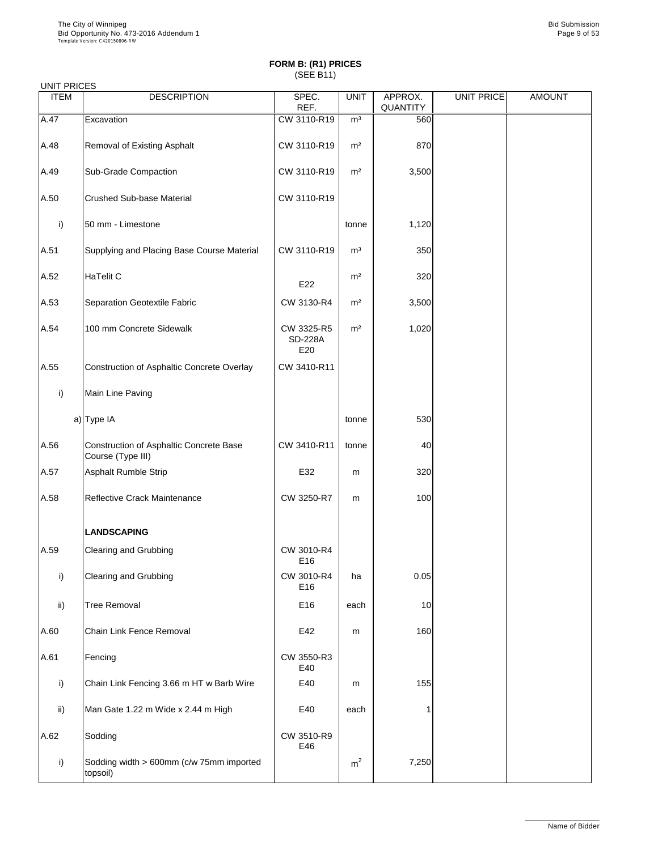|  | <b>UNIT PRICES</b> |
|--|--------------------|
|--|--------------------|

| <b>UNITI INCLU</b><br><b>ITEM</b> | <b>DESCRIPTION</b>                                           | SPEC.<br>REF.                       | <b>UNIT</b>    | APPROX.<br>QUANTITY | <b>UNIT PRICE</b> | <b>AMOUNT</b> |
|-----------------------------------|--------------------------------------------------------------|-------------------------------------|----------------|---------------------|-------------------|---------------|
| A.47                              | Excavation                                                   | CW 3110-R19                         | m <sup>3</sup> | 560                 |                   |               |
| A.48                              | <b>Removal of Existing Asphalt</b>                           | CW 3110-R19                         | m <sup>2</sup> | 870                 |                   |               |
| A.49                              | <b>Sub-Grade Compaction</b>                                  | CW 3110-R19                         | m <sup>2</sup> | 3,500               |                   |               |
| A.50                              | <b>Crushed Sub-base Material</b>                             | CW 3110-R19                         |                |                     |                   |               |
| i)                                | 50 mm - Limestone                                            |                                     | tonne          | 1,120               |                   |               |
| A.51                              | Supplying and Placing Base Course Material                   | CW 3110-R19                         | m <sup>3</sup> | 350                 |                   |               |
| A.52                              | <b>HaTelit C</b>                                             | E22                                 | m <sup>2</sup> | 320                 |                   |               |
| A.53                              | <b>Separation Geotextile Fabric</b>                          | CW 3130-R4                          | m <sup>2</sup> | 3,500               |                   |               |
| A.54                              | 100 mm Concrete Sidewalk                                     | CW 3325-R5<br><b>SD-228A</b><br>E20 | m <sup>2</sup> | 1,020               |                   |               |
| A.55                              | Construction of Asphaltic Concrete Overlay                   | CW 3410-R11                         |                |                     |                   |               |
| i)                                | Main Line Paving                                             |                                     |                |                     |                   |               |
|                                   | $a)$ Type IA                                                 |                                     | tonne          | 530                 |                   |               |
| A.56                              | Construction of Asphaltic Concrete Base<br>Course (Type III) | CW 3410-R11                         | tonne          | 40                  |                   |               |
| A.57                              | <b>Asphalt Rumble Strip</b>                                  | E32                                 | m              | 320                 |                   |               |
| A.58                              | Reflective Crack Maintenance                                 | CW 3250-R7                          | m              | 100                 |                   |               |
|                                   | <b>LANDSCAPING</b>                                           |                                     |                |                     |                   |               |
| A.59                              | <b>Clearing and Grubbing</b>                                 | CW 3010-R4<br>E16                   |                |                     |                   |               |
| i)                                | <b>Clearing and Grubbing</b>                                 | CW 3010-R4<br>E <sub>16</sub>       | ha             | 0.05                |                   |               |
| $\mathsf{ii}$                     | <b>Tree Removal</b>                                          | E16                                 | each           | 10                  |                   |               |
| A.60                              | <b>Chain Link Fence Removal</b>                              | E42                                 | m              | 160                 |                   |               |
| A.61                              | Fencing                                                      | CW 3550-R3<br>E40                   |                |                     |                   |               |
| i)                                | Chain Link Fencing 3.66 m HT w Barb Wire                     | E40                                 | m              | 155                 |                   |               |
| $\mathsf{ii}$                     | Man Gate 1.22 m Wide x 2.44 m High                           | E40                                 | each           |                     |                   |               |
| A.62                              | Sodding                                                      | CW 3510-R9<br>E46                   |                |                     |                   |               |
| i)                                | Sodding width > 600mm (c/w 75mm imported<br>topsoil)         |                                     | m <sup>2</sup> | 7,250               |                   |               |

\_\_\_\_\_\_\_\_\_\_\_\_\_\_\_\_\_\_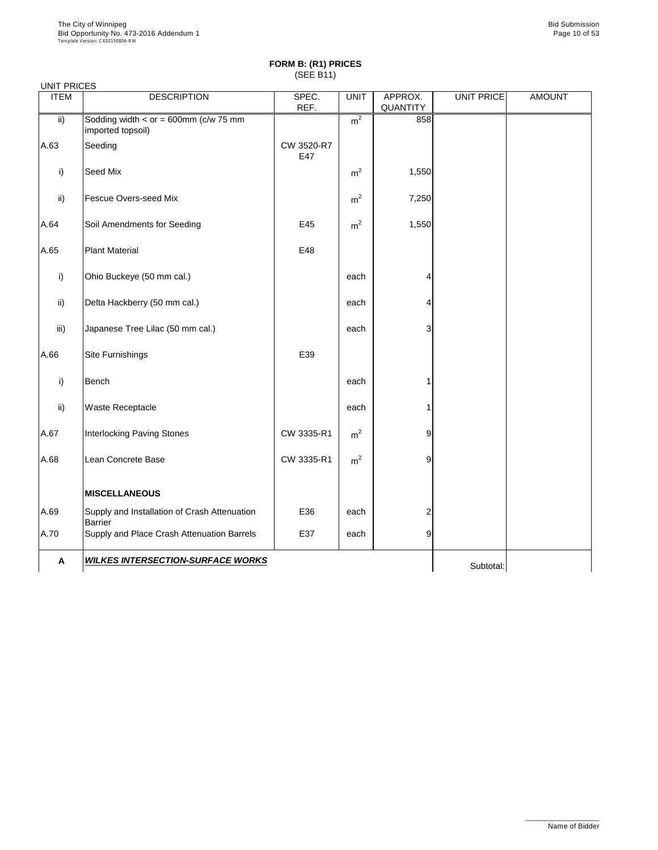| <b>UNIT PRICES</b> |                                                                |                   |                |                            |                   |               |
|--------------------|----------------------------------------------------------------|-------------------|----------------|----------------------------|-------------------|---------------|
| <b>ITEM</b>        | <b>DESCRIPTION</b>                                             | SPEC.<br>REF.     | <b>UNIT</b>    | APPROX.<br><b>QUANTITY</b> | <b>UNIT PRICE</b> | <b>AMOUNT</b> |
| $\mathsf{ii}$      | Sodding width $<$ or = 600mm (c/w 75 mm<br>imported topsoil)   |                   | m <sup>2</sup> | 858                        |                   |               |
| A.63               | Seeding                                                        | CW 3520-R7<br>E47 |                |                            |                   |               |
| i)                 | <b>Seed Mix</b>                                                |                   | m <sup>2</sup> | 1,550                      |                   |               |
| $\mathsf{ii}$      | <b>Fescue Overs-seed Mix</b>                                   |                   | m <sup>2</sup> | 7,250                      |                   |               |
| A.64               | Soil Amendments for Seeding                                    | E45               | m <sup>2</sup> | 1,550                      |                   |               |
| A.65               | <b>Plant Material</b>                                          | E48               |                |                            |                   |               |
| i)                 | Ohio Buckeye (50 mm cal.)                                      |                   | each           |                            |                   |               |
| $\mathsf{ii}$      | Delta Hackberry (50 mm cal.)                                   |                   | each           |                            |                   |               |
| iii)               | Japanese Tree Lilac (50 mm cal.)                               |                   | each           | 3                          |                   |               |
| A.66               | <b>Site Furnishings</b>                                        | E39               |                |                            |                   |               |
| i)                 | <b>Bench</b>                                                   |                   | each           |                            |                   |               |
| $\mathsf{ii}$      | <b>Waste Receptacle</b>                                        |                   | each           |                            |                   |               |
| A.67               | <b>Interlocking Paving Stones</b>                              | CW 3335-R1        | m <sup>2</sup> | 9                          |                   |               |
| A.68               | Lean Concrete Base                                             | CW 3335-R1        | m <sup>2</sup> | 9                          |                   |               |
|                    | <b>MISCELLANEOUS</b>                                           |                   |                |                            |                   |               |
| A.69               | Supply and Installation of Crash Attenuation<br><b>Barrier</b> | E36               | each           |                            |                   |               |
| A.70               | Supply and Place Crash Attenuation Barrels                     | E37               | each           | 9                          |                   |               |
| A                  | <b>WILKES INTERSECTION-SURFACE WORKS</b>                       |                   |                |                            | Subtotal:         |               |

\_\_\_\_\_\_\_\_\_\_\_\_\_\_\_\_\_\_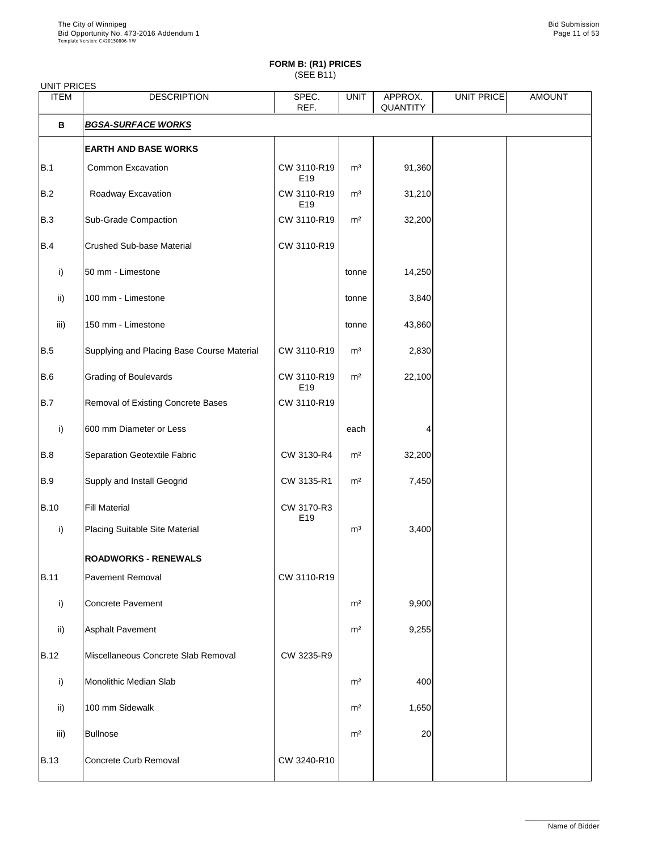| <b>UNIT PRICES</b> |                                            |                                |                |                            |                   |               |
|--------------------|--------------------------------------------|--------------------------------|----------------|----------------------------|-------------------|---------------|
| <b>ITEM</b>        | <b>DESCRIPTION</b>                         | SPEC.<br>REF.                  | <b>UNIT</b>    | APPROX.<br><b>QUANTITY</b> | <b>UNIT PRICE</b> | <b>AMOUNT</b> |
| $\mathbf B$        | <b>BGSA-SURFACE WORKS</b>                  |                                |                |                            |                   |               |
|                    | <b>EARTH AND BASE WORKS</b>                |                                |                |                            |                   |               |
| B.1                | <b>Common Excavation</b>                   | CW 3110-R19<br>E <sub>19</sub> | m <sup>3</sup> | 91,360                     |                   |               |
| B.2                | Roadway Excavation                         | CW 3110-R19<br>E <sub>19</sub> | m <sup>3</sup> | 31,210                     |                   |               |
| B.3                | <b>Sub-Grade Compaction</b>                | CW 3110-R19                    | m <sup>2</sup> | 32,200                     |                   |               |
| B.4                | <b>Crushed Sub-base Material</b>           | CW 3110-R19                    |                |                            |                   |               |
| i)                 | 50 mm - Limestone                          |                                | tonne          | 14,250                     |                   |               |
| $\mathsf{ii}$      | 100 mm - Limestone                         |                                | tonne          | 3,840                      |                   |               |
| iii)               | 150 mm - Limestone                         |                                | tonne          | 43,860                     |                   |               |
| B.5                | Supplying and Placing Base Course Material | CW 3110-R19                    | m <sup>3</sup> | 2,830                      |                   |               |
| B.6                | <b>Grading of Boulevards</b>               | CW 3110-R19<br>E <sub>19</sub> | m <sup>2</sup> | 22,100                     |                   |               |
| B.7                | <b>Removal of Existing Concrete Bases</b>  | CW 3110-R19                    |                |                            |                   |               |
| i)                 | 600 mm Diameter or Less                    |                                | each           |                            |                   |               |
| B.8                | Separation Geotextile Fabric               | CW 3130-R4                     | m <sup>2</sup> | 32,200                     |                   |               |
| B.9                | <b>Supply and Install Geogrid</b>          | CW 3135-R1                     | m <sup>2</sup> | 7,450                      |                   |               |
| <b>B.10</b>        | <b>Fill Material</b>                       | CW 3170-R3<br>E19              |                |                            |                   |               |
| i)                 | <b>Placing Suitable Site Material</b>      |                                | m <sup>3</sup> | 3,400                      |                   |               |
|                    | <b>ROADWORKS - RENEWALS</b>                |                                |                |                            |                   |               |
| <b>B.11</b>        | <b>Pavement Removal</b>                    | CW 3110-R19                    |                |                            |                   |               |
| i)                 | <b>Concrete Pavement</b>                   |                                | m <sup>2</sup> | 9,900                      |                   |               |
| $\mathsf{ii}$      | <b>Asphalt Pavement</b>                    |                                | m <sup>2</sup> | 9,255                      |                   |               |
| <b>B.12</b>        | Miscellaneous Concrete Slab Removal        | CW 3235-R9                     |                |                            |                   |               |
| i)                 | <b>Monolithic Median Slab</b>              |                                | m <sup>2</sup> | 400                        |                   |               |
| $\mathsf{ii}$      | 100 mm Sidewalk                            |                                | m <sup>2</sup> | 1,650                      |                   |               |
| iii)               | Bullnose                                   |                                | m <sup>2</sup> | 20                         |                   |               |
| <b>B.13</b>        | Concrete Curb Removal                      | CW 3240-R10                    |                |                            |                   |               |

\_\_\_\_\_\_\_\_\_\_\_\_\_\_\_\_\_\_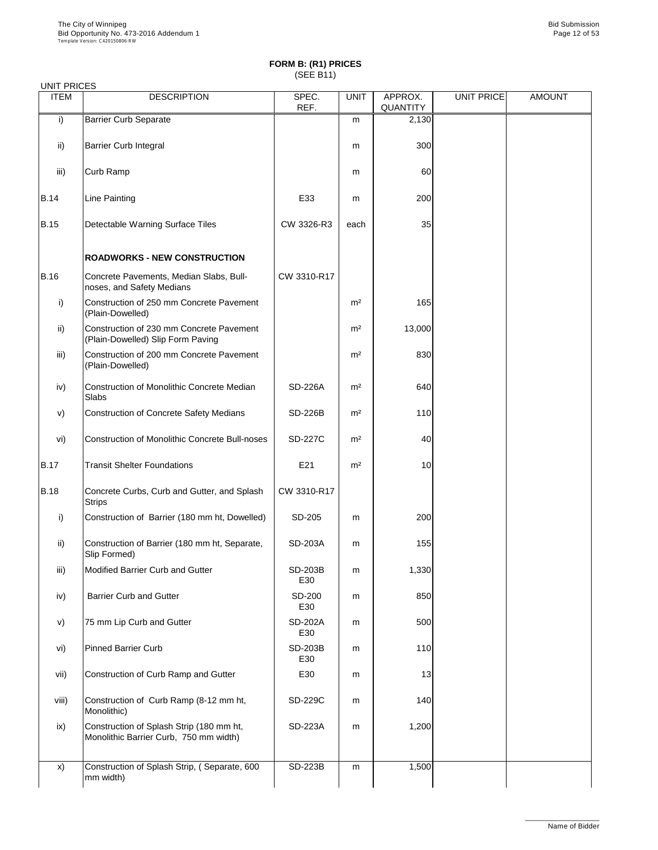|  | <b>UNIT PRICES</b> |
|--|--------------------|
|--|--------------------|

| <b>ITEM</b>   | <b>DESCRIPTION</b>                                                            | SPEC.<br>REF.         | <b>UNIT</b>    | APPROX.<br><b>QUANTITY</b> | <b>UNIT PRICE</b> | <b>AMOUNT</b> |
|---------------|-------------------------------------------------------------------------------|-----------------------|----------------|----------------------------|-------------------|---------------|
| $\mathsf{i}$  | <b>Barrier Curb Separate</b>                                                  |                       | m              | 2,130                      |                   |               |
| $\mathsf{ii}$ | <b>Barrier Curb Integral</b>                                                  |                       | m              | 300                        |                   |               |
| iii)          | <b>Curb Ramp</b>                                                              |                       | m              | 60                         |                   |               |
| <b>B.14</b>   | Line Painting                                                                 | E33                   | m              | 200                        |                   |               |
| <b>B.15</b>   | Detectable Warning Surface Tiles                                              | CW 3326-R3            | each           | 35                         |                   |               |
|               | <b>ROADWORKS - NEW CONSTRUCTION</b>                                           |                       |                |                            |                   |               |
| <b>B.16</b>   | Concrete Pavements, Median Slabs, Bull-<br>noses, and Safety Medians          | CW 3310-R17           |                |                            |                   |               |
| i)            | Construction of 250 mm Concrete Pavement<br>(Plain-Dowelled)                  |                       | m <sup>2</sup> | 165                        |                   |               |
| $\mathsf{ii}$ | Construction of 230 mm Concrete Pavement<br>(Plain-Dowelled) Slip Form Paving |                       | m <sup>2</sup> | 13,000                     |                   |               |
| iii)          | Construction of 200 mm Concrete Pavement<br>(Plain-Dowelled)                  |                       | m <sup>2</sup> | 830                        |                   |               |
| iv)           | <b>Construction of Monolithic Concrete Median</b><br>Slabs                    | <b>SD-226A</b>        | m <sup>2</sup> | 640                        |                   |               |
| V)            | <b>Construction of Concrete Safety Medians</b>                                | <b>SD-226B</b>        | m <sup>2</sup> | 110                        |                   |               |
| vi)           | <b>Construction of Monolithic Concrete Bull-noses</b>                         | <b>SD-227C</b>        | m <sup>2</sup> | 40                         |                   |               |
| <b>B.17</b>   | <b>Transit Shelter Foundations</b>                                            | E21                   | m <sup>2</sup> | 10                         |                   |               |
| <b>B.18</b>   | Concrete Curbs, Curb and Gutter, and Splash<br><b>Strips</b>                  | CW 3310-R17           |                |                            |                   |               |
| i)            | Construction of Barrier (180 mm ht, Dowelled)                                 | SD-205                | m              | 200                        |                   |               |
| $\mathsf{ii}$ | Construction of Barrier (180 mm ht, Separate,<br>Slip Formed)                 | <b>SD-203A</b>        | m              | 155                        |                   |               |
| iii)          | Modified Barrier Curb and Gutter                                              | <b>SD-203B</b><br>E30 | m              | 1,330                      |                   |               |
| iv)           | <b>Barrier Curb and Gutter</b>                                                | <b>SD-200</b><br>E30  | m              | 850                        |                   |               |
| V)            | 75 mm Lip Curb and Gutter                                                     | <b>SD-202A</b><br>E30 | m              | 500                        |                   |               |
| vi)           | <b>Pinned Barrier Curb</b>                                                    | <b>SD-203B</b>        | m              | 110                        |                   |               |

|       |                                                                                    | E30            |   |       |  |
|-------|------------------------------------------------------------------------------------|----------------|---|-------|--|
| vii)  | Construction of Curb Ramp and Gutter                                               | E30            | m | 13    |  |
| viii) | Construction of Curb Ramp (8-12 mm ht,<br>Monolithic)                              | <b>SD-229C</b> | m | 140   |  |
| ix)   | Construction of Splash Strip (180 mm ht,<br>Monolithic Barrier Curb, 750 mm width) | <b>SD-223A</b> | m | 1,200 |  |
| X)    | Construction of Splash Strip, (Separate, 600<br>mm width)                          | <b>SD-223B</b> | m | 1,500 |  |

\_\_\_\_\_\_\_\_\_\_\_\_\_\_\_\_\_\_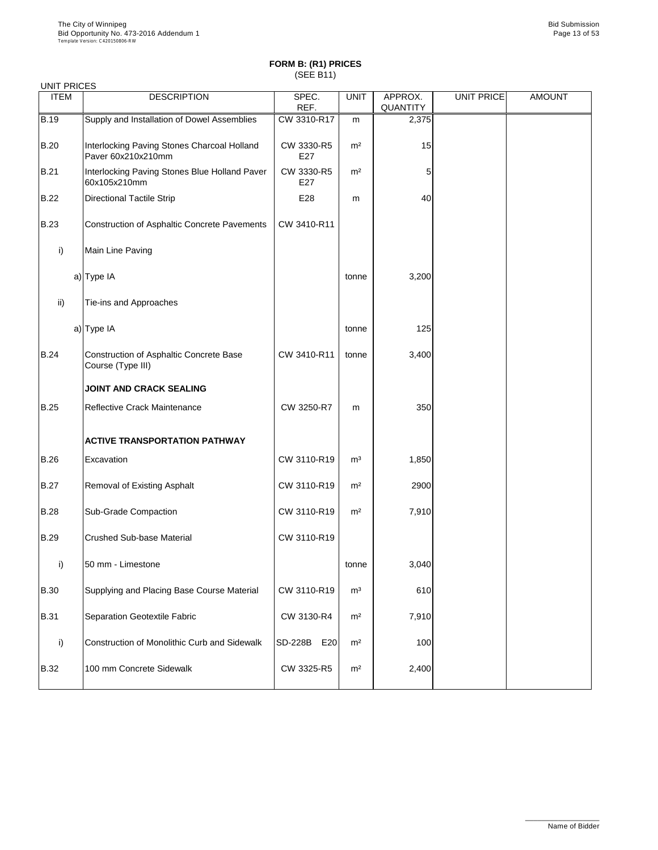| <b>UNIT PRICES</b> |                                                                     |                       |                |                            |                   |               |
|--------------------|---------------------------------------------------------------------|-----------------------|----------------|----------------------------|-------------------|---------------|
| <b>ITEM</b>        | <b>DESCRIPTION</b>                                                  | SPEC.<br>REF.         | <b>UNIT</b>    | APPROX.<br><b>QUANTITY</b> | <b>UNIT PRICE</b> | <b>AMOUNT</b> |
| <b>B.19</b>        | Supply and Installation of Dowel Assemblies                         | CW 3310-R17           | m              | 2,375                      |                   |               |
| <b>B.20</b>        | Interlocking Paving Stones Charcoal Holland<br>Paver 60x210x210mm   | CW 3330-R5<br>E27     | m <sup>2</sup> | 15                         |                   |               |
| <b>B.21</b>        | Interlocking Paving Stones Blue Holland Paver<br>60x105x210mm       | CW 3330-R5<br>E27     | m <sup>2</sup> | 5                          |                   |               |
| <b>B.22</b>        | <b>Directional Tactile Strip</b>                                    | E28                   | m              | 40                         |                   |               |
| <b>B.23</b>        | <b>Construction of Asphaltic Concrete Pavements</b>                 | CW 3410-R11           |                |                            |                   |               |
| i)                 | Main Line Paving                                                    |                       |                |                            |                   |               |
|                    | a) Type IA                                                          |                       | tonne          | 3,200                      |                   |               |
| ii)                | Tie-ins and Approaches                                              |                       |                |                            |                   |               |
|                    | a) Type IA                                                          |                       | tonne          | 125                        |                   |               |
| <b>B.24</b>        | <b>Construction of Asphaltic Concrete Base</b><br>Course (Type III) | CW 3410-R11           | tonne          | 3,400                      |                   |               |
|                    | <b>JOINT AND CRACK SEALING</b>                                      |                       |                |                            |                   |               |
| <b>B.25</b>        | <b>Reflective Crack Maintenance</b>                                 | CW 3250-R7            | m              | 350                        |                   |               |
|                    | <b>ACTIVE TRANSPORTATION PATHWAY</b>                                |                       |                |                            |                   |               |
| B.26               | Excavation                                                          | CW 3110-R19           | m <sup>3</sup> | 1,850                      |                   |               |
| <b>B.27</b>        | <b>Removal of Existing Asphalt</b>                                  | CW 3110-R19           | m <sup>2</sup> | 2900                       |                   |               |
| <b>B.28</b>        | <b>Sub-Grade Compaction</b>                                         | CW 3110-R19           | m <sup>2</sup> | 7,910                      |                   |               |
| <b>B.29</b>        | <b>Crushed Sub-base Material</b>                                    | CW 3110-R19           |                |                            |                   |               |
| i)                 | 50 mm - Limestone                                                   |                       | tonne          | 3,040                      |                   |               |
| <b>B.30</b>        | Supplying and Placing Base Course Material                          | CW 3110-R19           | m <sup>3</sup> | 610                        |                   |               |
| <b>B.31</b>        | <b>Separation Geotextile Fabric</b>                                 | CW 3130-R4            | m <sup>2</sup> | 7,910                      |                   |               |
| $\mathsf{i}$       | Construction of Monolithic Curb and Sidewalk                        | <b>SD-228B</b><br>E20 | m <sup>2</sup> | 100                        |                   |               |

| <b>B.32</b> | 100 mm Concrete Sidewalk | CW 3325-R5 | m <sup>2</sup> | 2,400 |  |  |
|-------------|--------------------------|------------|----------------|-------|--|--|
|-------------|--------------------------|------------|----------------|-------|--|--|

\_\_\_\_\_\_\_\_\_\_\_\_\_\_\_\_\_\_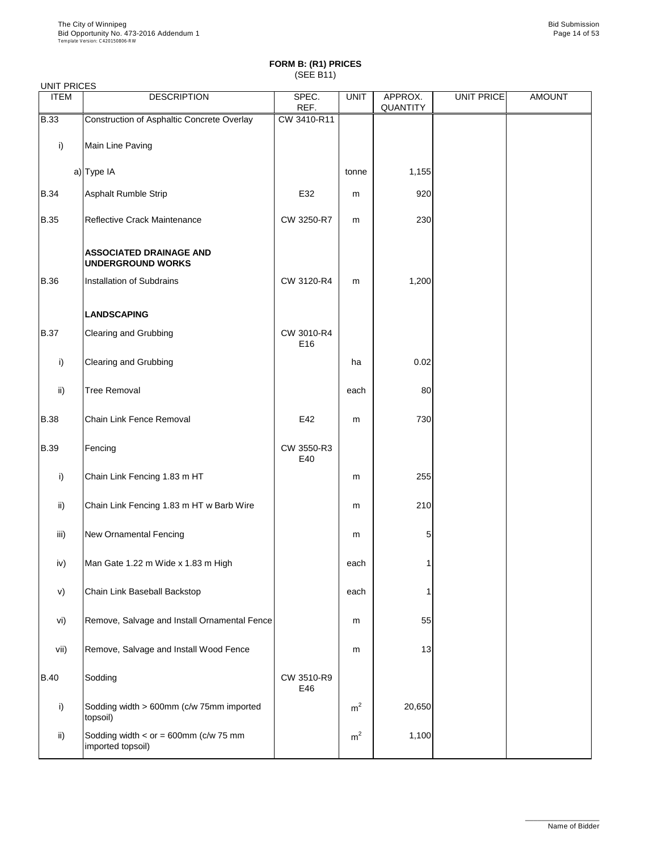| <b>UNIT PRICES</b> |                                                            |                               |             |                     |            |               |
|--------------------|------------------------------------------------------------|-------------------------------|-------------|---------------------|------------|---------------|
| <b>ITEM</b>        | <b>DESCRIPTION</b>                                         | SPEC.<br>REF.                 | <b>UNIT</b> | APPROX.<br>QUANTITY | UNIT PRICE | <b>AMOUNT</b> |
| <b>B.33</b>        | Construction of Asphaltic Concrete Overlay                 | CW 3410-R11                   |             |                     |            |               |
| i)                 | Main Line Paving                                           |                               |             |                     |            |               |
|                    | a) Type IA                                                 |                               | tonne       | 1,155               |            |               |
| <b>B.34</b>        | Asphalt Rumble Strip                                       | E32                           | m           | 920                 |            |               |
| <b>B.35</b>        | Reflective Crack Maintenance                               | CW 3250-R7                    | m           | 230                 |            |               |
|                    | <b>ASSOCIATED DRAINAGE AND</b><br><b>UNDERGROUND WORKS</b> |                               |             |                     |            |               |
| <b>B.36</b>        | <b>Installation of Subdrains</b>                           | CW 3120-R4                    | m           | 1,200               |            |               |
|                    | <b>LANDSCAPING</b>                                         |                               |             |                     |            |               |
| <b>B.37</b>        | <b>Clearing and Grubbing</b>                               | CW 3010-R4<br>E <sub>16</sub> |             |                     |            |               |
| i)                 | <b>Clearing and Grubbing</b>                               |                               | ha          | 0.02                |            |               |
| ii)                | <b>Tree Removal</b>                                        |                               | each        | 80                  |            |               |
| <b>B.38</b>        | <b>Chain Link Fence Removal</b>                            | E42                           | ${\sf m}$   | 730                 |            |               |
| <b>B.39</b>        | Fencing                                                    | CW 3550-R3<br>E40             |             |                     |            |               |
| $\mathsf{i}$       | Chain Link Fencing 1.83 m HT                               |                               | m           | 255                 |            |               |
| ii)                | Chain Link Fencing 1.83 m HT w Barb Wire                   |                               | m           | 210                 |            |               |
| iii)               | <b>New Ornamental Fencing</b>                              |                               | m           | 5                   |            |               |
| iv)                | Man Gate 1.22 m Wide x 1.83 m High                         |                               | each        |                     |            |               |
| V)                 | Chain Link Baseball Backstop                               |                               | each        |                     |            |               |
| vi)                | Remove, Salvage and Install Ornamental Fence               |                               | m           | 55                  |            |               |
| Vii)               | Remove. Salvage and Install Wood Fence                     |                               | m           | 13                  |            |               |

| VII)        | <b>Remove, Salvage and Install Wood Fence</b>                  |                   | m              | 13     |  |
|-------------|----------------------------------------------------------------|-------------------|----------------|--------|--|
| <b>B.40</b> | Sodding                                                        | CW 3510-R9<br>E46 |                |        |  |
|             | Sodding width > 600mm (c/w 75mm imported<br>topsoil)           |                   | m <sup>2</sup> | 20,650 |  |
| ii)         | Sodding width $\lt$ or = 600mm (c/w 75 mm<br>imported topsoil) |                   | m <sup>2</sup> | 1,100  |  |

\_\_\_\_\_\_\_\_\_\_\_\_\_\_\_\_\_\_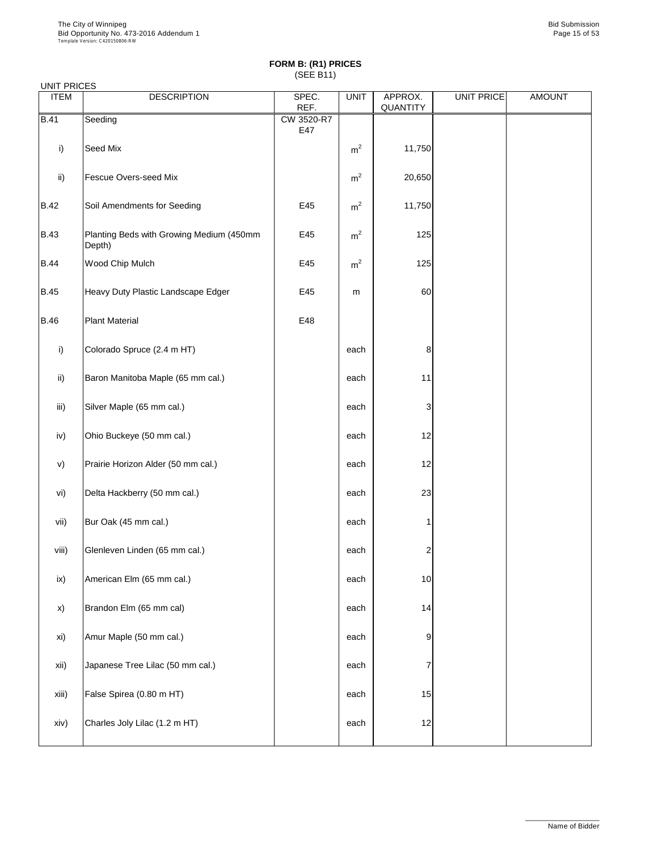| UNII PRIULO<br><b>ITEM</b> | <b>DESCRIPTION</b>                                 | SPEC.<br>REF.     | <b>UNIT</b>    | APPROX.<br><b>QUANTITY</b> | <b>UNIT PRICE</b> | <b>AMOUNT</b> |
|----------------------------|----------------------------------------------------|-------------------|----------------|----------------------------|-------------------|---------------|
| <b>B.41</b>                | Seeding                                            | CW 3520-R7<br>E47 |                |                            |                   |               |
| i)                         | Seed Mix                                           |                   | m <sup>2</sup> | 11,750                     |                   |               |
| $\mathsf{ii}$              | <b>Fescue Overs-seed Mix</b>                       |                   | m <sup>2</sup> | 20,650                     |                   |               |
| <b>B.42</b>                | Soil Amendments for Seeding                        | E45               | m <sup>2</sup> | 11,750                     |                   |               |
| <b>B.43</b>                | Planting Beds with Growing Medium (450mm<br>Depth) | E45               | m <sup>2</sup> | 125                        |                   |               |
| <b>B.44</b>                | Wood Chip Mulch                                    | E45               | m <sup>2</sup> | 125                        |                   |               |
| <b>B.45</b>                | Heavy Duty Plastic Landscape Edger                 | E45               | m              | 60                         |                   |               |
| <b>B.46</b>                | <b>Plant Material</b>                              | E48               |                |                            |                   |               |
| i)                         | Colorado Spruce (2.4 m HT)                         |                   | each           | 8                          |                   |               |
| $\mathsf{ii}$              | Baron Manitoba Maple (65 mm cal.)                  |                   | each           | 11                         |                   |               |
| iii)                       | Silver Maple (65 mm cal.)                          |                   | each           | 3                          |                   |               |
| iv)                        | Ohio Buckeye (50 mm cal.)                          |                   | each           | 12                         |                   |               |
| V)                         | Prairie Horizon Alder (50 mm cal.)                 |                   | each           | 12                         |                   |               |
| vi)                        | Delta Hackberry (50 mm cal.)                       |                   | each           | 23                         |                   |               |
| vii)                       | Bur Oak (45 mm cal.)                               |                   | each           |                            |                   |               |
| viii)                      | Glenleven Linden (65 mm cal.)                      |                   | each           | $\overline{c}$             |                   |               |
| ix)                        | American Elm (65 mm cal.)                          |                   | each           | 10                         |                   |               |
| X)                         | Brandon Elm (65 mm cal)                            |                   | each           | 14                         |                   |               |
| xi)                        | Amur Maple (50 mm cal.)                            |                   | each           | 9                          |                   |               |

| xii)  | Japanese Tree Lilac (50 mm cal.) | each |    |  |
|-------|----------------------------------|------|----|--|
| xiii) | False Spirea (0.80 m HT)         | each | 15 |  |
| xiv)  | Charles Joly Lilac (1.2 m HT)    | each | 12 |  |

\_\_\_\_\_\_\_\_\_\_\_\_\_\_\_\_\_\_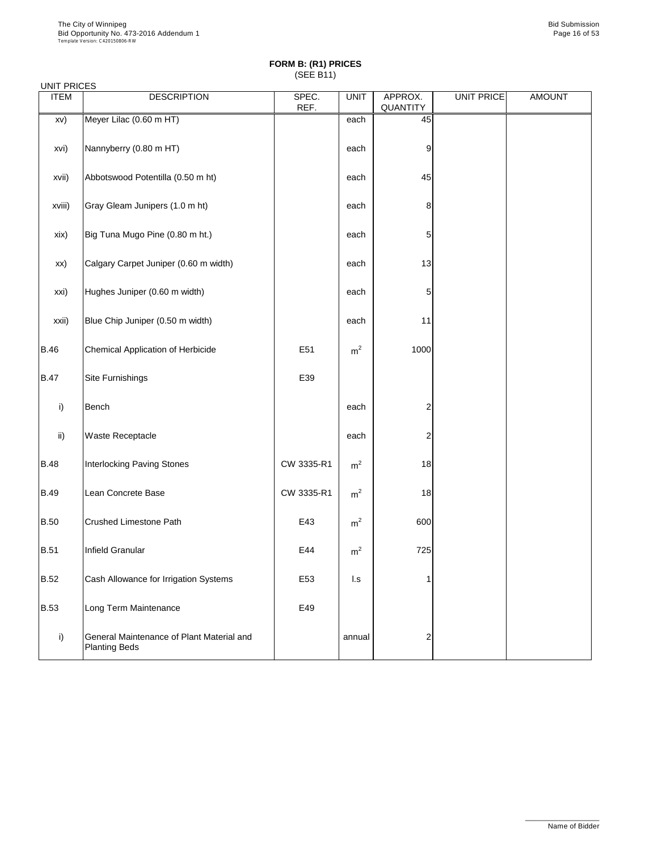| <b>UNIT PRICES</b><br><b>ITEM</b> | <b>DESCRIPTION</b>                                                | SPEC.           | <b>UNIT</b>             | APPROX.         | <b>UNIT PRICE</b> | <b>AMOUNT</b> |
|-----------------------------------|-------------------------------------------------------------------|-----------------|-------------------------|-----------------|-------------------|---------------|
|                                   |                                                                   | REF.            |                         | <b>QUANTITY</b> |                   |               |
| XV)                               | Meyer Lilac (0.60 m HT)                                           |                 | each                    | 45              |                   |               |
| xvi)                              | Nannyberry (0.80 m HT)                                            |                 | each                    | 9               |                   |               |
| xvii)                             | Abbotswood Potentilla (0.50 m ht)                                 |                 | each                    | 45              |                   |               |
| xviii)                            | Gray Gleam Junipers (1.0 m ht)                                    |                 | each                    | 8               |                   |               |
| xix)                              | Big Tuna Mugo Pine (0.80 m ht.)                                   |                 | each                    | 5               |                   |               |
| XX)                               | Calgary Carpet Juniper (0.60 m width)                             |                 | each                    | 13              |                   |               |
| xxi)                              | Hughes Juniper (0.60 m width)                                     |                 | each                    | 5               |                   |               |
| xxii)                             | Blue Chip Juniper (0.50 m width)                                  |                 | each                    | 11              |                   |               |
| <b>B.46</b>                       | <b>Chemical Application of Herbicide</b>                          | E <sub>51</sub> | m <sup>2</sup>          | 1000            |                   |               |
| <b>B.47</b>                       | Site Furnishings                                                  | E39             |                         |                 |                   |               |
| i)                                | Bench                                                             |                 | each                    | $\overline{2}$  |                   |               |
| $\mathsf{ii}$                     | <b>Waste Receptacle</b>                                           |                 | each                    | $\overline{2}$  |                   |               |
| <b>B.48</b>                       | <b>Interlocking Paving Stones</b>                                 | CW 3335-R1      | m <sup>2</sup>          | 18              |                   |               |
| <b>B.49</b>                       | Lean Concrete Base                                                | CW 3335-R1      | m <sup>2</sup>          | 18              |                   |               |
| <b>B.50</b>                       | <b>Crushed Limestone Path</b>                                     | E43             | m <sup>2</sup>          | 600             |                   |               |
| <b>B.51</b>                       | Infield Granular                                                  | E44             | m <sup>2</sup>          | 725             |                   |               |
| <b>B.52</b>                       | Cash Allowance for Irrigation Systems                             | E <sub>53</sub> | $\mathsf{I}.\mathsf{s}$ |                 |                   |               |
| <b>B.53</b>                       | Long Term Maintenance                                             | E49             |                         |                 |                   |               |
| i)                                | General Maintenance of Plant Material and<br><b>Planting Beds</b> |                 | annual                  | $\overline{2}$  |                   |               |

\_\_\_\_\_\_\_\_\_\_\_\_\_\_\_\_\_\_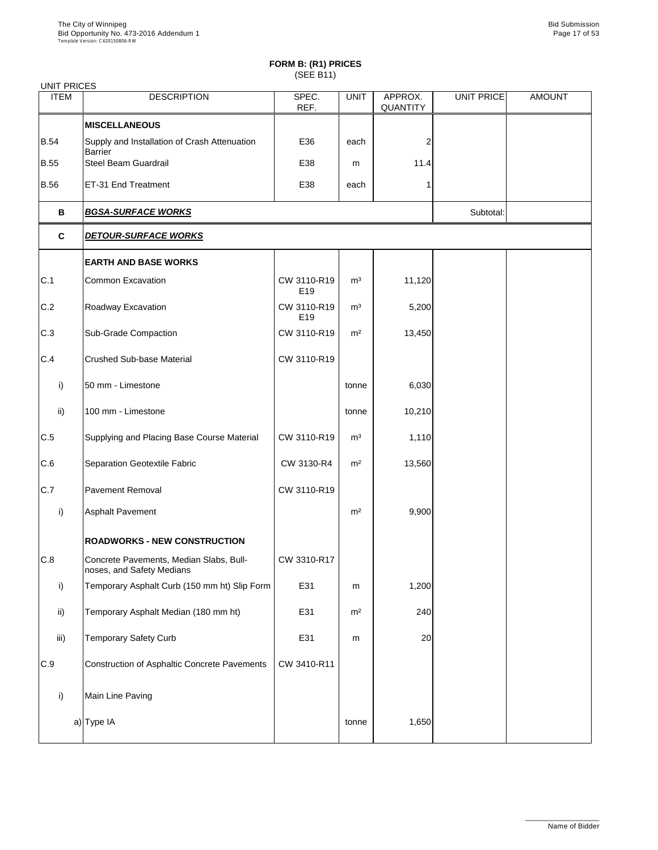| <b>UNIT PRICES</b> |                                                                      |                                |                |                            |            |               |
|--------------------|----------------------------------------------------------------------|--------------------------------|----------------|----------------------------|------------|---------------|
| <b>ITEM</b>        | <b>DESCRIPTION</b>                                                   | SPEC.<br>REF.                  | <b>UNIT</b>    | APPROX.<br><b>QUANTITY</b> | UNIT PRICE | <b>AMOUNT</b> |
|                    | <b>MISCELLANEOUS</b>                                                 |                                |                |                            |            |               |
| <b>B.54</b>        | Supply and Installation of Crash Attenuation<br><b>Barrier</b>       | E36                            | each           | 2                          |            |               |
| <b>B.55</b>        | <b>Steel Beam Guardrail</b>                                          | E38                            | m              | 11.4                       |            |               |
| <b>B.56</b>        | ET-31 End Treatment                                                  | E38                            | each           |                            |            |               |
| B                  | <b>BGSA-SURFACE WORKS</b>                                            |                                | Subtotal:      |                            |            |               |
| $\mathbf c$        | <b>DETOUR-SURFACE WORKS</b>                                          |                                |                |                            |            |               |
|                    | <b>EARTH AND BASE WORKS</b>                                          |                                |                |                            |            |               |
| C.1                | <b>Common Excavation</b>                                             | CW 3110-R19<br>E <sub>19</sub> | m <sup>3</sup> | 11,120                     |            |               |
| C.2                | Roadway Excavation                                                   | CW 3110-R19<br>E <sub>19</sub> | m <sup>3</sup> | 5,200                      |            |               |
| C.3                | <b>Sub-Grade Compaction</b>                                          | CW 3110-R19                    | m <sup>2</sup> | 13,450                     |            |               |
| C.4                | <b>Crushed Sub-base Material</b>                                     | CW 3110-R19                    |                |                            |            |               |
| i)                 | 50 mm - Limestone                                                    |                                | tonne          | 6,030                      |            |               |
| $\mathsf{ii}$      | 100 mm - Limestone                                                   |                                | tonne          | 10,210                     |            |               |
| C.5                | Supplying and Placing Base Course Material                           | CW 3110-R19                    | m <sup>3</sup> | 1,110                      |            |               |
| C.6                | <b>Separation Geotextile Fabric</b>                                  | CW 3130-R4                     | m <sup>2</sup> | 13,560                     |            |               |
| C.7                | <b>Pavement Removal</b>                                              | CW 3110-R19                    |                |                            |            |               |
| i)                 | <b>Asphalt Pavement</b>                                              |                                | m <sup>2</sup> | 9,900                      |            |               |
|                    | <b>ROADWORKS - NEW CONSTRUCTION</b>                                  |                                |                |                            |            |               |
| C.8                | Concrete Pavements, Median Slabs, Bull-<br>noses, and Safety Medians | CW 3310-R17                    |                |                            |            |               |
| i)                 | Temporary Asphalt Curb (150 mm ht) Slip Form                         | E31                            | m              | 1,200                      |            |               |
| ii)                | Temporary Asphalt Median (180 mm ht)                                 | E31                            | m <sup>2</sup> | 240                        |            |               |
| iii)               | <b>Temporary Safety Curb</b>                                         | E31                            | m              | 20                         |            |               |
|                    |                                                                      |                                |                |                            |            |               |

| C.9 | Construction of Asphaltic Concrete Pavements | CW 3410-R11 |       |       |  |
|-----|----------------------------------------------|-------------|-------|-------|--|
|     | Main Line Paving                             |             |       |       |  |
|     | a) Type IA                                   |             | tonne | 1,650 |  |

\_\_\_\_\_\_\_\_\_\_\_\_\_\_\_\_\_\_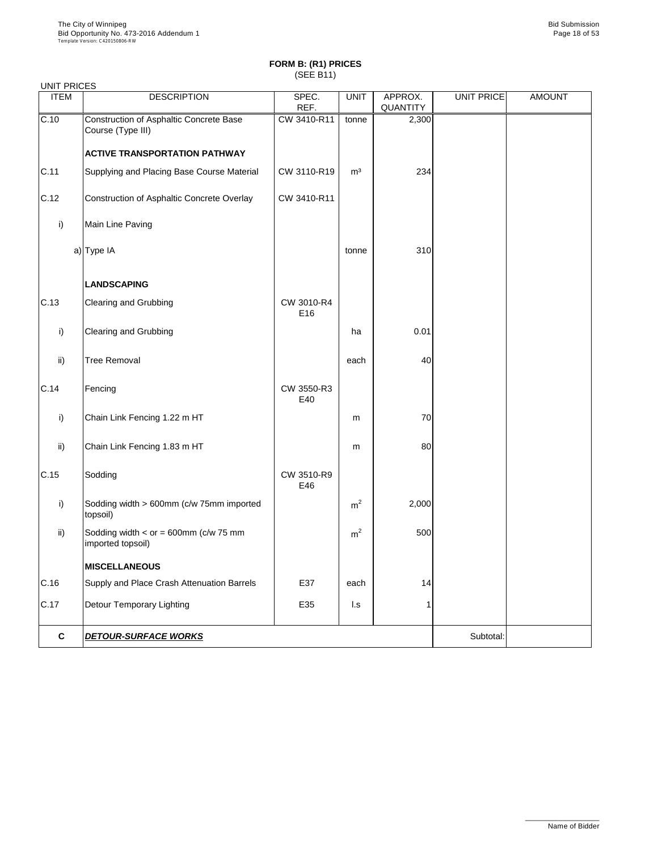| <b>UNIT PRICES</b> |                                                              |                   |                |                 |                   |               |
|--------------------|--------------------------------------------------------------|-------------------|----------------|-----------------|-------------------|---------------|
| <b>ITEM</b>        | <b>DESCRIPTION</b>                                           | SPEC.             | <b>UNIT</b>    | APPROX.         | <b>UNIT PRICE</b> | <b>AMOUNT</b> |
|                    |                                                              | REF.              |                | <b>QUANTITY</b> |                   |               |
| C.10               | Construction of Asphaltic Concrete Base<br>Course (Type III) | CW 3410-R11       | tonne          | 2,300           |                   |               |
|                    | <b>ACTIVE TRANSPORTATION PATHWAY</b>                         |                   |                |                 |                   |               |
| C.11               | Supplying and Placing Base Course Material                   | CW 3110-R19       | m <sup>3</sup> | 234             |                   |               |
| C.12               | Construction of Asphaltic Concrete Overlay                   | CW 3410-R11       |                |                 |                   |               |
| i)                 | Main Line Paving                                             |                   |                |                 |                   |               |
|                    | $a)$ Type IA                                                 |                   | tonne          | 310             |                   |               |
|                    | <b>LANDSCAPING</b>                                           |                   |                |                 |                   |               |
| C.13               | <b>Clearing and Grubbing</b>                                 | CW 3010-R4<br>E16 |                |                 |                   |               |
| i)                 | <b>Clearing and Grubbing</b>                                 |                   | ha             | 0.01            |                   |               |
| $\mathsf{ii}$      | <b>Tree Removal</b>                                          |                   | each           | 40              |                   |               |
| C.14               | Fencing                                                      | CW 3550-R3<br>E40 |                |                 |                   |               |
| i)                 | Chain Link Fencing 1.22 m HT                                 |                   | m              | 70              |                   |               |
| $\mathsf{ii}$      | Chain Link Fencing 1.83 m HT                                 |                   | m              | 80              |                   |               |
| C.15               | Sodding                                                      | CW 3510-R9<br>E46 |                |                 |                   |               |
| i)                 | Sodding width > 600mm (c/w 75mm imported<br>topsoil)         |                   | m <sup>2</sup> | 2,000           |                   |               |
| $\mathsf{ii}$      | Sodding width $<$ or = 600mm (c/w 75 mm<br>imported topsoil) |                   | m <sup>2</sup> | 500             |                   |               |
|                    | <b>MISCELLANEOUS</b>                                         |                   |                |                 |                   |               |
| C.16               | Supply and Place Crash Attenuation Barrels                   | E37               | each           | 14              |                   |               |
| C.17               | <b>Detour Temporary Lighting</b>                             | E35               | $\mathsf{L}$ s |                 |                   |               |
| $\mathbf c$        | <b>DETOUR-SURFACE WORKS</b>                                  |                   |                |                 | Subtotal:         |               |

\_\_\_\_\_\_\_\_\_\_\_\_\_\_\_\_\_\_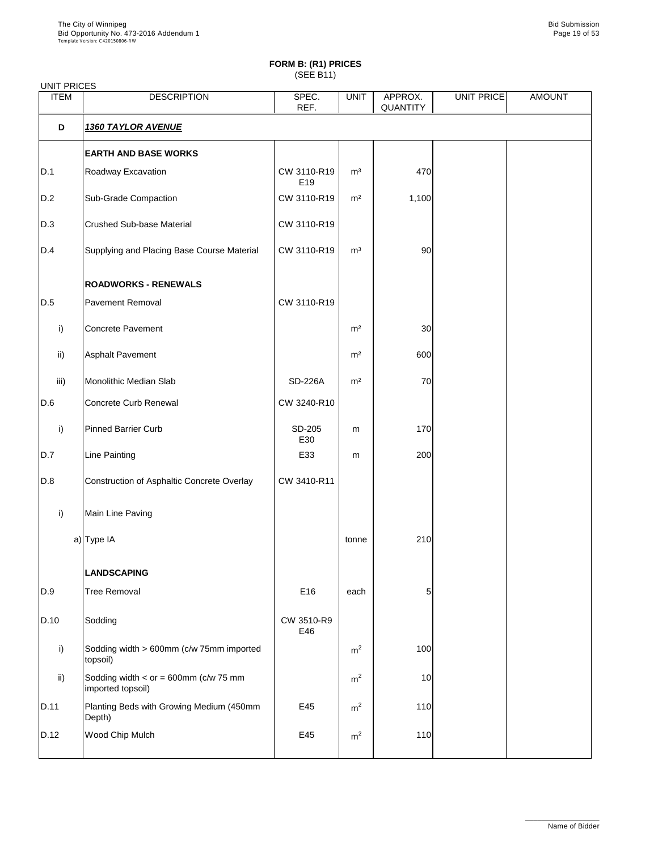| <b>UNIT PRICES</b> |                                                              |                    |                |                            |            |               |
|--------------------|--------------------------------------------------------------|--------------------|----------------|----------------------------|------------|---------------|
| <b>ITEM</b>        | <b>DESCRIPTION</b>                                           | SPEC.<br>REF.      | <b>UNIT</b>    | APPROX.<br><b>QUANTITY</b> | UNIT PRICE | <b>AMOUNT</b> |
| D                  | <b>1360 TAYLOR AVENUE</b>                                    |                    |                |                            |            |               |
|                    | <b>EARTH AND BASE WORKS</b>                                  |                    |                |                            |            |               |
| D.1                | Roadway Excavation                                           | CW 3110-R19<br>E19 | m <sup>3</sup> | 470                        |            |               |
| D.2                | <b>Sub-Grade Compaction</b>                                  | CW 3110-R19        | m <sup>2</sup> | 1,100                      |            |               |
| D.3                | <b>Crushed Sub-base Material</b>                             | CW 3110-R19        |                |                            |            |               |
| D.4                | Supplying and Placing Base Course Material                   | CW 3110-R19        | m <sup>3</sup> | 90                         |            |               |
|                    | <b>ROADWORKS - RENEWALS</b>                                  |                    |                |                            |            |               |
| D.5                | <b>Pavement Removal</b>                                      | CW 3110-R19        |                |                            |            |               |
| i)                 | <b>Concrete Pavement</b>                                     |                    | m <sup>2</sup> | 30                         |            |               |
| $\mathsf{ii}$ )    | <b>Asphalt Pavement</b>                                      |                    | m <sup>2</sup> | 600                        |            |               |
| iii)               | Monolithic Median Slab                                       | <b>SD-226A</b>     | m <sup>2</sup> | 70                         |            |               |
| D.6                | <b>Concrete Curb Renewal</b>                                 | CW 3240-R10        |                |                            |            |               |
| i)                 | <b>Pinned Barrier Curb</b>                                   | SD-205<br>E30      | m              | 170                        |            |               |
| D.7                | <b>Line Painting</b>                                         | E33                | m              | 200                        |            |               |
| D.8                | <b>Construction of Asphaltic Concrete Overlay</b>            | CW 3410-R11        |                |                            |            |               |
| i)                 | Main Line Paving                                             |                    |                |                            |            |               |
|                    | $a)$ Type IA                                                 |                    | tonne          | 210                        |            |               |
|                    | <b>LANDSCAPING</b>                                           |                    |                |                            |            |               |
| D.9                | <b>Tree Removal</b>                                          | E16                | each           | 5                          |            |               |
| D.10               | Sodding                                                      | CW 3510-R9<br>E46  |                |                            |            |               |
| i)                 | Sodding width > 600mm (c/w 75mm imported<br>topsoil)         |                    | m <sup>2</sup> | 100                        |            |               |
| $\mathsf{ii}$      | Sodding width $<$ or = 600mm (c/w 75 mm<br>imported topsoil) |                    | m <sup>2</sup> | 10                         |            |               |
| D.11               | Planting Beds with Growing Medium (450mm<br>Depth)           | E45                | m <sup>2</sup> | 110                        |            |               |
| D.12               | <b>Wood Chip Mulch</b>                                       | E45                | m <sup>2</sup> | 110                        |            |               |

\_\_\_\_\_\_\_\_\_\_\_\_\_\_\_\_\_\_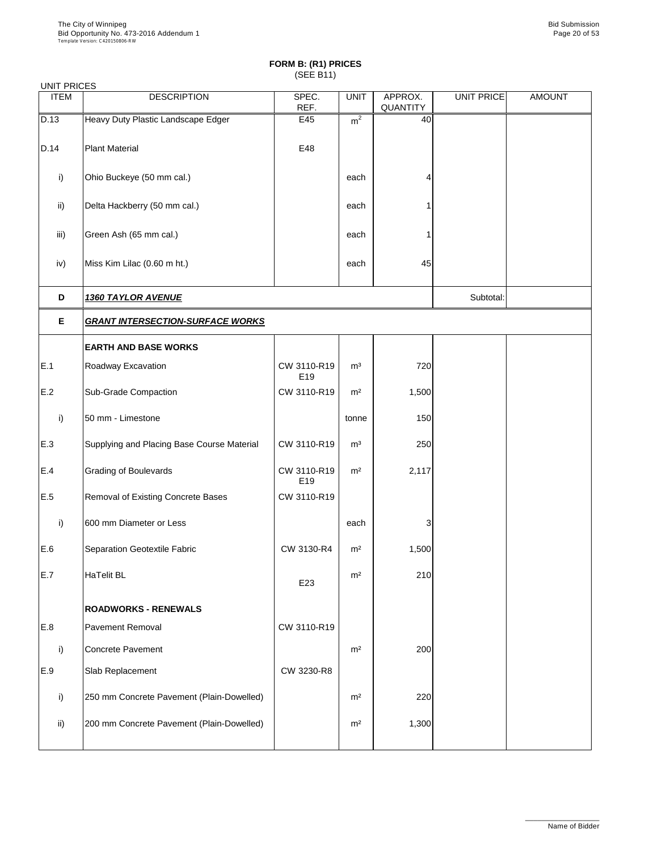| <b>UNIT PRICES</b> |                                            |                    |                |                            |                   |               |  |  |  |
|--------------------|--------------------------------------------|--------------------|----------------|----------------------------|-------------------|---------------|--|--|--|
| <b>ITEM</b>        | <b>DESCRIPTION</b>                         | SPEC.<br>REF.      | <b>UNIT</b>    | APPROX.<br><b>QUANTITY</b> | <b>UNIT PRICE</b> | <b>AMOUNT</b> |  |  |  |
| D.13               | Heavy Duty Plastic Landscape Edger         | E45                | m <sup>2</sup> | 40                         |                   |               |  |  |  |
| D.14               | <b>Plant Material</b>                      | E48                |                |                            |                   |               |  |  |  |
| i)                 | Ohio Buckeye (50 mm cal.)                  |                    | each           |                            |                   |               |  |  |  |
| $\mathsf{ii}$      | Delta Hackberry (50 mm cal.)               |                    | each           |                            |                   |               |  |  |  |
| iii)               | Green Ash (65 mm cal.)                     |                    | each           |                            |                   |               |  |  |  |
| iv)                | Miss Kim Lilac (0.60 m ht.)                |                    | each           | 45                         |                   |               |  |  |  |
| D                  | <b>1360 TAYLOR AVENUE</b>                  |                    |                |                            |                   |               |  |  |  |
| E                  | <b>GRANT INTERSECTION-SURFACE WORKS</b>    |                    |                |                            |                   |               |  |  |  |
|                    | <b>EARTH AND BASE WORKS</b>                |                    |                |                            |                   |               |  |  |  |
| E.1                | Roadway Excavation                         | CW 3110-R19<br>E19 | m <sup>3</sup> | 720                        |                   |               |  |  |  |
| E.2                | <b>Sub-Grade Compaction</b>                | CW 3110-R19        | m <sup>2</sup> | 1,500                      |                   |               |  |  |  |
| i)                 | 50 mm - Limestone                          |                    | tonne          | 150                        |                   |               |  |  |  |
| E.3                | Supplying and Placing Base Course Material | CW 3110-R19        | m <sup>3</sup> | 250                        |                   |               |  |  |  |
| E.4                | <b>Grading of Boulevards</b>               | CW 3110-R19<br>E19 | m <sup>2</sup> | 2,117                      |                   |               |  |  |  |
| E.5                | <b>Removal of Existing Concrete Bases</b>  | CW 3110-R19        |                |                            |                   |               |  |  |  |
| i)                 | 600 mm Diameter or Less                    |                    | each           | 3                          |                   |               |  |  |  |
| E.6                | Separation Geotextile Fabric               | CW 3130-R4         | m <sup>2</sup> | 1,500                      |                   |               |  |  |  |
| E.7                | HaTelit BL                                 | E23                | m <sup>2</sup> | 210                        |                   |               |  |  |  |
|                    | <b>ROADWORKS - RENEWALS</b>                |                    |                |                            |                   |               |  |  |  |
| E.8                | <b>Pavement Removal</b>                    | CW 3110-R19        |                |                            |                   |               |  |  |  |
| i)                 | <b>Concrete Pavement</b>                   |                    | m <sup>2</sup> | 200                        |                   |               |  |  |  |

| .,            | <b>UUINGGI AVGIIGII</b>                    |            | .              | ∠∪∪   |  |
|---------------|--------------------------------------------|------------|----------------|-------|--|
| E.9           | <b>Slab Replacement</b>                    | CW 3230-R8 |                |       |  |
|               | [250 mm Concrete Pavement (Plain-Dowelled) |            | m <sup>2</sup> | 220   |  |
| $\mathsf{ii}$ | 200 mm Concrete Pavement (Plain-Dowelled)  |            | m <sup>2</sup> | 1,300 |  |
|               |                                            |            |                |       |  |

\_\_\_\_\_\_\_\_\_\_\_\_\_\_\_\_\_\_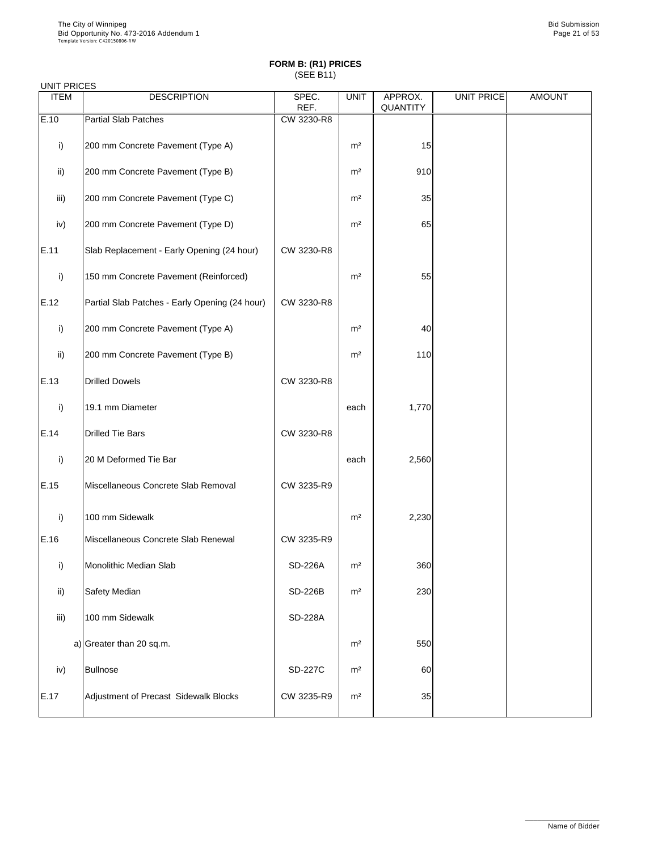## UNIT PRICES

| <b>ITEM</b>     | <b>DESCRIPTION</b>                             | SPEC.<br>REF.  | <b>UNIT</b>    | APPROX.<br>QUANTITY | <b>UNIT PRICE</b> | <b>AMOUNT</b> |
|-----------------|------------------------------------------------|----------------|----------------|---------------------|-------------------|---------------|
| E.10            | <b>Partial Slab Patches</b>                    | CW 3230-R8     |                |                     |                   |               |
| i)              | 200 mm Concrete Pavement (Type A)              |                | m <sup>2</sup> | 15                  |                   |               |
| $\mathsf{ii}$ ) | 200 mm Concrete Pavement (Type B)              |                | m <sup>2</sup> | 910                 |                   |               |
| iii)            | 200 mm Concrete Pavement (Type C)              |                | m <sup>2</sup> | 35                  |                   |               |
| iv)             | 200 mm Concrete Pavement (Type D)              |                | m <sup>2</sup> | 65                  |                   |               |
| E.11            | Slab Replacement - Early Opening (24 hour)     | CW 3230-R8     |                |                     |                   |               |
| i)              | 150 mm Concrete Pavement (Reinforced)          |                | m <sup>2</sup> | 55                  |                   |               |
| E.12            | Partial Slab Patches - Early Opening (24 hour) | CW 3230-R8     |                |                     |                   |               |
| i)              | 200 mm Concrete Pavement (Type A)              |                | m <sup>2</sup> | 40                  |                   |               |
| $\mathsf{ii}$   | 200 mm Concrete Pavement (Type B)              |                | m <sup>2</sup> | 110                 |                   |               |
| E.13            | <b>Drilled Dowels</b>                          | CW 3230-R8     |                |                     |                   |               |
| i)              | 19.1 mm Diameter                               |                | each           | 1,770               |                   |               |
| E.14            | Drilled Tie Bars                               | CW 3230-R8     |                |                     |                   |               |
| i)              | 20 M Deformed Tie Bar                          |                | each           | 2,560               |                   |               |
| E.15            | Miscellaneous Concrete Slab Removal            | CW 3235-R9     |                |                     |                   |               |
| i)              | 100 mm Sidewalk                                |                | m <sup>2</sup> | 2,230               |                   |               |
| E.16            | Miscellaneous Concrete Slab Renewal            | CW 3235-R9     |                |                     |                   |               |
| i)              | <b>Monolithic Median Slab</b>                  | <b>SD-226A</b> | m <sup>2</sup> | 360                 |                   |               |
| ii)             | <b>Safety Median</b>                           | <b>SD-226B</b> | m <sup>2</sup> | 230                 |                   |               |
| iii)            | 100 mm Sidewalk                                | <b>SD-228A</b> |                |                     |                   |               |
|                 | a) Greater than 20 sq.m.                       |                | m <sup>2</sup> | 550                 |                   |               |

| iv)  | <b>Bullnose</b>                       | <b>SD-227C</b> | m <sup>2</sup> | 60 |  |
|------|---------------------------------------|----------------|----------------|----|--|
| E.17 | Adjustment of Precast Sidewalk Blocks | CW 3235-R9     | m <sup>2</sup> | 35 |  |

\_\_\_\_\_\_\_\_\_\_\_\_\_\_\_\_\_\_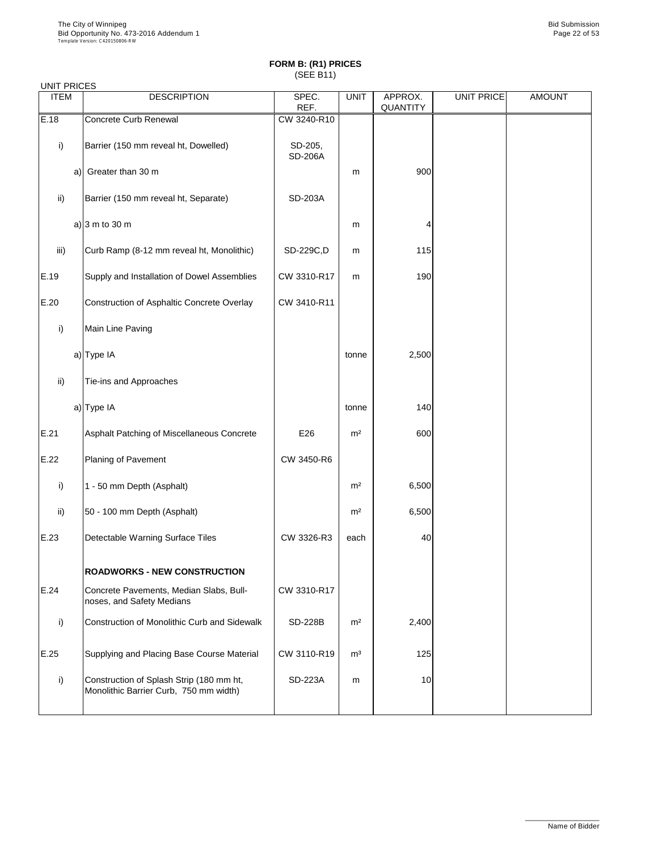#### UNIT PRICES

| <b>ITEM</b>     | <b>DESCRIPTION</b>                                                   | SPEC.<br>REF.             | <b>UNIT</b>    | APPROX.<br><b>QUANTITY</b> | <b>UNIT PRICE</b> | <b>AMOUNT</b> |
|-----------------|----------------------------------------------------------------------|---------------------------|----------------|----------------------------|-------------------|---------------|
| E.18            | <b>Concrete Curb Renewal</b>                                         | CW 3240-R10               |                |                            |                   |               |
| i)              | Barrier (150 mm reveal ht, Dowelled)                                 | SD-205,<br><b>SD-206A</b> |                |                            |                   |               |
|                 | a) Greater than 30 m                                                 |                           | m              | 900                        |                   |               |
| $\mathsf{ii}$ ) | Barrier (150 mm reveal ht, Separate)                                 | <b>SD-203A</b>            |                |                            |                   |               |
|                 | a) $ 3 \text{ m}$ to 30 m                                            |                           | m              | 4                          |                   |               |
| iii)            | Curb Ramp (8-12 mm reveal ht, Monolithic)                            | SD-229C,D                 | ${\sf m}$      | 115                        |                   |               |
| E.19            | Supply and Installation of Dowel Assemblies                          | CW 3310-R17               | ${\sf m}$      | 190                        |                   |               |
| E.20            | Construction of Asphaltic Concrete Overlay                           | CW 3410-R11               |                |                            |                   |               |
| i)              | Main Line Paving                                                     |                           |                |                            |                   |               |
|                 | a) Type IA                                                           |                           | tonne          | 2,500                      |                   |               |
| $\mathsf{ii}$ ) | Tie-ins and Approaches                                               |                           |                |                            |                   |               |
|                 | a) $Type IA$                                                         |                           | tonne          | 140                        |                   |               |
| E.21            | Asphalt Patching of Miscellaneous Concrete                           | E26                       | m <sup>2</sup> | 600                        |                   |               |
| E.22            | Planing of Pavement                                                  | CW 3450-R6                |                |                            |                   |               |
| i)              | 1 - 50 mm Depth (Asphalt)                                            |                           | m <sup>2</sup> | 6,500                      |                   |               |
| $\mathsf{ii}$   | 50 - 100 mm Depth (Asphalt)                                          |                           | m <sup>2</sup> | 6,500                      |                   |               |
| E.23            | <b>Detectable Warning Surface Tiles</b>                              | CW 3326-R3                | each           | 40                         |                   |               |
|                 | <b>ROADWORKS - NEW CONSTRUCTION</b>                                  |                           |                |                            |                   |               |
| E.24            | Concrete Pavements, Median Slabs, Bull-<br>noses, and Safety Medians | CW 3310-R17               |                |                            |                   |               |
| i)              | <b>Construction of Monolithic Curb and Sidewalk</b>                  | <b>SD-228B</b>            | m <sup>2</sup> | 2,400                      |                   |               |
| E.25            | Supplying and Placing Base Course Material                           | CW 3110-R19               | m <sup>3</sup> | 125                        |                   |               |

| ---- |                                                                                    |                | - - - | ---- |  |
|------|------------------------------------------------------------------------------------|----------------|-------|------|--|
|      | Construction of Splash Strip (180 mm ht,<br>Monolithic Barrier Curb, 750 mm width) | <b>SD-223A</b> | m     | 10   |  |
|      |                                                                                    |                |       |      |  |

\_\_\_\_\_\_\_\_\_\_\_\_\_\_\_\_\_\_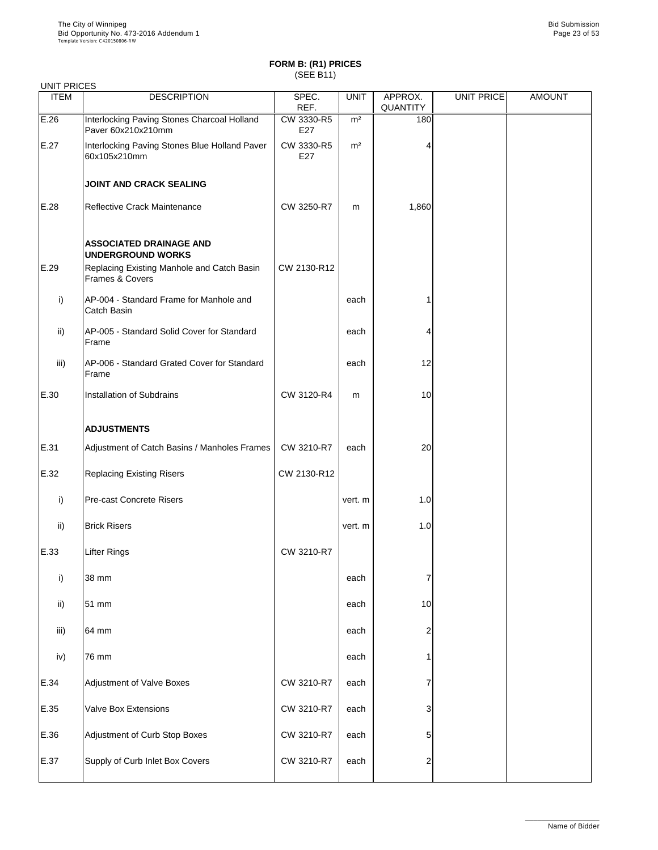| <b>UNIT PRICES</b> |                                                                          |                   |                |                            |                   |               |
|--------------------|--------------------------------------------------------------------------|-------------------|----------------|----------------------------|-------------------|---------------|
| <b>ITEM</b>        | <b>DESCRIPTION</b>                                                       | SPEC.<br>REF.     | <b>UNIT</b>    | APPROX.<br><b>QUANTITY</b> | <b>UNIT PRICE</b> | <b>AMOUNT</b> |
| E.26               | Interlocking Paving Stones Charcoal Holland<br>Paver 60x210x210mm        | CW 3330-R5<br>E27 | m <sup>2</sup> | 180                        |                   |               |
| E.27               | Interlocking Paving Stones Blue Holland Paver<br>60x105x210mm            | CW 3330-R5<br>E27 | m <sup>2</sup> |                            |                   |               |
|                    | <b>JOINT AND CRACK SEALING</b>                                           |                   |                |                            |                   |               |
| E.28               | <b>Reflective Crack Maintenance</b>                                      | CW 3250-R7        | m              | 1,860                      |                   |               |
|                    | <b>ASSOCIATED DRAINAGE AND</b><br><b>UNDERGROUND WORKS</b>               |                   |                |                            |                   |               |
| E.29               | Replacing Existing Manhole and Catch Basin<br><b>Frames &amp; Covers</b> | CW 2130-R12       |                |                            |                   |               |
| i)                 | AP-004 - Standard Frame for Manhole and<br><b>Catch Basin</b>            |                   | each           |                            |                   |               |
| $\mathsf{ii}$      | AP-005 - Standard Solid Cover for Standard<br>Frame                      |                   | each           | 4                          |                   |               |
| iii)               | AP-006 - Standard Grated Cover for Standard<br>Frame                     |                   | each           | 12                         |                   |               |
| E.30               | <b>Installation of Subdrains</b>                                         | CW 3120-R4        | m              | 10                         |                   |               |
|                    | <b>ADJUSTMENTS</b>                                                       |                   |                |                            |                   |               |
| E.31               | Adjustment of Catch Basins / Manholes Frames                             | CW 3210-R7        | each           | 20                         |                   |               |
| E.32               | <b>Replacing Existing Risers</b>                                         | CW 2130-R12       |                |                            |                   |               |
| i)                 | <b>Pre-cast Concrete Risers</b>                                          |                   | vert. m        | 1.0                        |                   |               |
| $\mathsf{ii}$      | <b>Brick Risers</b>                                                      |                   | vert. m        | 1.0                        |                   |               |
| E.33               | <b>Lifter Rings</b>                                                      | CW 3210-R7        |                |                            |                   |               |
| i)                 | 38 mm                                                                    |                   | each           |                            |                   |               |
| ii)                | 51 mm                                                                    |                   | each           | 10                         |                   |               |
| iii)               | 64 mm                                                                    |                   | each           | 2                          |                   |               |
| iv)                | 76 mm                                                                    |                   | each           |                            |                   |               |
| E.34               | <b>Adjustment of Valve Boxes</b>                                         | CW 3210-R7        | each           |                            |                   |               |
| E.35               | <b>Valve Box Extensions</b>                                              | CW 3210-R7        | each           | 3                          |                   |               |
| E.36               | Adjustment of Curb Stop Boxes                                            | CW 3210-R7        | each           |                            |                   |               |
| E.37               | Supply of Curb Inlet Box Covers                                          | CW 3210-R7        | each           | $\overline{2}$             |                   |               |

\_\_\_\_\_\_\_\_\_\_\_\_\_\_\_\_\_\_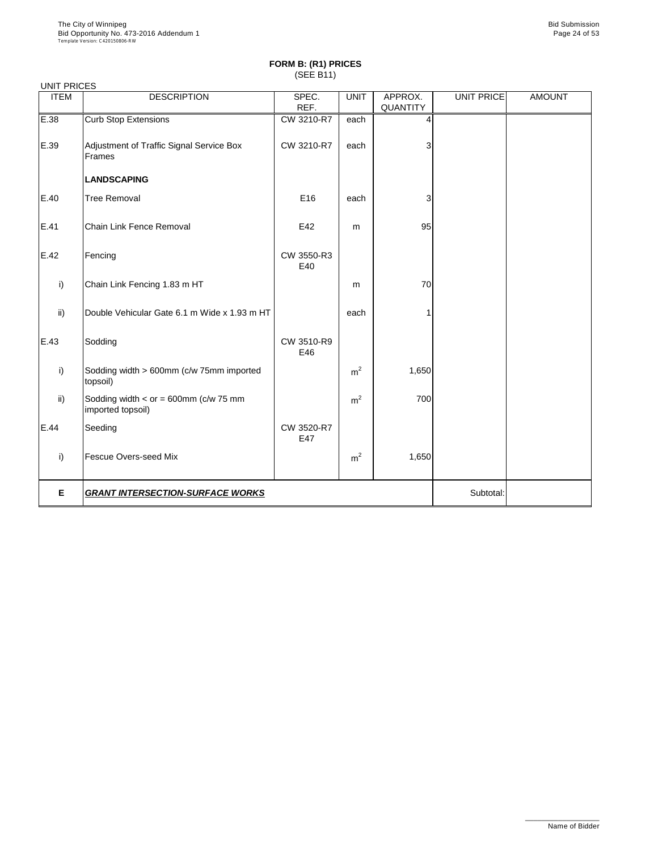| <b>UNIT PRICES</b> |                                                              |                   |                |                 |            |               |  |  |  |
|--------------------|--------------------------------------------------------------|-------------------|----------------|-----------------|------------|---------------|--|--|--|
| <b>ITEM</b>        | <b>DESCRIPTION</b>                                           | SPEC.             | <b>UNIT</b>    | APPROX.         | UNIT PRICE | <b>AMOUNT</b> |  |  |  |
|                    |                                                              | REF.              |                | <b>QUANTITY</b> |            |               |  |  |  |
| E.38               | <b>Curb Stop Extensions</b>                                  | CW 3210-R7        | each           | 4               |            |               |  |  |  |
| E.39               | Adjustment of Traffic Signal Service Box<br>Frames           | CW 3210-R7        | each           | 3               |            |               |  |  |  |
|                    | <b>LANDSCAPING</b>                                           |                   |                |                 |            |               |  |  |  |
| E.40               | <b>Tree Removal</b>                                          | E16               | each           | 3               |            |               |  |  |  |
| E.41               | <b>Chain Link Fence Removal</b>                              | E42               | m              | 95              |            |               |  |  |  |
| E.42               | Fencing                                                      | CW 3550-R3<br>E40 |                |                 |            |               |  |  |  |
| i)                 | Chain Link Fencing 1.83 m HT                                 |                   | m              | 70              |            |               |  |  |  |
| $\mathsf{ii}$      | Double Vehicular Gate 6.1 m Wide x 1.93 m HT                 |                   | each           |                 |            |               |  |  |  |
| E.43               | Sodding                                                      | CW 3510-R9<br>E46 |                |                 |            |               |  |  |  |
| i)                 | Sodding width > 600mm (c/w 75mm imported<br>topsoil)         |                   | m <sup>2</sup> | 1,650           |            |               |  |  |  |
| $\mathsf{ii}$      | Sodding width $<$ or = 600mm (c/w 75 mm<br>imported topsoil) |                   | m <sup>2</sup> | 700             |            |               |  |  |  |
| E.44               | Seeding                                                      | CW 3520-R7<br>E47 |                |                 |            |               |  |  |  |
| i)                 | <b>Fescue Overs-seed Mix</b>                                 |                   | m <sup>2</sup> | 1,650           |            |               |  |  |  |
| E.                 | <b>GRANT INTERSECTION-SURFACE WORKS</b>                      | Subtotal:         |                |                 |            |               |  |  |  |

\_\_\_\_\_\_\_\_\_\_\_\_\_\_\_\_\_\_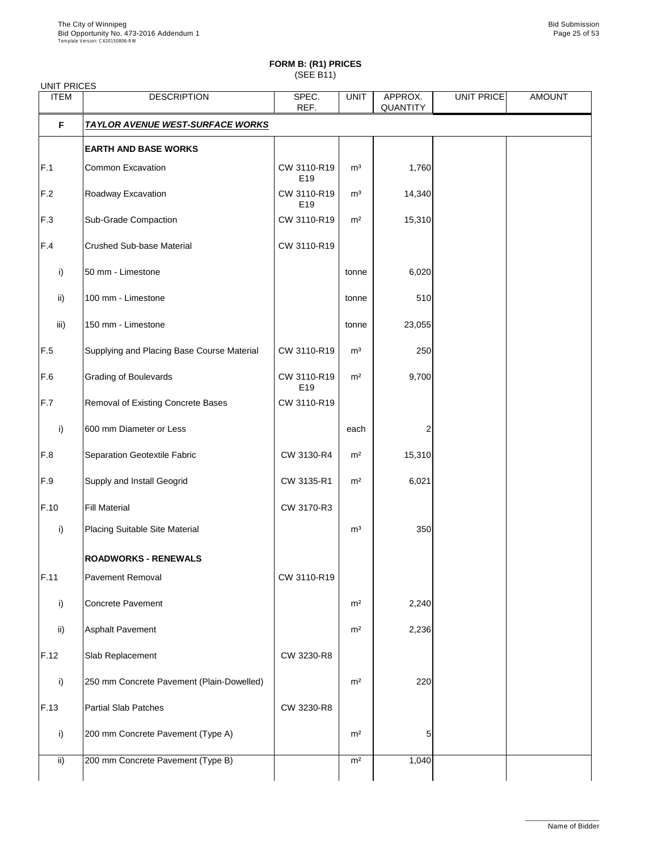| <b>UNIT PRICES</b> |                                            |                                |                |                            |                   |               |
|--------------------|--------------------------------------------|--------------------------------|----------------|----------------------------|-------------------|---------------|
| <b>ITEM</b>        | <b>DESCRIPTION</b>                         | SPEC.<br>REF.                  | <b>UNIT</b>    | APPROX.<br><b>QUANTITY</b> | <b>UNIT PRICE</b> | <b>AMOUNT</b> |
| F                  | <b>TAYLOR AVENUE WEST-SURFACE WORKS</b>    |                                |                |                            |                   |               |
|                    | <b>EARTH AND BASE WORKS</b>                |                                |                |                            |                   |               |
| F.1                | <b>Common Excavation</b>                   | CW 3110-R19<br>E <sub>19</sub> | m <sup>3</sup> | 1,760                      |                   |               |
| F.2                | Roadway Excavation                         | CW 3110-R19<br>E <sub>19</sub> | m <sup>3</sup> | 14,340                     |                   |               |
| F.3                | <b>Sub-Grade Compaction</b>                | CW 3110-R19                    | m <sup>2</sup> | 15,310                     |                   |               |
| F.4                | <b>Crushed Sub-base Material</b>           | CW 3110-R19                    |                |                            |                   |               |
| i)                 | 50 mm - Limestone                          |                                | tonne          | 6,020                      |                   |               |
| $\mathsf{ii}$      | 100 mm - Limestone                         |                                | tonne          | 510                        |                   |               |
| iii)               | 150 mm - Limestone                         |                                | tonne          | 23,055                     |                   |               |
| F.5                | Supplying and Placing Base Course Material | CW 3110-R19                    | m <sup>3</sup> | 250                        |                   |               |
| F.6                | <b>Grading of Boulevards</b>               | CW 3110-R19<br>E <sub>19</sub> | m <sup>2</sup> | 9,700                      |                   |               |
| F.7                | Removal of Existing Concrete Bases         | CW 3110-R19                    |                |                            |                   |               |
| i)                 | 600 mm Diameter or Less                    |                                | each           |                            |                   |               |
| F.8                | <b>Separation Geotextile Fabric</b>        | CW 3130-R4                     | m <sup>2</sup> | 15,310                     |                   |               |
| F.9                | <b>Supply and Install Geogrid</b>          | CW 3135-R1                     | m <sup>2</sup> | 6,021                      |                   |               |
| F.10               | <b>Fill Material</b>                       | CW 3170-R3                     |                |                            |                   |               |
| i)                 | <b>Placing Suitable Site Material</b>      |                                | m <sup>3</sup> | 350                        |                   |               |
|                    | <b>ROADWORKS - RENEWALS</b>                |                                |                |                            |                   |               |
| F.11               | <b>Pavement Removal</b>                    | CW 3110-R19                    |                |                            |                   |               |
| i)                 | Concrete Pavement                          |                                | m <sup>2</sup> | 2,240                      |                   |               |
| $\mathsf{ii}$      | <b>Asphalt Pavement</b>                    |                                | m <sup>2</sup> | 2,236                      |                   |               |
| F.12               | Slab Replacement                           | CW 3230-R8                     |                |                            |                   |               |
| $\mathsf{i}$       | 250 mm Concrete Pavement (Plain-Dowelled)  |                                | m <sup>2</sup> | 220                        |                   |               |
| F.13               | <b>Partial Slab Patches</b>                | CW 3230-R8                     |                |                            |                   |               |
| i)                 | 200 mm Concrete Pavement (Type A)          |                                | m <sup>2</sup> | $5 \mid$                   |                   |               |
| $\mathsf{ii}$      | 200 mm Concrete Pavement (Type B)          |                                | m <sup>2</sup> | 1,040                      |                   |               |

\_\_\_\_\_\_\_\_\_\_\_\_\_\_\_\_\_\_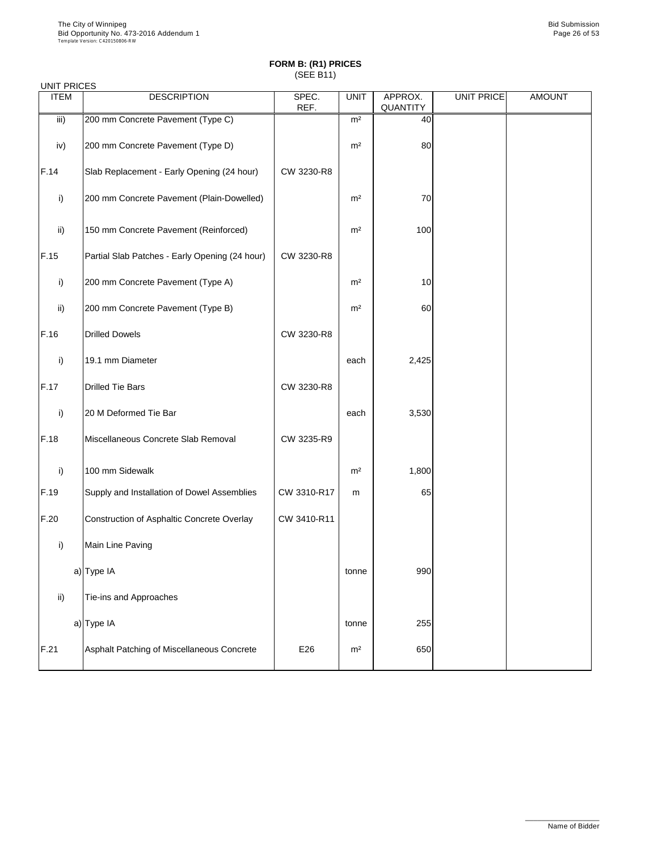| <b>UNIT PRICES</b> |                                                |               |                |                            |            |               |
|--------------------|------------------------------------------------|---------------|----------------|----------------------------|------------|---------------|
| <b>ITEM</b>        | <b>DESCRIPTION</b>                             | SPEC.<br>REF. | <b>UNIT</b>    | APPROX.<br><b>QUANTITY</b> | UNIT PRICE | <b>AMOUNT</b> |
| iii)               | 200 mm Concrete Pavement (Type C)              |               | m <sup>2</sup> | 40                         |            |               |
| iv)                | 200 mm Concrete Pavement (Type D)              |               | m <sup>2</sup> | 80                         |            |               |
| F.14               | Slab Replacement - Early Opening (24 hour)     | CW 3230-R8    |                |                            |            |               |
| i)                 | 200 mm Concrete Pavement (Plain-Dowelled)      |               | m <sup>2</sup> | 70                         |            |               |
| $\mathsf{ii}$      | 150 mm Concrete Pavement (Reinforced)          |               | m <sup>2</sup> | 100                        |            |               |
| F.15               | Partial Slab Patches - Early Opening (24 hour) | CW 3230-R8    |                |                            |            |               |
| i)                 | 200 mm Concrete Pavement (Type A)              |               | m <sup>2</sup> | 10                         |            |               |
| $\mathsf{ii}$      | 200 mm Concrete Pavement (Type B)              |               | m <sup>2</sup> | 60                         |            |               |
| F.16               | <b>Drilled Dowels</b>                          | CW 3230-R8    |                |                            |            |               |
| i)                 | 19.1 mm Diameter                               |               | each           | 2,425                      |            |               |
| F.17               | <b>Drilled Tie Bars</b>                        | CW 3230-R8    |                |                            |            |               |
| i)                 | 20 M Deformed Tie Bar                          |               | each           | 3,530                      |            |               |
| F.18               | Miscellaneous Concrete Slab Removal            | CW 3235-R9    |                |                            |            |               |
| i)                 | 100 mm Sidewalk                                |               | m <sup>2</sup> | 1,800                      |            |               |
| F.19               | Supply and Installation of Dowel Assemblies    | CW 3310-R17   | m              | 65                         |            |               |
| F.20               | Construction of Asphaltic Concrete Overlay     | CW 3410-R11   |                |                            |            |               |
| i)                 | Main Line Paving                               |               |                |                            |            |               |
|                    | a) Type IA                                     |               | tonne          | 990                        |            |               |
| $\mathsf{ii}$      | Tie-ins and Approaches                         |               |                |                            |            |               |
|                    | a) Type IA                                     |               | tonne          | 255                        |            |               |
| F.21               | Asphalt Patching of Miscellaneous Concrete     | E26           | m <sup>2</sup> | 650                        |            |               |

\_\_\_\_\_\_\_\_\_\_\_\_\_\_\_\_\_\_

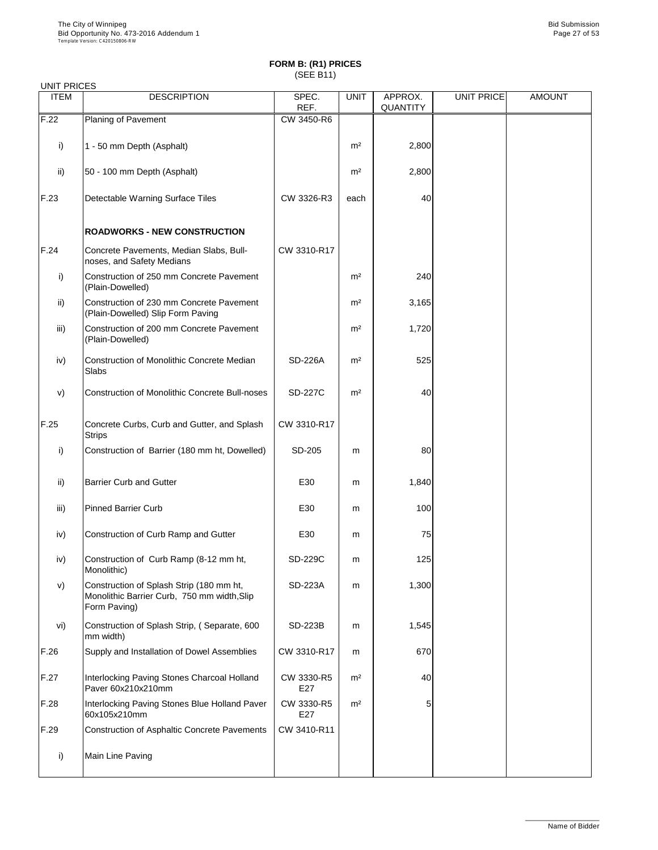| <b>UNIT PRICES</b> |                                                                                                         |                |                |                            |                   |               |
|--------------------|---------------------------------------------------------------------------------------------------------|----------------|----------------|----------------------------|-------------------|---------------|
| <b>ITEM</b>        | <b>DESCRIPTION</b>                                                                                      | SPEC.<br>REF.  | <b>UNIT</b>    | APPROX.<br><b>QUANTITY</b> | <b>UNIT PRICE</b> | <b>AMOUNT</b> |
| F.22               | <b>Planing of Pavement</b>                                                                              | CW 3450-R6     |                |                            |                   |               |
| i)                 | 1 - 50 mm Depth (Asphalt)                                                                               |                | m <sup>2</sup> | 2,800                      |                   |               |
| ii)                | 50 - 100 mm Depth (Asphalt)                                                                             |                | m <sup>2</sup> | 2,800                      |                   |               |
| F.23               | Detectable Warning Surface Tiles                                                                        | CW 3326-R3     | each           | 40                         |                   |               |
|                    | <b>ROADWORKS - NEW CONSTRUCTION</b>                                                                     |                |                |                            |                   |               |
| F.24               | Concrete Pavements, Median Slabs, Bull-<br>noses, and Safety Medians                                    | CW 3310-R17    |                |                            |                   |               |
| i)                 | Construction of 250 mm Concrete Pavement<br>(Plain-Dowelled)                                            |                | m <sup>2</sup> | 240                        |                   |               |
| $\mathsf{ii}$      | Construction of 230 mm Concrete Pavement<br>(Plain-Dowelled) Slip Form Paving                           |                | m <sup>2</sup> | 3,165                      |                   |               |
| iii)               | Construction of 200 mm Concrete Pavement<br>(Plain-Dowelled)                                            |                | m <sup>2</sup> | 1,720                      |                   |               |
| iv)                | <b>Construction of Monolithic Concrete Median</b><br>Slabs                                              | <b>SD-226A</b> | m <sup>2</sup> | 525                        |                   |               |
| V)                 | <b>Construction of Monolithic Concrete Bull-noses</b>                                                   | <b>SD-227C</b> | m <sup>2</sup> | 40                         |                   |               |
| F.25               | Concrete Curbs, Curb and Gutter, and Splash<br><b>Strips</b>                                            | CW 3310-R17    |                |                            |                   |               |
| $\mathsf{i}$       | Construction of Barrier (180 mm ht, Dowelled)                                                           | SD-205         | m              | 80                         |                   |               |
| $\mathsf{ii}$      | <b>Barrier Curb and Gutter</b>                                                                          | E30            | m              | 1,840                      |                   |               |
| iii)               | <b>Pinned Barrier Curb</b>                                                                              | E30            | m              | 100                        |                   |               |
| iv)                | Construction of Curb Ramp and Gutter                                                                    | E30            | m              | 75                         |                   |               |
| iv)                | Construction of Curb Ramp (8-12 mm ht,<br>Monolithic)                                                   | <b>SD-229C</b> | m              | 125                        |                   |               |
| V)                 | Construction of Splash Strip (180 mm ht,<br>Monolithic Barrier Curb, 750 mm width, Slip<br>Form Paving) | <b>SD-223A</b> | m              | 1,300                      |                   |               |
| vi)                | Construction of Splash Strip, (Separate, 600<br>mm width)                                               | <b>SD-223B</b> | m              | 1,545                      |                   |               |
| F.26               | Supply and Installation of Dowel Assemblies                                                             | CW 3310-R17    | m              | 670                        |                   |               |

| IF.26 | Supply and Installation of Dowel Assemblies                       | CW 3310-R17       | m              | 6701 |  |
|-------|-------------------------------------------------------------------|-------------------|----------------|------|--|
| F.27  | Interlocking Paving Stones Charcoal Holland<br>Paver 60x210x210mm | CW 3330-R5<br>E27 | m <sup>2</sup> | 40   |  |
| F.28  | Interlocking Paving Stones Blue Holland Paver<br>60x105x210mm     | CW 3330-R5<br>E27 | m <sup>2</sup> |      |  |
| F.29  | Construction of Asphaltic Concrete Pavements                      | CW 3410-R11       |                |      |  |
|       | Main Line Paving                                                  |                   |                |      |  |

\_\_\_\_\_\_\_\_\_\_\_\_\_\_\_\_\_\_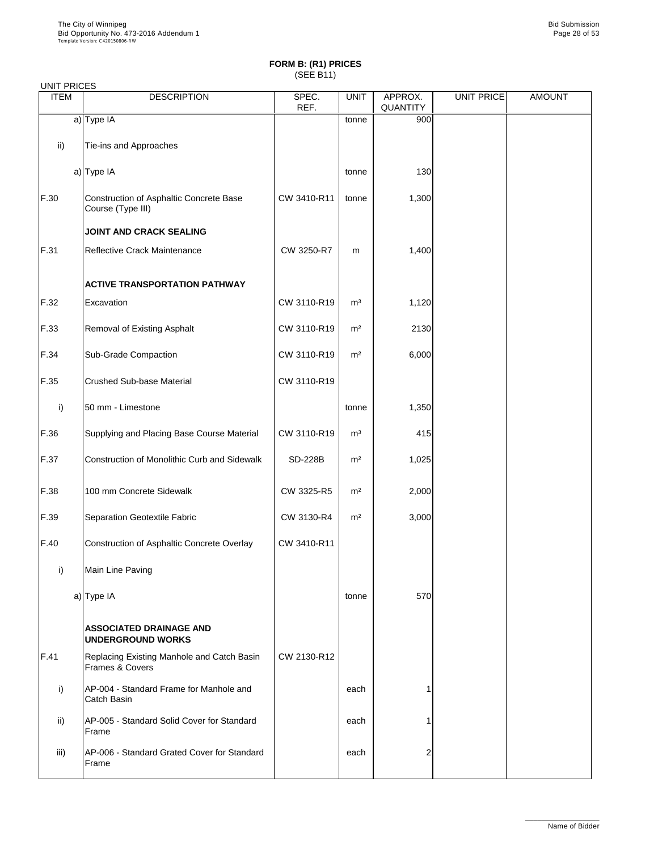#### UNIT PRICES

| UNII FRIULO<br><b>ITEM</b> | <b>DESCRIPTION</b>                                            | SPEC.<br>REF.  | <b>UNIT</b>    | APPROX.<br><b>QUANTITY</b> | <b>UNIT PRICE</b> | <b>AMOUNT</b> |
|----------------------------|---------------------------------------------------------------|----------------|----------------|----------------------------|-------------------|---------------|
|                            | $a)$ Type IA                                                  |                | tonne          | 900                        |                   |               |
| $\mathsf{ii}$ )            | Tie-ins and Approaches                                        |                |                |                            |                   |               |
|                            | $a)$ Type IA                                                  |                | tonne          | 130                        |                   |               |
| F.30                       | Construction of Asphaltic Concrete Base<br>Course (Type III)  | CW 3410-R11    | tonne          | 1,300                      |                   |               |
|                            | <b>JOINT AND CRACK SEALING</b>                                |                |                |                            |                   |               |
| F.31                       | <b>Reflective Crack Maintenance</b>                           | CW 3250-R7     | m              | 1,400                      |                   |               |
|                            | <b>ACTIVE TRANSPORTATION PATHWAY</b>                          |                |                |                            |                   |               |
| F.32                       | Excavation                                                    | CW 3110-R19    | m <sup>3</sup> | 1,120                      |                   |               |
| F.33                       | <b>Removal of Existing Asphalt</b>                            | CW 3110-R19    | m <sup>2</sup> | 2130                       |                   |               |
| F.34                       | <b>Sub-Grade Compaction</b>                                   | CW 3110-R19    | m <sup>2</sup> | 6,000                      |                   |               |
| F.35                       | <b>Crushed Sub-base Material</b>                              | CW 3110-R19    |                |                            |                   |               |
| $\mathsf{i}$               | 50 mm - Limestone                                             |                | tonne          | 1,350                      |                   |               |
| F.36                       | Supplying and Placing Base Course Material                    | CW 3110-R19    | m <sup>3</sup> | 415                        |                   |               |
| F.37                       | <b>Construction of Monolithic Curb and Sidewalk</b>           | <b>SD-228B</b> | m <sup>2</sup> | 1,025                      |                   |               |
| F.38                       | 100 mm Concrete Sidewalk                                      | CW 3325-R5     | m <sup>2</sup> | 2,000                      |                   |               |
| F.39                       | <b>Separation Geotextile Fabric</b>                           | CW 3130-R4     | m <sup>2</sup> | 3,000                      |                   |               |
| F.40                       | Construction of Asphaltic Concrete Overlay                    | CW 3410-R11    |                |                            |                   |               |
| i)                         | Main Line Paving                                              |                |                |                            |                   |               |
|                            | a) Type IA                                                    |                | tonne          | 570                        |                   |               |
|                            | <b>ASSOCIATED DRAINAGE AND</b><br><b>UNDERGROUND WORKS</b>    |                |                |                            |                   |               |
| F.41                       | Replacing Existing Manhole and Catch Basin<br>Frames & Covers | CW 2130-R12    |                |                            |                   |               |
| i)                         | AP-004 - Standard Frame for Manhole and<br>Catch Basin        |                | each           |                            |                   |               |
| $\mathsf{ii}$              | AP-005 - Standard Solid Cover for Standard<br>Frame           |                | each           |                            |                   |               |
| iii)                       | AP-006 - Standard Grated Cover for Standard<br>Frame          |                | each           | $\overline{2}$             |                   |               |

\_\_\_\_\_\_\_\_\_\_\_\_\_\_\_\_\_\_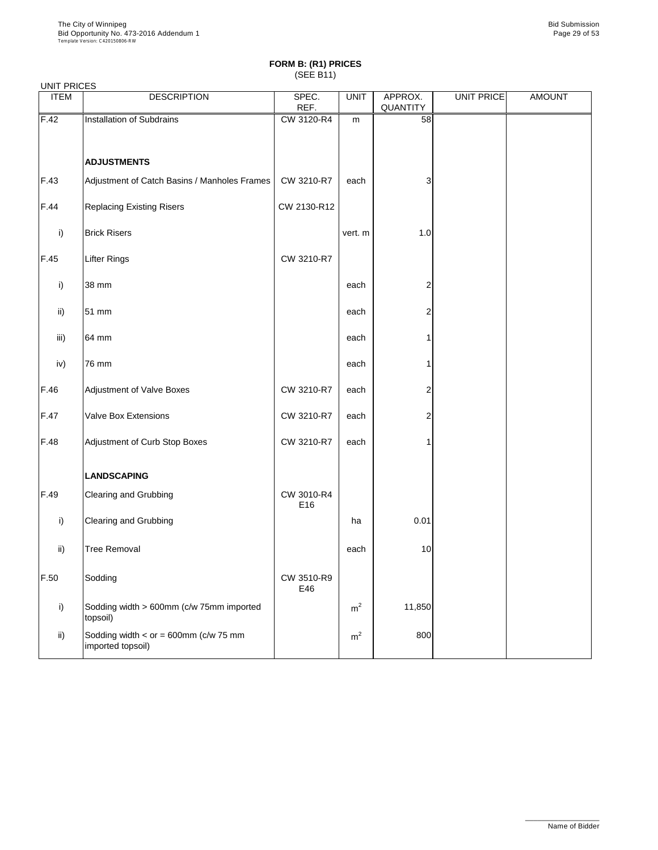#### UNIT PRICES

| <b>UITLE INCLU</b><br><b>ITEM</b> | <b>DESCRIPTION</b>                                           | SPEC.<br>REF.     | <b>UNIT</b>    | APPROX.<br>QUANTITY | UNIT PRICE | <b>AMOUNT</b> |
|-----------------------------------|--------------------------------------------------------------|-------------------|----------------|---------------------|------------|---------------|
| F.42                              | Installation of Subdrains                                    | CW 3120-R4        | m              | 58                  |            |               |
|                                   |                                                              |                   |                |                     |            |               |
|                                   | <b>ADJUSTMENTS</b>                                           |                   |                |                     |            |               |
| F.43                              | Adjustment of Catch Basins / Manholes Frames                 | CW 3210-R7        | each           | 3                   |            |               |
| F.44                              | <b>Replacing Existing Risers</b>                             | CW 2130-R12       |                |                     |            |               |
| i)                                | <b>Brick Risers</b>                                          |                   | vert. m        | 1.0                 |            |               |
| F.45                              | <b>Lifter Rings</b>                                          | CW 3210-R7        |                |                     |            |               |
| i)                                | 38 mm                                                        |                   | each           | 2                   |            |               |
| ii)                               | 51 mm                                                        |                   | each           | 2                   |            |               |
| iii)                              | 64 mm                                                        |                   | each           |                     |            |               |
| iv)                               | 76 mm                                                        |                   | each           |                     |            |               |
| F.46                              | <b>Adjustment of Valve Boxes</b>                             | CW 3210-R7        | each           | 2                   |            |               |
| F.47                              | <b>Valve Box Extensions</b>                                  | CW 3210-R7        | each           | ۷                   |            |               |
| F.48                              | Adjustment of Curb Stop Boxes                                | CW 3210-R7        | each           |                     |            |               |
|                                   | <b>LANDSCAPING</b>                                           |                   |                |                     |            |               |
| F.49                              | <b>Clearing and Grubbing</b>                                 | CW 3010-R4<br>E16 |                |                     |            |               |
| i)                                | <b>Clearing and Grubbing</b>                                 |                   | ha             | 0.01                |            |               |
| $\mathsf{ii}$                     | <b>Tree Removal</b>                                          |                   | each           | 10                  |            |               |
| F.50                              | Sodding                                                      | CW 3510-R9<br>E46 |                |                     |            |               |
| i)                                | Sodding width > 600mm (c/w 75mm imported<br>topsoil)         |                   | m <sup>2</sup> | 11,850              |            |               |
| $\mathsf{ii}$                     | Sodding width $<$ or = 600mm (c/w 75 mm<br>imported topsoil) |                   | m <sup>2</sup> | 800                 |            |               |

\_\_\_\_\_\_\_\_\_\_\_\_\_\_\_\_\_\_

Name of Bidder

┙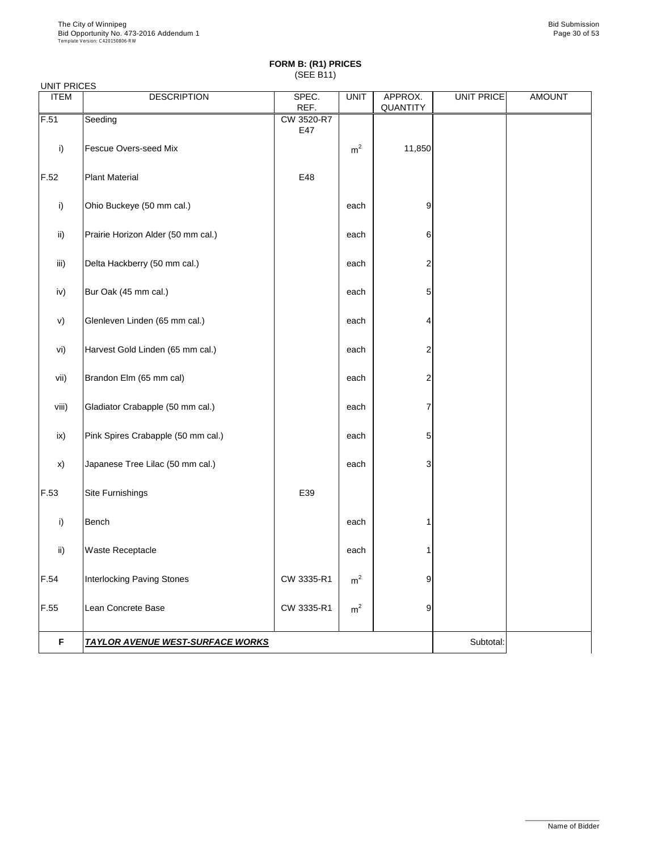| UNIT PRICES |  |
|-------------|--|
|-------------|--|

| <b>ITEM</b>   | <b>DESCRIPTION</b>                 | SPEC.<br>REF. | <b>UNIT</b>    | APPROX.<br>QUANTITY | <b>UNIT PRICE</b> | <b>AMOUNT</b> |  |
|---------------|------------------------------------|---------------|----------------|---------------------|-------------------|---------------|--|
| F.51          | Seeding                            | CW 3520-R7    |                |                     |                   |               |  |
|               |                                    | E47           |                |                     |                   |               |  |
| i)            | <b>Fescue Overs-seed Mix</b>       |               | m <sup>2</sup> | 11,850              |                   |               |  |
| F.52          | <b>Plant Material</b>              | E48           |                |                     |                   |               |  |
| i)            | Ohio Buckeye (50 mm cal.)          |               | each           | $\overline{9}$      |                   |               |  |
| $\mathsf{ii}$ | Prairie Horizon Alder (50 mm cal.) |               | each           | 6                   |                   |               |  |
| iii)          | Delta Hackberry (50 mm cal.)       |               | each           | $\overline{2}$      |                   |               |  |
| iv)           | Bur Oak (45 mm cal.)               |               | each           | 5                   |                   |               |  |
| V)            | Glenleven Linden (65 mm cal.)      |               | each           | 4                   |                   |               |  |
| vi)           | Harvest Gold Linden (65 mm cal.)   |               | each           | $\overline{2}$      |                   |               |  |
| vii)          | Brandon Elm (65 mm cal)            |               | each           | $\overline{2}$      |                   |               |  |
| viii)         | Gladiator Crabapple (50 mm cal.)   |               | each           | 7                   |                   |               |  |
| ix)           | Pink Spires Crabapple (50 mm cal.) |               | each           | 5                   |                   |               |  |
| x)            | Japanese Tree Lilac (50 mm cal.)   |               | each           | 3                   |                   |               |  |
| F.53          | Site Furnishings                   | E39           |                |                     |                   |               |  |
| i)            | <b>Bench</b>                       |               | each           |                     |                   |               |  |
| ii)           | <b>Waste Receptacle</b>            |               | each           |                     |                   |               |  |
| F.54          | <b>Interlocking Paving Stones</b>  | CW 3335-R1    | m <sup>2</sup> | 9                   |                   |               |  |
| F.55          | Lean Concrete Base                 | CW 3335-R1    | m <sup>2</sup> | 9                   |                   |               |  |
|               |                                    |               |                |                     |                   |               |  |

**F TAYLOR AVENUE WEST-SURFACE WORKS THE SUBSE IN A SUBTER SUBTOTAL SUBTOTAL** 

\_\_\_\_\_\_\_\_\_\_\_\_\_\_\_\_\_\_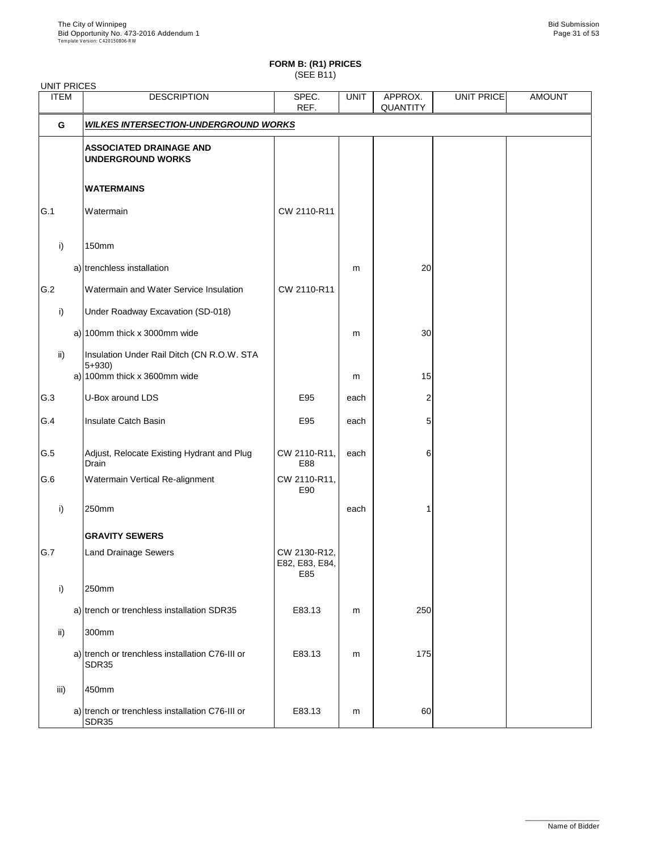| <b>UNIT PRICES</b> |                                                                                         |                                       |             |                            |            |               |
|--------------------|-----------------------------------------------------------------------------------------|---------------------------------------|-------------|----------------------------|------------|---------------|
| <b>ITEM</b>        | <b>DESCRIPTION</b>                                                                      | SPEC.<br>REF.                         | <b>UNIT</b> | APPROX.<br><b>QUANTITY</b> | UNIT PRICE | <b>AMOUNT</b> |
| G                  | <b>WILKES INTERSECTION-UNDERGROUND WORKS</b>                                            |                                       |             |                            |            |               |
|                    | <b>ASSOCIATED DRAINAGE AND</b><br><b>UNDERGROUND WORKS</b>                              |                                       |             |                            |            |               |
|                    | <b>WATERMAINS</b>                                                                       |                                       |             |                            |            |               |
| G.1                | Watermain                                                                               | CW 2110-R11                           |             |                            |            |               |
| $\mathsf{i}$       | <b>150mm</b>                                                                            |                                       |             |                            |            |               |
|                    | a) trenchless installation                                                              |                                       | m           | 20                         |            |               |
| G.2                | Watermain and Water Service Insulation                                                  | CW 2110-R11                           |             |                            |            |               |
| i)                 | Under Roadway Excavation (SD-018)                                                       |                                       |             |                            |            |               |
|                    | a) 100mm thick x 3000mm wide                                                            |                                       | m           | 30                         |            |               |
| $\mathsf{ii}$      | Insulation Under Rail Ditch (CN R.O.W. STA<br>$5 + 930$<br>a) 100mm thick x 3600mm wide |                                       | m           | 15                         |            |               |
| G.3                | U-Box around LDS                                                                        | E95                                   | each        | 2                          |            |               |
| G.4                | Insulate Catch Basin                                                                    | E95                                   | each        | 5                          |            |               |
| G.5                | Adjust, Relocate Existing Hydrant and Plug<br><b>Drain</b>                              | CW 2110-R11,<br>E88                   | each        | 6                          |            |               |
| G.6                | Watermain Vertical Re-alignment                                                         | CW 2110-R11,<br>E90                   |             |                            |            |               |
| i)                 | 250mm                                                                                   |                                       | each        |                            |            |               |
|                    | <b>GRAVITY SEWERS</b>                                                                   |                                       |             |                            |            |               |
| G.7                | <b>Land Drainage Sewers</b>                                                             | CW 2130-R12,<br>E82, E83, E84,<br>E85 |             |                            |            |               |
| i)                 | 250mm                                                                                   |                                       |             |                            |            |               |
|                    | a) trench or trenchless installation SDR35                                              | E83.13                                | m           | 250                        |            |               |
| $\mathsf{ii}$      | 300mm                                                                                   |                                       |             |                            |            |               |
|                    | a) trench or trenchless installation C76-III or<br>SDR35                                | E83.13                                | m           | 175                        |            |               |
| iii)               | 450mm                                                                                   |                                       |             |                            |            |               |
|                    | a) trench or trenchless installation C76-III or<br><b>SDR35</b>                         | E83.13                                | m           | 60                         |            |               |

\_\_\_\_\_\_\_\_\_\_\_\_\_\_\_\_\_\_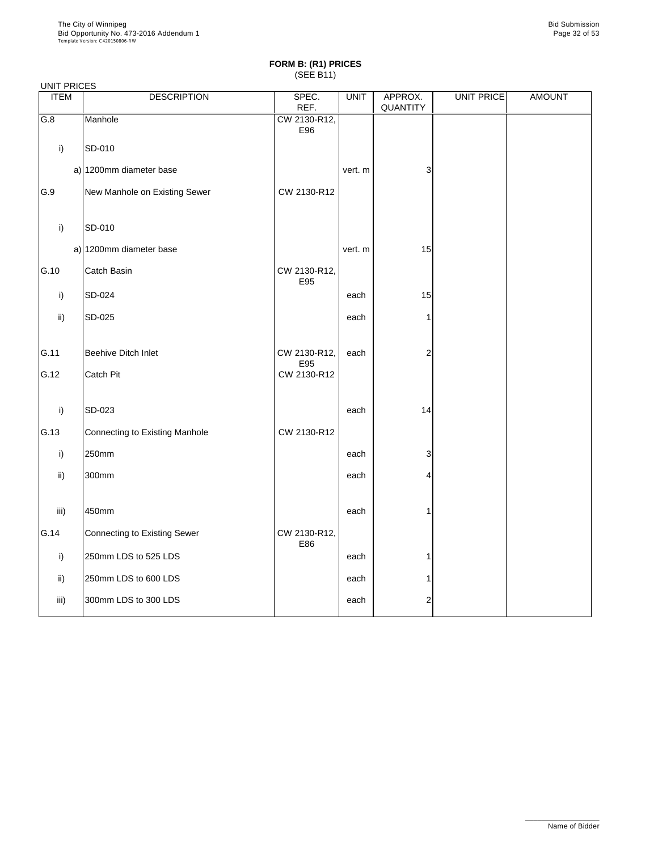| <b>UNIT PRICES</b> |                                |                     |             |                     |            |               |
|--------------------|--------------------------------|---------------------|-------------|---------------------|------------|---------------|
| <b>ITEM</b>        | <b>DESCRIPTION</b>             | SPEC.<br>REF.       | <b>UNIT</b> | APPROX.<br>QUANTITY | UNIT PRICE | <b>AMOUNT</b> |
| G.8                | Manhole                        | CW 2130-R12,<br>E96 |             |                     |            |               |
| $\mathsf{i}$       | SD-010                         |                     |             |                     |            |               |
|                    | a) 1200mm diameter base        |                     | vert. m     | 3                   |            |               |
| G.9                | New Manhole on Existing Sewer  | CW 2130-R12         |             |                     |            |               |
| i)                 | SD-010                         |                     |             |                     |            |               |
|                    | a) 1200mm diameter base        |                     | vert. m     | 15                  |            |               |
| G.10               | Catch Basin                    | CW 2130-R12,<br>E95 |             |                     |            |               |
| i)                 | SD-024                         |                     | each        | 15                  |            |               |
| ii)                | <b>SD-025</b>                  |                     | each        |                     |            |               |
| G.11               | Beehive Ditch Inlet            | CW 2130-R12,<br>E95 | each        | $\overline{2}$      |            |               |
| G.12               | Catch Pit                      | CW 2130-R12         |             |                     |            |               |
| $\mathsf{i}$       | SD-023                         |                     | each        | 14                  |            |               |
| G.13               | Connecting to Existing Manhole | CW 2130-R12         |             |                     |            |               |
| i)                 | 250mm                          |                     | each        | 3                   |            |               |
| ii)                | 300mm                          |                     | each        | 4                   |            |               |
| iii)               | 450mm                          |                     | each        |                     |            |               |
| G.14               | Connecting to Existing Sewer   | CW 2130-R12,<br>E86 |             |                     |            |               |
| i)                 | 250mm LDS to 525 LDS           |                     | each        |                     |            |               |
| $\mathsf{ii}$      | 250mm LDS to 600 LDS           |                     | each        |                     |            |               |
| iii)               | 300mm LDS to 300 LDS           |                     | each        | 2                   |            |               |

\_\_\_\_\_\_\_\_\_\_\_\_\_\_\_\_\_\_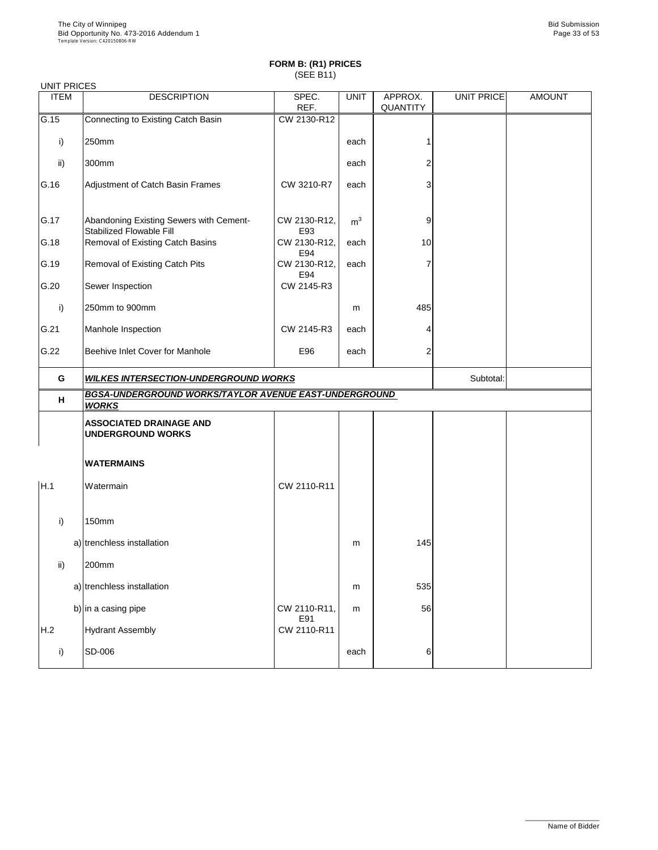| <b>UNIT PRICES</b> |                                                                            |                     |                |                            |                   |               |  |  |
|--------------------|----------------------------------------------------------------------------|---------------------|----------------|----------------------------|-------------------|---------------|--|--|
| <b>ITEM</b>        | <b>DESCRIPTION</b>                                                         | SPEC.<br>REF.       | <b>UNIT</b>    | APPROX.<br><b>QUANTITY</b> | <b>UNIT PRICE</b> | <b>AMOUNT</b> |  |  |
| G.15               | <b>Connecting to Existing Catch Basin</b>                                  | CW 2130-R12         |                |                            |                   |               |  |  |
| i)                 | 250mm                                                                      |                     | each           |                            |                   |               |  |  |
| $\mathsf{ii}$      | 300mm                                                                      |                     | each           |                            |                   |               |  |  |
| G.16               | Adjustment of Catch Basin Frames                                           | CW 3210-R7          | each           | 3                          |                   |               |  |  |
| G.17               | Abandoning Existing Sewers with Cement-<br><b>Stabilized Flowable Fill</b> | CW 2130-R12,<br>E93 | m <sup>3</sup> | 9                          |                   |               |  |  |
| G.18               | <b>Removal of Existing Catch Basins</b>                                    | CW 2130-R12,<br>E94 | each           | 10                         |                   |               |  |  |
| G.19               | <b>Removal of Existing Catch Pits</b>                                      | CW 2130-R12,<br>E94 | each           |                            |                   |               |  |  |
| G.20               | Sewer Inspection                                                           | CW 2145-R3          |                |                            |                   |               |  |  |
| $\mathsf{i}$       | 250mm to 900mm                                                             |                     | m              | 485                        |                   |               |  |  |
| G.21               | Manhole Inspection                                                         | CW 2145-R3          | each           |                            |                   |               |  |  |
| G.22               | Beehive Inlet Cover for Manhole                                            | E96                 | each           |                            |                   |               |  |  |
| G                  | <b>WILKES INTERSECTION-UNDERGROUND WORKS</b>                               |                     |                |                            | Subtotal:         |               |  |  |
| H                  | BGSA-UNDERGROUND WORKS/TAYLOR AVENUE EAST-UNDERGROUND<br><b>WORKS</b>      |                     |                |                            |                   |               |  |  |
|                    | <b>ASSOCIATED DRAINAGE AND</b><br><b>UNDERGROUND WORKS</b>                 |                     |                |                            |                   |               |  |  |
|                    | <b>WATERMAINS</b>                                                          |                     |                |                            |                   |               |  |  |
| H.1                | Watermain                                                                  | CW 2110-R11         |                |                            |                   |               |  |  |
| i)                 | <b>150mm</b>                                                               |                     |                |                            |                   |               |  |  |
|                    | a) trenchless installation                                                 |                     | m              | 145                        |                   |               |  |  |
| $\mathsf{ii}$      | 200mm                                                                      |                     |                |                            |                   |               |  |  |
|                    | a) trenchless installation                                                 |                     | m              | 535                        |                   |               |  |  |
|                    | b) in a casing pipe                                                        | CW 2110-R11,        | m              | 56                         |                   |               |  |  |
|                    |                                                                            |                     |                |                            |                   |               |  |  |
| H.2                | <b>Hydrant Assembly</b>                                                    | E91<br>CW 2110-R11  |                |                            |                   |               |  |  |

\_\_\_\_\_\_\_\_\_\_\_\_\_\_\_\_\_\_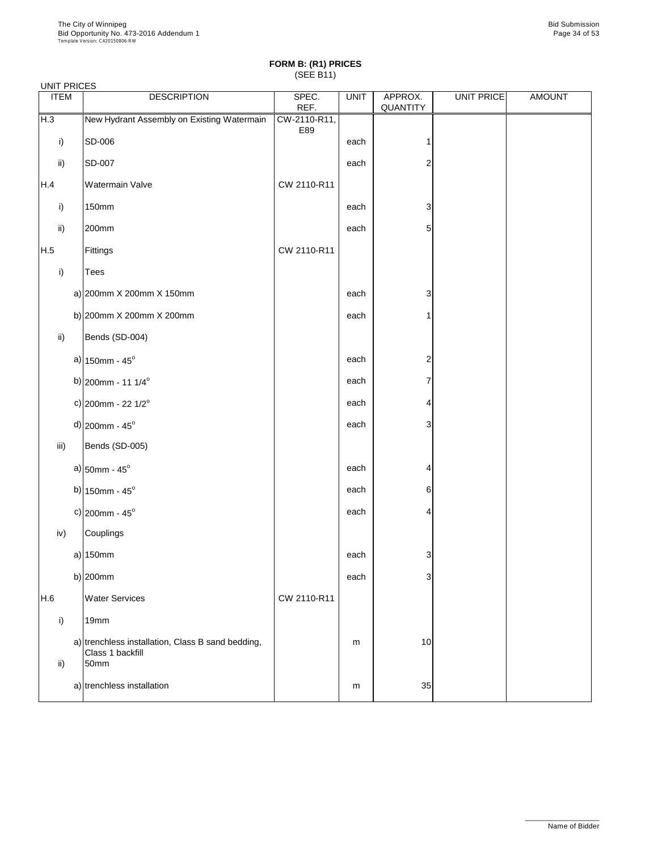| <b>UNIT PRICES</b> |                                                                       |               |             |                            |                   |               |  |  |  |  |
|--------------------|-----------------------------------------------------------------------|---------------|-------------|----------------------------|-------------------|---------------|--|--|--|--|
| <b>ITEM</b>        | <b>DESCRIPTION</b>                                                    | SPEC.<br>REF. | <b>UNIT</b> | APPROX.<br><b>QUANTITY</b> | <b>UNIT PRICE</b> | <b>AMOUNT</b> |  |  |  |  |
| H.3                | New Hydrant Assembly on Existing Watermain                            | CW-2110-R11,  |             |                            |                   |               |  |  |  |  |
| $\mathsf{i}$       | SD-006                                                                | E89           | each        |                            |                   |               |  |  |  |  |
| $\mathsf{ii}$      | SD-007                                                                |               | each        | $\overline{c}$             |                   |               |  |  |  |  |
| H.4                | <b>Watermain Valve</b>                                                | CW 2110-R11   |             |                            |                   |               |  |  |  |  |
| $\mathsf{i}$       | <b>150mm</b>                                                          |               | each        | 3                          |                   |               |  |  |  |  |
| $\mathsf{ii}$      | 200mm                                                                 |               | each        | 5                          |                   |               |  |  |  |  |
| H.5                | Fittings                                                              | CW 2110-R11   |             |                            |                   |               |  |  |  |  |
| i)                 | <b>Tees</b>                                                           |               |             |                            |                   |               |  |  |  |  |
|                    | a) $ 200$ mm X 200mm X 150mm                                          |               | each        | 3                          |                   |               |  |  |  |  |
|                    | b) $ 200$ mm X 200mm X 200mm                                          |               | each        | 1                          |                   |               |  |  |  |  |
| $\mathsf{ii}$ )    | Bends (SD-004)                                                        |               |             |                            |                   |               |  |  |  |  |
|                    | a) $150$ mm - $45^{\circ}$                                            |               | each        | $\overline{c}$             |                   |               |  |  |  |  |
|                    | b) 200mm - 11 1/4 $^{\circ}$                                          |               | each        | 7                          |                   |               |  |  |  |  |
|                    | c) 200mm - 22 $1/2^{\circ}$                                           |               | each        | 4                          |                   |               |  |  |  |  |
|                    | $d$ ) 200mm - 45°                                                     |               | each        | 3                          |                   |               |  |  |  |  |
| iii)               | Bends (SD-005)                                                        |               |             |                            |                   |               |  |  |  |  |
|                    | a) $50$ mm - 45 $^{\circ}$                                            |               | each        | 4                          |                   |               |  |  |  |  |
|                    | b) $150$ mm - $45^{\circ}$                                            |               | each        | 6                          |                   |               |  |  |  |  |
|                    | c) $ 200$ mm - 45°                                                    |               | each        | 4                          |                   |               |  |  |  |  |
| iv)                | Couplings                                                             |               |             |                            |                   |               |  |  |  |  |
|                    | $a)$ 150mm                                                            |               | each        | 3                          |                   |               |  |  |  |  |
|                    | b) $200$ mm                                                           |               | each        | 3                          |                   |               |  |  |  |  |
| H.6                | <b>Water Services</b>                                                 | CW 2110-R11   |             |                            |                   |               |  |  |  |  |
| i)                 | 19mm                                                                  |               |             |                            |                   |               |  |  |  |  |
|                    | a) trenchless installation, Class B sand bedding,<br>Class 1 backfill |               | m           | 10                         |                   |               |  |  |  |  |

| ü١ | <b>UIASS I DAUNIII</b><br>50 <sub>mm</sub> |   |    |  |
|----|--------------------------------------------|---|----|--|
|    | a) trenchless installation                 | m | 35 |  |

\_\_\_\_\_\_\_\_\_\_\_\_\_\_\_\_\_\_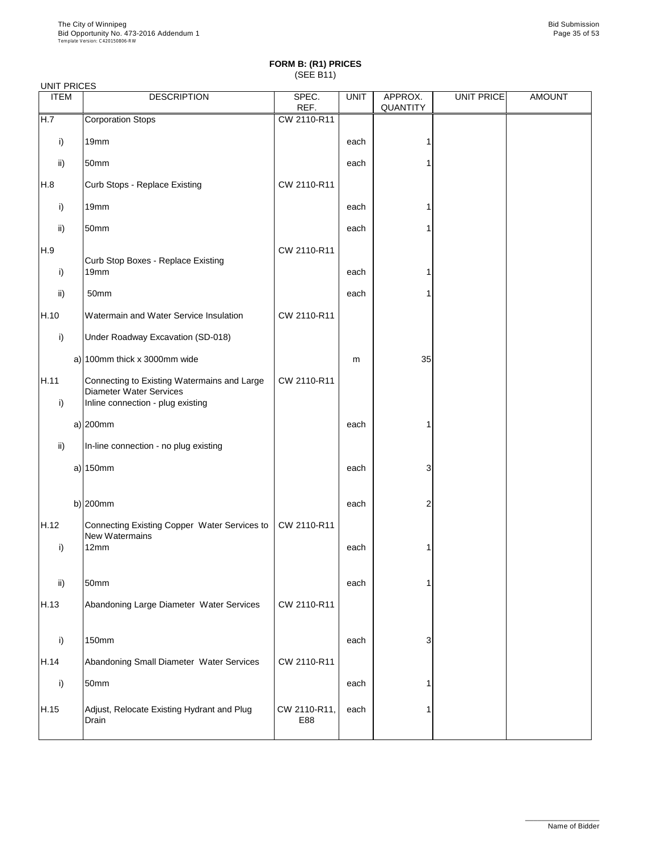| <b>ITEM</b>          | <b>DESCRIPTION</b>                                                                                                 | SPEC.<br>REF. | <b>UNIT</b> | APPROX.<br><b>QUANTITY</b> | UNIT PRICE | <b>AMOUNT</b> |
|----------------------|--------------------------------------------------------------------------------------------------------------------|---------------|-------------|----------------------------|------------|---------------|
| H.7                  | <b>Corporation Stops</b>                                                                                           | CW 2110-R11   |             |                            |            |               |
| i)                   | 19 <sub>mm</sub>                                                                                                   |               | each        |                            |            |               |
| ii)                  | 50mm                                                                                                               |               | each        |                            |            |               |
| H.8                  | Curb Stops - Replace Existing                                                                                      | CW 2110-R11   |             |                            |            |               |
| i)                   | 19mm                                                                                                               |               | each        |                            |            |               |
| ii)                  | 50mm                                                                                                               |               | each        |                            |            |               |
| H.9                  |                                                                                                                    | CW 2110-R11   |             |                            |            |               |
| $\mathsf{i}$         | <b>Curb Stop Boxes - Replace Existing</b><br>19 <sub>mm</sub>                                                      |               | each        |                            |            |               |
| ii)                  | 50mm                                                                                                               |               | each        |                            |            |               |
| H.10                 | Watermain and Water Service Insulation                                                                             | CW 2110-R11   |             |                            |            |               |
| i)                   | Under Roadway Excavation (SD-018)                                                                                  |               |             |                            |            |               |
|                      | a) 100mm thick x 3000mm wide                                                                                       |               | m           | 35                         |            |               |
| H.11<br>$\mathsf{i}$ | Connecting to Existing Watermains and Large<br><b>Diameter Water Services</b><br>Inline connection - plug existing | CW 2110-R11   |             |                            |            |               |
|                      | a) $200$ mm                                                                                                        |               | each        |                            |            |               |
| ii)                  | In-line connection - no plug existing                                                                              |               |             |                            |            |               |
|                      | a) $150mm$                                                                                                         |               | each        | 3                          |            |               |
|                      | b) $200$ mm                                                                                                        |               | each        | $\overline{2}$             |            |               |
| H.12                 | Connecting Existing Copper Water Services to                                                                       | CW 2110-R11   |             |                            |            |               |
| i)                   | <b>New Watermains</b><br>12mm                                                                                      |               | each        |                            |            |               |
| $\mathsf{ii}$        | 50mm                                                                                                               |               | each        |                            |            |               |
| H.13                 | Abandoning Large Diameter Water Services                                                                           | CW 2110-R11   |             |                            |            |               |
| i)                   | <b>150mm</b>                                                                                                       |               | each        | 3                          |            |               |

| H.14 | Abandoning Small Diameter Water Services            | CW 2110-R11         |      |  |  |
|------|-----------------------------------------------------|---------------------|------|--|--|
|      | 50mm                                                |                     | each |  |  |
| H.15 | Adjust, Relocate Existing Hydrant and Plug<br>Drain | CW 2110-R11,<br>E88 | each |  |  |

\_\_\_\_\_\_\_\_\_\_\_\_\_\_\_\_\_\_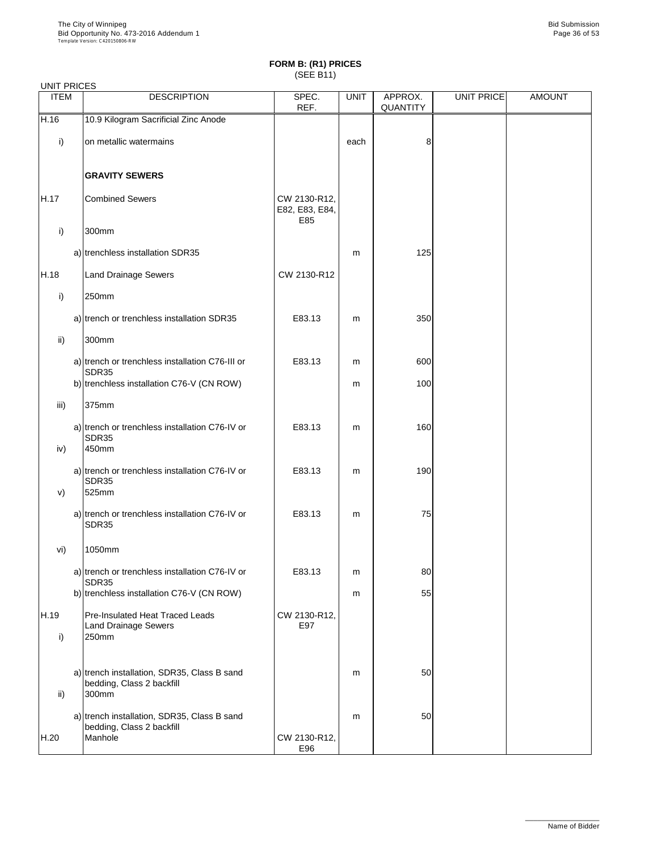|              | <b>UNIT PRICES</b> |                                                                                |                                       |             |                            |            |               |  |  |
|--------------|--------------------|--------------------------------------------------------------------------------|---------------------------------------|-------------|----------------------------|------------|---------------|--|--|
| <b>ITEM</b>  |                    | <b>DESCRIPTION</b>                                                             | SPEC.<br>REF.                         | <b>UNIT</b> | APPROX.<br><b>QUANTITY</b> | UNIT PRICE | <b>AMOUNT</b> |  |  |
| H.16         |                    | 10.9 Kilogram Sacrificial Zinc Anode                                           |                                       |             |                            |            |               |  |  |
| i)           |                    | on metallic watermains                                                         |                                       | each        | 8                          |            |               |  |  |
|              |                    | <b>GRAVITY SEWERS</b>                                                          |                                       |             |                            |            |               |  |  |
| H.17         |                    | <b>Combined Sewers</b>                                                         | CW 2130-R12,<br>E82, E83, E84,<br>E85 |             |                            |            |               |  |  |
| i)           |                    | 300mm                                                                          |                                       |             |                            |            |               |  |  |
|              |                    | a) trenchless installation SDR35                                               |                                       | m           | 125                        |            |               |  |  |
| H.18         |                    | <b>Land Drainage Sewers</b>                                                    | CW 2130-R12                           |             |                            |            |               |  |  |
| $\mathsf{i}$ |                    | 250mm                                                                          |                                       |             |                            |            |               |  |  |
|              |                    | a) trench or trenchless installation SDR35                                     | E83.13                                | m           | 350                        |            |               |  |  |
| ii)          |                    | 300mm                                                                          |                                       |             |                            |            |               |  |  |
|              |                    | a) trench or trenchless installation C76-III or<br>SDR35                       | E83.13                                | m           | 600                        |            |               |  |  |
|              |                    | b) trenchless installation C76-V (CN ROW)                                      |                                       | m           | 100                        |            |               |  |  |
| iii)         |                    | 375mm                                                                          |                                       |             |                            |            |               |  |  |
| iv)          |                    | a) trench or trenchless installation C76-IV or<br><b>SDR35</b><br>450mm        | E83.13                                | m           | 160                        |            |               |  |  |
| V)           |                    | a) trench or trenchless installation C76-IV or<br><b>SDR35</b><br>525mm        | E83.13                                | m           | 190                        |            |               |  |  |
|              |                    | a) trench or trenchless installation C76-IV or<br><b>SDR35</b>                 | E83.13                                | m           | 75                         |            |               |  |  |
| vi)          |                    | 1050mm                                                                         |                                       |             |                            |            |               |  |  |
|              |                    | a) trench or trenchless installation C76-IV or<br>SDR35                        | E83.13                                | m           | 80                         |            |               |  |  |
|              |                    | b) trenchless installation C76-V (CN ROW)                                      |                                       | m           | 55                         |            |               |  |  |
| H.19<br>i)   |                    | <b>Pre-Insulated Heat Traced Leads</b><br><b>Land Drainage Sewers</b><br>250mm | CW 2130-R12,<br>E97                   |             |                            |            |               |  |  |
|              |                    |                                                                                |                                       |             |                            |            |               |  |  |

| ii)  | a) trench installation, SDR35, Class B sand<br>bedding, Class 2 backfill<br>300mm   |                     | m | 50 |  |
|------|-------------------------------------------------------------------------------------|---------------------|---|----|--|
| H.20 | a) trench installation, SDR35, Class B sand<br>bedding, Class 2 backfill<br>Manhole | CW 2130-R12,<br>E96 | m | 50 |  |

\_\_\_\_\_\_\_\_\_\_\_\_\_\_\_\_\_\_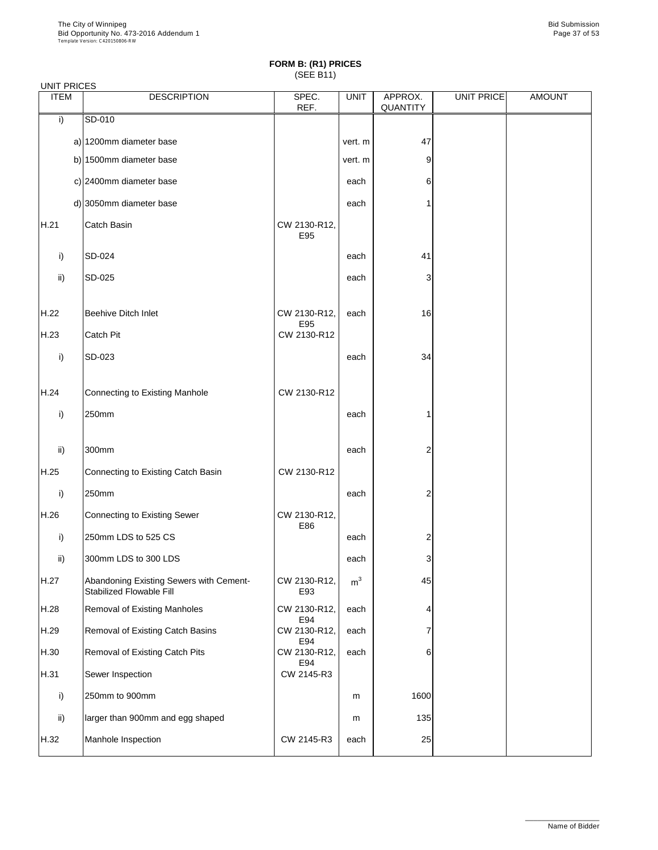#### UNIT PRICES

| <b>ITEM</b> | <b>DESCRIPTION</b>                                                         | SPEC.<br>REF.       | <b>UNIT</b>    | APPROX.<br><b>QUANTITY</b> | <b>UNIT PRICE</b> | <b>AMOUNT</b> |
|-------------|----------------------------------------------------------------------------|---------------------|----------------|----------------------------|-------------------|---------------|
| i)          | SD-010                                                                     |                     |                |                            |                   |               |
|             | a) 1200mm diameter base                                                    |                     | vert. m        | 47                         |                   |               |
|             | b) 1500mm diameter base                                                    |                     | vert. m        | 9                          |                   |               |
|             | c) 2400mm diameter base                                                    |                     | each           | 6                          |                   |               |
|             | d) 3050mm diameter base                                                    |                     | each           |                            |                   |               |
| H.21        | <b>Catch Basin</b>                                                         | CW 2130-R12,<br>E95 |                |                            |                   |               |
| i)          | SD-024                                                                     |                     | each           | 41                         |                   |               |
| ii)         | SD-025                                                                     |                     | each           | 3                          |                   |               |
|             |                                                                            |                     |                |                            |                   |               |
| H.22        | <b>Beehive Ditch Inlet</b>                                                 | CW 2130-R12,        | each           | 16                         |                   |               |
| H.23        | <b>Catch Pit</b>                                                           | E95<br>CW 2130-R12  |                |                            |                   |               |
| i)          | SD-023                                                                     |                     | each           | 34                         |                   |               |
|             |                                                                            |                     |                |                            |                   |               |
| H.24        | Connecting to Existing Manhole                                             | CW 2130-R12         |                |                            |                   |               |
| i)          | 250mm                                                                      |                     | each           | 1                          |                   |               |
|             |                                                                            |                     |                |                            |                   |               |
| ii)         | 300mm                                                                      |                     | each           | 2                          |                   |               |
| H.25        | Connecting to Existing Catch Basin                                         | CW 2130-R12         |                |                            |                   |               |
| i)          | 250mm                                                                      |                     | each           | $\overline{c}$             |                   |               |
| H.26        | Connecting to Existing Sewer                                               | CW 2130-R12,<br>E86 |                |                            |                   |               |
| i)          | 250mm LDS to 525 CS                                                        |                     | each           | $\overline{2}$             |                   |               |
| ii)         | 300mm LDS to 300 LDS                                                       |                     | each           | 3                          |                   |               |
| H.27        | Abandoning Existing Sewers with Cement-<br><b>Stabilized Flowable Fill</b> | CW 2130-R12,<br>E93 | m <sup>3</sup> | 45                         |                   |               |
| H.28        | <b>Removal of Existing Manholes</b>                                        | CW 2130-R12,        | each           | 4                          |                   |               |
| H.29        | Removal of Existing Catch Basins                                           | E94<br>CW 2130-R12, | each           | 7                          |                   |               |
| H.30        | <b>Removal of Existing Catch Pits</b>                                      | E94<br>CW 2130-R12, | each           | $6 \,$                     |                   |               |

| H.31 | Sewer Inspection                 | E94<br>CW 2145-R3 |      |      |  |
|------|----------------------------------|-------------------|------|------|--|
|      | 250mm to 900mm                   |                   | m    | 1600 |  |
| ii)  | larger than 900mm and egg shaped |                   | m    | 135  |  |
| H.32 | Manhole Inspection               | CW 2145-R3        | each | 25   |  |

\_\_\_\_\_\_\_\_\_\_\_\_\_\_\_\_\_\_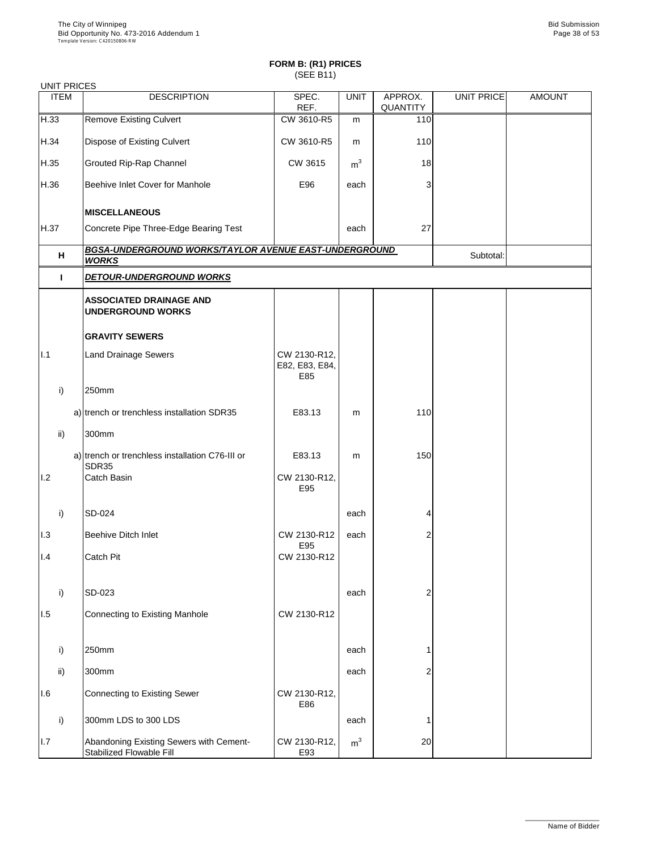#### UNIT PRICES

| <b>ITEM</b>   | ---------------<br><b>DESCRIPTION</b>                                 | SPEC.<br>REF.                         | <b>UNIT</b>    | APPROX.<br><b>QUANTITY</b> | UNIT PRICE | <b>AMOUNT</b> |
|---------------|-----------------------------------------------------------------------|---------------------------------------|----------------|----------------------------|------------|---------------|
| H.33          | <b>Remove Existing Culvert</b>                                        | CW 3610-R5                            | m              | 110                        |            |               |
| H.34          | <b>Dispose of Existing Culvert</b>                                    | CW 3610-R5                            | m              | 110                        |            |               |
| H.35          | <b>Grouted Rip-Rap Channel</b>                                        | <b>CW 3615</b>                        | m <sup>3</sup> | 18                         |            |               |
| H.36          | Beehive Inlet Cover for Manhole                                       | E96                                   | each           | 3                          |            |               |
|               | <b>MISCELLANEOUS</b>                                                  |                                       |                |                            |            |               |
| H.37          | Concrete Pipe Three-Edge Bearing Test                                 |                                       | each           | 27                         |            |               |
| H             | BGSA-UNDERGROUND WORKS/TAYLOR AVENUE EAST-UNDERGROUND<br><b>WORKS</b> |                                       |                |                            | Subtotal:  |               |
| H             | <b>DETOUR-UNDERGROUND WORKS</b>                                       |                                       |                |                            |            |               |
|               | <b>ASSOCIATED DRAINAGE AND</b><br><b>UNDERGROUND WORKS</b>            |                                       |                |                            |            |               |
|               | <b>GRAVITY SEWERS</b>                                                 |                                       |                |                            |            |               |
| I.1           | <b>Land Drainage Sewers</b>                                           | CW 2130-R12,<br>E82, E83, E84,<br>E85 |                |                            |            |               |
| i)            | 250mm                                                                 |                                       |                |                            |            |               |
|               | a) trench or trenchless installation SDR35                            | E83.13                                | m              | 110                        |            |               |
| $\mathsf{ii}$ | 300mm                                                                 |                                       |                |                            |            |               |
|               | a) trench or trenchless installation C76-III or<br><b>SDR35</b>       | E83.13                                | m              | 150                        |            |               |
| 1.2           | <b>Catch Basin</b>                                                    | CW 2130-R12,<br>E95                   |                |                            |            |               |
| i)            | SD-024                                                                |                                       | each           | 4                          |            |               |
| 1.3           | <b>Beehive Ditch Inlet</b>                                            | CW 2130-R12                           | each           | $\overline{2}$             |            |               |
| 1.4           | <b>Catch Pit</b>                                                      | E95<br>CW 2130-R12                    |                |                            |            |               |
| i)            | SD-023                                                                |                                       | each           | 2                          |            |               |
| 1.5           | <b>Connecting to Existing Manhole</b>                                 | CW 2130-R12                           |                |                            |            |               |
| $\mathsf{i}$  | 250mm                                                                 |                                       | each           |                            |            |               |

|     | . . |                                                                            |                     |                |    |  |  |
|-----|-----|----------------------------------------------------------------------------|---------------------|----------------|----|--|--|
|     | ii) | 300mm                                                                      |                     | each           | ⌒  |  |  |
| 1.6 |     | Connecting to Existing Sewer                                               | CW 2130-R12,<br>E86 |                |    |  |  |
|     |     | 300mm LDS to 300 LDS                                                       |                     | each           |    |  |  |
| 1.7 |     | Abandoning Existing Sewers with Cement-<br><b>Stabilized Flowable Fill</b> | CW 2130-R12,<br>E93 | m <sup>3</sup> | 20 |  |  |

\_\_\_\_\_\_\_\_\_\_\_\_\_\_\_\_\_\_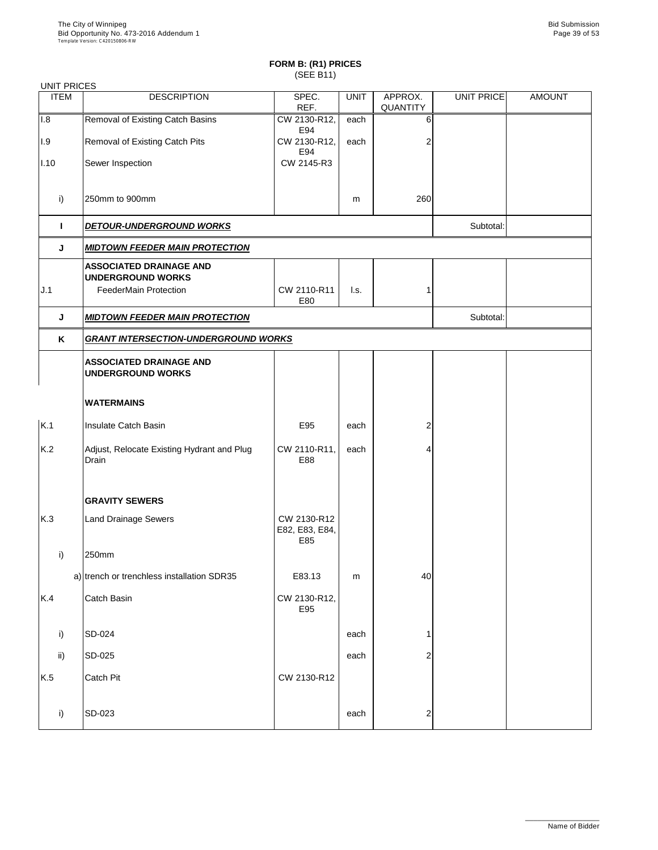| <b>UNIT PRICES</b> |                                                            |                                      |                 |                            |            |               |
|--------------------|------------------------------------------------------------|--------------------------------------|-----------------|----------------------------|------------|---------------|
| <b>ITEM</b>        | <b>DESCRIPTION</b>                                         | SPEC.<br>REF.                        | <b>UNIT</b>     | APPROX.<br><b>QUANTITY</b> | UNIT PRICE | <b>AMOUNT</b> |
| 1.8                | <b>Removal of Existing Catch Basins</b>                    | CW 2130-R12,<br>E94                  | each            | 6                          |            |               |
| 1.9                | <b>Removal of Existing Catch Pits</b>                      | CW 2130-R12,<br>E94                  | each            | 2                          |            |               |
| 1.10               | Sewer Inspection                                           | CW 2145-R3                           |                 |                            |            |               |
| i)                 | 250mm to 900mm                                             |                                      | m               | 260                        |            |               |
| H                  | <b>DETOUR-UNDERGROUND WORKS</b>                            |                                      |                 |                            | Subtotal:  |               |
| J                  | <b>MIDTOWN FEEDER MAIN PROTECTION</b>                      |                                      |                 |                            |            |               |
|                    | <b>ASSOCIATED DRAINAGE AND</b><br><b>UNDERGROUND WORKS</b> |                                      |                 |                            |            |               |
| J.1                | <b>FeederMain Protection</b>                               | CW 2110-R11<br>E80                   | $\mathsf{L}$ s. |                            |            |               |
| J                  | <b>MIDTOWN FEEDER MAIN PROTECTION</b>                      |                                      |                 |                            | Subtotal:  |               |
| K                  | <b>GRANT INTERSECTION-UNDERGROUND WORKS</b>                |                                      |                 |                            |            |               |
|                    | <b>ASSOCIATED DRAINAGE AND</b><br><b>UNDERGROUND WORKS</b> |                                      |                 |                            |            |               |
|                    | <b>WATERMAINS</b>                                          |                                      |                 |                            |            |               |
| K.1                | <b>Insulate Catch Basin</b>                                | E95                                  | each            | $\overline{2}$             |            |               |
| K.2                | Adjust, Relocate Existing Hydrant and Plug<br>Drain        | CW 2110-R11,<br>E88                  | each            | 4                          |            |               |
|                    | <b>GRAVITY SEWERS</b>                                      |                                      |                 |                            |            |               |
| K.3                | <b>Land Drainage Sewers</b>                                | CW 2130-R12<br>E82, E83, E84,<br>E85 |                 |                            |            |               |
| i)                 | 250mm                                                      |                                      |                 |                            |            |               |
|                    | a) trench or trenchless installation SDR35                 | E83.13                               | m               | 40                         |            |               |
| K.4                | Catch Basin                                                | CW 2130-R12,<br>E95                  |                 |                            |            |               |
| i)                 | SD-024                                                     |                                      | each            | 1                          |            |               |
| ii)                | $SD-025$                                                   |                                      | each            |                            |            |               |

| ii) | <b>SD-025</b>    |             | each | ⌒<br>_      |  |
|-----|------------------|-------------|------|-------------|--|
| K.5 | <b>Catch Pit</b> | CW 2130-R12 |      |             |  |
|     |                  |             |      |             |  |
|     | <b>SD-023</b>    |             | each | $\sim$<br>∼ |  |
|     |                  |             |      |             |  |

\_\_\_\_\_\_\_\_\_\_\_\_\_\_\_\_\_\_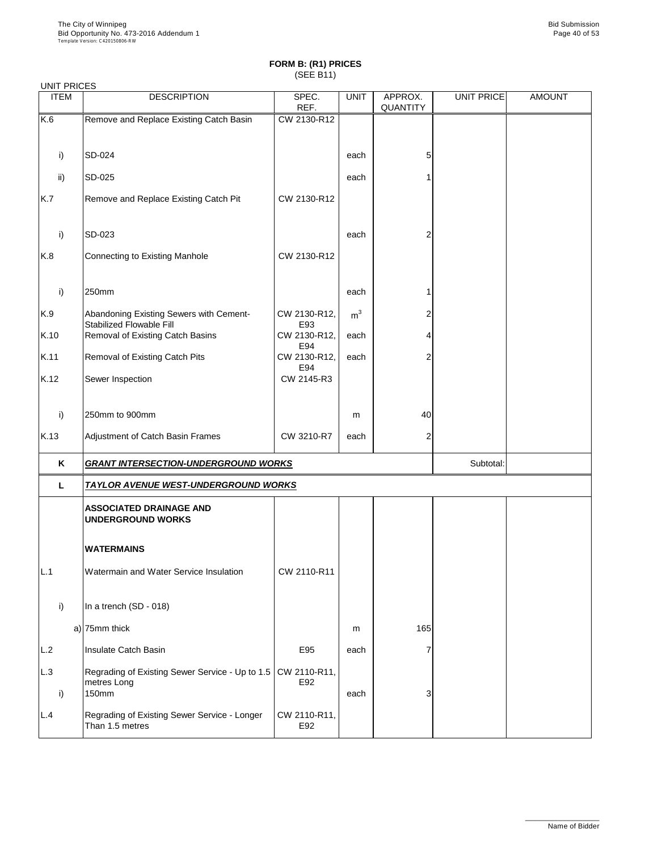#### UNIT PRICES

| <b>UNITENULU</b><br><b>ITEM</b> | <b>DESCRIPTION</b>                                                         | SPEC.<br>REF.       | <b>UNIT</b>    | APPROX.<br><b>QUANTITY</b> | UNIT PRICE | <b>AMOUNT</b> |
|---------------------------------|----------------------------------------------------------------------------|---------------------|----------------|----------------------------|------------|---------------|
| K.6                             | Remove and Replace Existing Catch Basin                                    | CW 2130-R12         |                |                            |            |               |
|                                 |                                                                            |                     |                |                            |            |               |
| i)                              | SD-024                                                                     |                     | each           | 5                          |            |               |
| ii)                             | <b>SD-025</b>                                                              |                     | each           |                            |            |               |
| K.7                             | Remove and Replace Existing Catch Pit                                      | CW 2130-R12         |                |                            |            |               |
| i)                              | SD-023                                                                     |                     | each           | 2                          |            |               |
| K.8                             | Connecting to Existing Manhole                                             | CW 2130-R12         |                |                            |            |               |
| i)                              | 250mm                                                                      |                     | each           |                            |            |               |
| K.9                             | Abandoning Existing Sewers with Cement-<br><b>Stabilized Flowable Fill</b> | CW 2130-R12,<br>E93 | m <sup>3</sup> | 2                          |            |               |
| K.10                            | Removal of Existing Catch Basins                                           | CW 2130-R12,<br>E94 | each           |                            |            |               |
| K.11                            | <b>Removal of Existing Catch Pits</b>                                      | CW 2130-R12,<br>E94 | each           | $\overline{2}$             |            |               |
| K.12                            | Sewer Inspection                                                           | CW 2145-R3          |                |                            |            |               |
| i)                              | 250mm to 900mm                                                             |                     | m              | 40                         |            |               |
| K.13                            | Adjustment of Catch Basin Frames                                           | CW 3210-R7          | each           | $\overline{2}$             |            |               |
| K                               | <b>GRANT INTERSECTION-UNDERGROUND WORKS</b>                                |                     |                |                            | Subtotal:  |               |
| L                               | <b>TAYLOR AVENUE WEST-UNDERGROUND WORKS</b>                                |                     |                |                            |            |               |
|                                 | <b>ASSOCIATED DRAINAGE AND</b><br><b>UNDERGROUND WORKS</b>                 |                     |                |                            |            |               |
|                                 | <b>WATERMAINS</b>                                                          |                     |                |                            |            |               |
| L.1                             | Watermain and Water Service Insulation                                     | CW 2110-R11         |                |                            |            |               |
| i)                              | In a trench (SD - 018)                                                     |                     |                |                            |            |               |
|                                 | a) $ 75$ mm thick                                                          |                     | m              | 165                        |            |               |
| L.2                             | Insulate Catch Basin                                                       | E95                 | each           |                            |            |               |

| IL.Z | Tinsulate Catch Basin                                                                    | EY5                 | eacn |  |  |
|------|------------------------------------------------------------------------------------------|---------------------|------|--|--|
| L.3  | Regrading of Existing Sewer Service - Up to 1.5   CW 2110-R11,  <br>metres Long<br>150mm | E92                 | each |  |  |
| L.4  | Regrading of Existing Sewer Service - Longer<br>Than 1.5 metres                          | CW 2110-R11,<br>E92 |      |  |  |

\_\_\_\_\_\_\_\_\_\_\_\_\_\_\_\_\_\_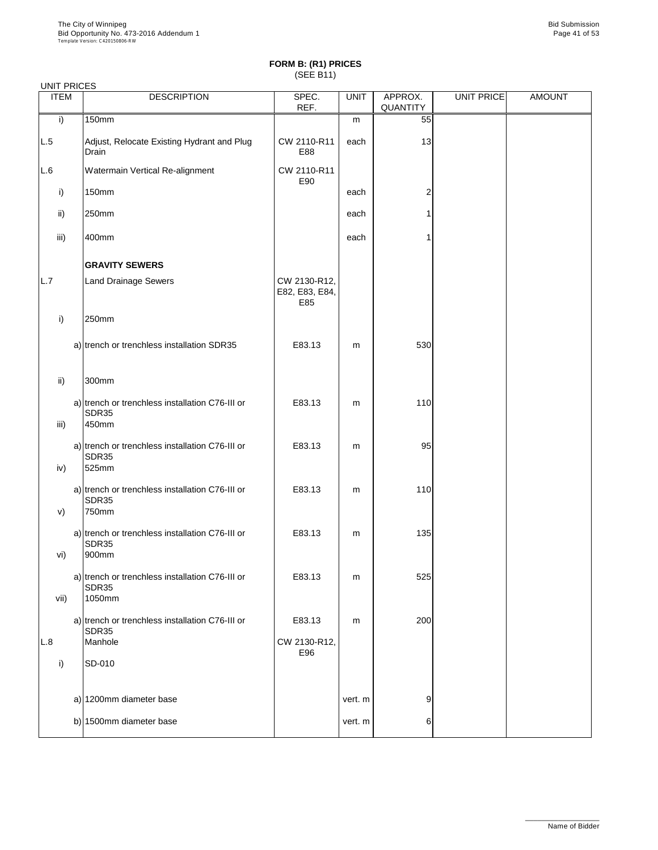| <b>UNIT PRICES</b><br><b>ITEM</b> | <b>DESCRIPTION</b>                                                | SPEC.                                 | <b>UNIT</b> | APPROX.  | UNIT PRICE | <b>AMOUNT</b> |
|-----------------------------------|-------------------------------------------------------------------|---------------------------------------|-------------|----------|------------|---------------|
|                                   |                                                                   | REF.                                  |             | QUANTITY |            |               |
| i)                                | <b>150mm</b>                                                      |                                       | m           | 55       |            |               |
| L.5                               | Adjust, Relocate Existing Hydrant and Plug<br>Drain               | CW 2110-R11<br>E88                    | each        | 13       |            |               |
| L.6                               | <b>Watermain Vertical Re-alignment</b>                            | CW 2110-R11<br>E90                    |             |          |            |               |
| i)                                | <b>150mm</b>                                                      |                                       | each        | 2        |            |               |
| $\mathsf{ii}$                     | 250mm                                                             |                                       | each        |          |            |               |
| iii)                              | 400mm                                                             |                                       | each        |          |            |               |
|                                   | <b>GRAVITY SEWERS</b>                                             |                                       |             |          |            |               |
| L.7                               | <b>Land Drainage Sewers</b>                                       | CW 2130-R12,<br>E82, E83, E84,<br>E85 |             |          |            |               |
| i)                                | 250mm                                                             |                                       |             |          |            |               |
|                                   | a) trench or trenchless installation SDR35                        | E83.13                                | m           | 530      |            |               |
| $\mathsf{ii}$ )                   | 300mm                                                             |                                       |             |          |            |               |
|                                   | a) trench or trenchless installation C76-III or<br>SDR35          | E83.13                                | m           | 110      |            |               |
| iii)                              | 450mm                                                             |                                       |             |          |            |               |
| iv)                               | a) trench or trenchless installation C76-III or<br>SDR35<br>525mm | E83.13                                | m           | 95       |            |               |
|                                   | a) trench or trenchless installation C76-III or<br>SDR35          | E83.13                                | m           | 110      |            |               |
| V)                                | 750mm                                                             |                                       |             |          |            |               |
| vi)                               | a) trench or trenchless installation C76-III or<br>SDR35<br>900mm | E83.13                                | m           | 135      |            |               |
|                                   | a) trench or trenchless installation C76-III or<br>SDR35          | E83.13                                | m           | 525      |            |               |
| vii)                              | 1050mm                                                            |                                       |             |          |            |               |
|                                   | a) trench or trenchless installation C76-III or<br>SDR35          | E83.13                                | m           | 200      |            |               |
| L.8                               | Manhole                                                           | CW 2130-R12,<br>E96                   |             |          |            |               |

| <b>SD-010</b>           |         |    |  |
|-------------------------|---------|----|--|
|                         |         |    |  |
| a) 1200mm diameter base | vert. m | 9' |  |
| b) 1500mm diameter base | vert. m | 6  |  |
|                         |         |    |  |

\_\_\_\_\_\_\_\_\_\_\_\_\_\_\_\_\_\_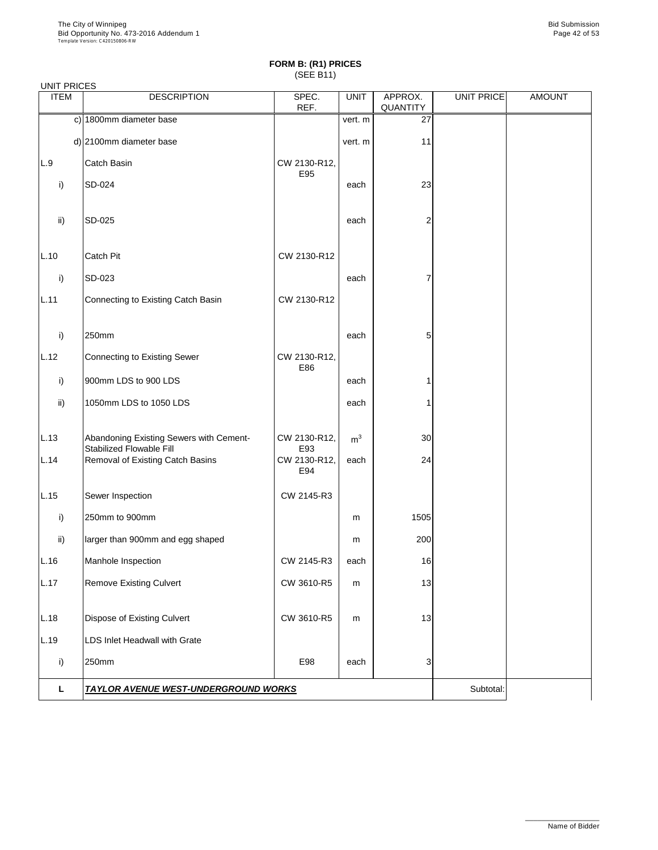|  | <b>UNIT PRICES</b> |
|--|--------------------|
|--|--------------------|

| <b>ONDER THE LIGHT</b><br><b>ITEM</b> | <b>DESCRIPTION</b>                                                         | SPEC.<br>REF.       | <b>UNIT</b>    | APPROX.<br><b>QUANTITY</b> | UNIT PRICE | <b>AMOUNT</b> |
|---------------------------------------|----------------------------------------------------------------------------|---------------------|----------------|----------------------------|------------|---------------|
|                                       | c) 1800mm diameter base                                                    |                     | vert. m        | 27                         |            |               |
|                                       | d) 2100mm diameter base                                                    |                     | vert. m        | 11                         |            |               |
| L.9                                   | Catch Basin                                                                | CW 2130-R12,<br>E95 |                |                            |            |               |
| i)                                    | <b>SD-024</b>                                                              |                     | each           | 23                         |            |               |
| ii)                                   | <b>SD-025</b>                                                              |                     | each           | $\overline{c}$             |            |               |
| L.10                                  | <b>Catch Pit</b>                                                           | CW 2130-R12         |                |                            |            |               |
| i)                                    | SD-023                                                                     |                     | each           | 7                          |            |               |
| L.11                                  | Connecting to Existing Catch Basin                                         | CW 2130-R12         |                |                            |            |               |
| i)                                    | 250mm                                                                      |                     | each           | 5                          |            |               |
| L.12                                  | <b>Connecting to Existing Sewer</b>                                        | CW 2130-R12,<br>E86 |                |                            |            |               |
| i)                                    | 900mm LDS to 900 LDS                                                       |                     | each           |                            |            |               |
| ii)                                   | 1050mm LDS to 1050 LDS                                                     |                     | each           |                            |            |               |
| L.13                                  | Abandoning Existing Sewers with Cement-<br><b>Stabilized Flowable Fill</b> | CW 2130-R12,<br>E93 | m <sup>3</sup> | 30                         |            |               |
| L.14                                  | <b>Removal of Existing Catch Basins</b>                                    | CW 2130-R12,<br>E94 | each           | 24                         |            |               |
| L.15                                  | Sewer Inspection                                                           | CW 2145-R3          |                |                            |            |               |
| i)                                    | 250mm to 900mm                                                             |                     | m              | 1505                       |            |               |
| $\mathsf{ii}$                         | larger than 900mm and egg shaped                                           |                     | m              | 200                        |            |               |
| L.16                                  | Manhole Inspection                                                         | CW 2145-R3          | each           | 16                         |            |               |
| L.17                                  | <b>Remove Existing Culvert</b>                                             | CW 3610-R5          | m              | 13                         |            |               |
| L.18                                  | <b>Dispose of Existing Culvert</b>                                         | CW 3610-R5          | m              | 13                         |            |               |
| L.19                                  | <b>LDS Inlet Headwall with Grate</b>                                       |                     |                |                            |            |               |

| ⊺∩mm                                        | E98 | each | - |          |  |
|---------------------------------------------|-----|------|---|----------|--|
| <b>TAYLOR AVENUE WEST-UNDERGROUND WORKS</b> |     |      |   | 3ubtotal |  |

\_\_\_\_\_\_\_\_\_\_\_\_\_\_\_\_\_\_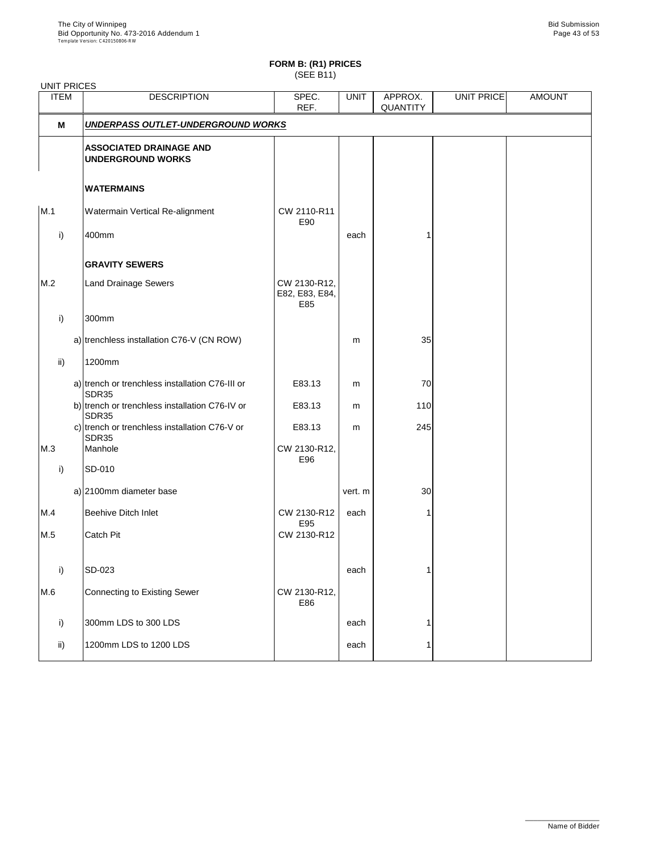| <b>UNIT PRICES</b> |                                                            |                                       |             |                            |            |               |
|--------------------|------------------------------------------------------------|---------------------------------------|-------------|----------------------------|------------|---------------|
| <b>ITEM</b>        | <b>DESCRIPTION</b>                                         | SPEC.<br>REF.                         | <b>UNIT</b> | APPROX.<br><b>QUANTITY</b> | UNIT PRICE | <b>AMOUNT</b> |
| M                  | UNDERPASS OUTLET-UNDERGROUND WORKS                         |                                       |             |                            |            |               |
|                    | <b>ASSOCIATED DRAINAGE AND</b><br><b>UNDERGROUND WORKS</b> |                                       |             |                            |            |               |
|                    | <b>WATERMAINS</b>                                          |                                       |             |                            |            |               |
| M.1                | Watermain Vertical Re-alignment                            | CW 2110-R11<br>E90                    |             |                            |            |               |
| $\mathsf{i}$       | 400mm                                                      |                                       | each        |                            |            |               |
|                    | <b>GRAVITY SEWERS</b>                                      |                                       |             |                            |            |               |
| M.2                | <b>Land Drainage Sewers</b>                                | CW 2130-R12,<br>E82, E83, E84,<br>E85 |             |                            |            |               |
| i)                 | 300mm                                                      |                                       |             |                            |            |               |
|                    | a) trenchless installation C76-V (CN ROW)                  |                                       | m           | 35                         |            |               |
| ii)                | 1200mm                                                     |                                       |             |                            |            |               |
|                    | a) trench or trenchless installation C76-III or<br>SDR35   | E83.13                                | m           | 70                         |            |               |
|                    | b) trench or trenchless installation C76-IV or<br>SDR35    | E83.13                                | m           | 110                        |            |               |
|                    | c) trench or trenchless installation C76-V or<br>SDR35     | E83.13                                | m           | 245                        |            |               |
| M.3                | Manhole                                                    | CW 2130-R12,<br>E96                   |             |                            |            |               |
| i)                 | SD-010                                                     |                                       |             |                            |            |               |
|                    | a) 2100mm diameter base                                    |                                       | vert. m     | 30                         |            |               |
| M.4                | <b>Beehive Ditch Inlet</b>                                 | CW 2130-R12<br>E95                    | each        |                            |            |               |
| M.5                | <b>Catch Pit</b>                                           | CW 2130-R12                           |             |                            |            |               |
| i)                 | SD-023                                                     |                                       | each        |                            |            |               |
| M.6                | Connecting to Existing Sewer                               | CW 2130-R12,<br>E86                   |             |                            |            |               |
| i)                 | 300mm LDS to 300 LDS                                       |                                       | each        |                            |            |               |
| $\mathsf{ii}$      | 1200mm LDS to 1200 LDS                                     |                                       | each        |                            |            |               |
|                    |                                                            |                                       |             |                            |            |               |

\_\_\_\_\_\_\_\_\_\_\_\_\_\_\_\_\_\_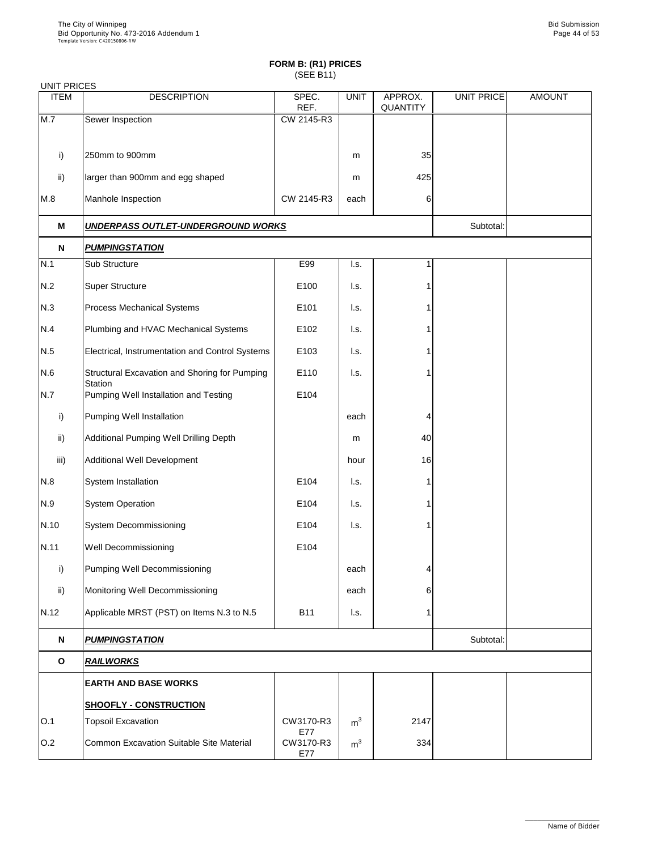| <b>UNIT PRICES</b> |                                                         |                  |                           |                            |                   |               |
|--------------------|---------------------------------------------------------|------------------|---------------------------|----------------------------|-------------------|---------------|
| <b>ITEM</b>        | <b>DESCRIPTION</b>                                      | SPEC.<br>REF.    | <b>UNIT</b>               | APPROX.<br><b>QUANTITY</b> | <b>UNIT PRICE</b> | <b>AMOUNT</b> |
| M.7                | Sewer Inspection                                        | CW 2145-R3       |                           |                            |                   |               |
|                    |                                                         |                  |                           |                            |                   |               |
| $\mathsf{i}$       | 250mm to 900mm                                          |                  | m                         | 35                         |                   |               |
| $\mathsf{ii}$      | larger than 900mm and egg shaped                        |                  | m                         | 425                        |                   |               |
| M.8                | Manhole Inspection                                      | CW 2145-R3       | each                      | 6                          |                   |               |
| M                  | <b>UNDERPASS OUTLET-UNDERGROUND WORKS</b>               |                  |                           |                            | Subtotal:         |               |
| N                  | <b>PUMPINGSTATION</b>                                   |                  |                           |                            |                   |               |
| N.1                | <b>Sub Structure</b>                                    | E99              | I.s.                      |                            |                   |               |
| N.2                | <b>Super Structure</b>                                  | E100             | I.s.                      |                            |                   |               |
| N.3                | <b>Process Mechanical Systems</b>                       | E101             | I.s.                      |                            |                   |               |
| N.4                | Plumbing and HVAC Mechanical Systems                    | E102             | l.s.                      |                            |                   |               |
| N.5                | Electrical, Instrumentation and Control Systems         | E103             | l.s.                      |                            |                   |               |
| N.6                | Structural Excavation and Shoring for Pumping           | E110             | l.s.                      |                            |                   |               |
| N.7                | <b>Station</b><br>Pumping Well Installation and Testing | E104             |                           |                            |                   |               |
| i)                 | Pumping Well Installation                               |                  | each                      | 4                          |                   |               |
| $\mathsf{ii}$      | Additional Pumping Well Drilling Depth                  |                  | m                         | 40                         |                   |               |
| iii)               | <b>Additional Well Development</b>                      |                  | hour                      | 16                         |                   |               |
| N.8                | System Installation                                     | E104             | $\mathsf{L}$ s.           |                            |                   |               |
| N.9                | <b>System Operation</b>                                 | E104             | $\mathsf{I}.\mathsf{s}$ . | 1                          |                   |               |
| N.10               | <b>System Decommissioning</b>                           | E104             | I.s.                      |                            |                   |               |
| N.11               | <b>Well Decommissioning</b>                             | E104             |                           |                            |                   |               |
| i)                 | Pumping Well Decommissioning                            |                  | each                      | 4                          |                   |               |
| $\mathsf{ii}$      | Monitoring Well Decommissioning                         |                  | each                      | 6                          |                   |               |
| N.12               | Applicable MRST (PST) on Items N.3 to N.5               | <b>B11</b>       | $\mathsf{I}.\mathsf{s}$ . |                            |                   |               |
| $\mathbf N$        | <b>PUMPINGSTATION</b>                                   |                  |                           |                            | Subtotal:         |               |
| $\mathbf O$        | <b>RAILWORKS</b>                                        |                  |                           |                            |                   |               |
|                    | <b>EARTH AND BASE WORKS</b>                             |                  |                           |                            |                   |               |
|                    | <b>SHOOFLY - CONSTRUCTION</b>                           |                  |                           |                            |                   |               |
| O.1                | <b>Topsoil Excavation</b>                               | CW3170-R3<br>E77 | m <sup>3</sup>            | 2147                       |                   |               |
| O.2                | <b>Common Excavation Suitable Site Material</b>         | CW3170-R3<br>E77 | m <sup>3</sup>            | 334                        |                   |               |

\_\_\_\_\_\_\_\_\_\_\_\_\_\_\_\_\_\_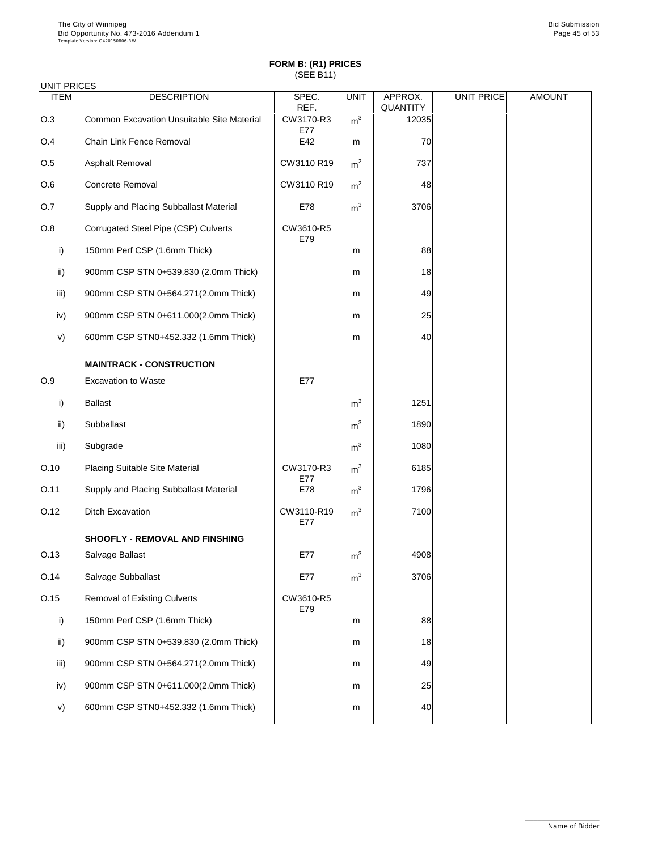#### UNIT PRICES

| <b>ITEM</b>  | <b>DESCRIPTION</b>                            | SPEC.<br>REF.     | <b>UNIT</b>    | APPROX.<br><b>QUANTITY</b> | UNIT PRICE | <b>AMOUNT</b> |
|--------------|-----------------------------------------------|-------------------|----------------|----------------------------|------------|---------------|
| O.3          | Common Excavation Unsuitable Site Material    | CW3170-R3<br>E77  | m <sup>3</sup> | 12035                      |            |               |
| O.4          | <b>Chain Link Fence Removal</b>               | E42               | m              | 70                         |            |               |
| O.5          | <b>Asphalt Removal</b>                        | CW3110 R19        | m <sup>2</sup> | 737                        |            |               |
| O.6          | <b>Concrete Removal</b>                       | CW3110 R19        | m <sup>2</sup> | 48                         |            |               |
| O.7          | <b>Supply and Placing Subballast Material</b> | E78               | m <sup>3</sup> | 3706                       |            |               |
| O.8          | Corrugated Steel Pipe (CSP) Culverts          | CW3610-R5<br>E79  |                |                            |            |               |
| i)           | 150mm Perf CSP (1.6mm Thick)                  |                   | m              | 88                         |            |               |
| ii)          | 900mm CSP STN 0+539.830 (2.0mm Thick)         |                   | m              | 18                         |            |               |
| iii)         | 900mm CSP STN 0+564.271(2.0mm Thick)          |                   | m              | 49                         |            |               |
| iv)          | 900mm CSP STN 0+611.000(2.0mm Thick)          |                   | m              | 25                         |            |               |
| V)           | 600mm CSP STN0+452.332 (1.6mm Thick)          |                   | m              | 40                         |            |               |
|              | <b>MAINTRACK - CONSTRUCTION</b>               |                   |                |                            |            |               |
| O.9          | <b>Excavation to Waste</b>                    | E77               |                |                            |            |               |
| $\mathsf{i}$ | <b>Ballast</b>                                |                   | m <sup>3</sup> | 1251                       |            |               |
| ii)          | Subballast                                    |                   | m <sup>3</sup> | 1890                       |            |               |
| iii)         | Subgrade                                      |                   | m <sup>3</sup> | 1080                       |            |               |
| O.10         | <b>Placing Suitable Site Material</b>         | CW3170-R3<br>E77  | m <sup>3</sup> | 6185                       |            |               |
| O.11         | Supply and Placing Subballast Material        | E78               | m <sup>3</sup> | 1796                       |            |               |
| O.12         | <b>Ditch Excavation</b>                       | CW3110-R19<br>E77 | m <sup>3</sup> | 7100                       |            |               |
|              | <b>SHOOFLY - REMOVAL AND FINSHING</b>         |                   |                |                            |            |               |
| O.13         | Salvage Ballast                               | E77               | m <sup>3</sup> | 4908                       |            |               |
| O.14         | Salvage Subballast                            | E77               | m <sup>3</sup> | 3706                       |            |               |
| O.15         | <b>Removal of Existing Culverts</b>           | CW3610-R5<br>E79  |                |                            |            |               |
| i)           | 150mm Perf CSP (1.6mm Thick)                  |                   | m              | 88                         |            |               |
| ii)          | 900mm CSP STN 0+539.830 (2.0mm Thick)         |                   | m              | 18                         |            |               |

| iii) | 900mm CSP STN 0+564.271(2.0mm Thick) | m | 49 |
|------|--------------------------------------|---|----|
| IV)  | 900mm CSP STN 0+611.000(2.0mm Thick) | m | 25 |
| V)   | 600mm CSP STN0+452.332 (1.6mm Thick) | m |    |



\_\_\_\_\_\_\_\_\_\_\_\_\_\_\_\_\_\_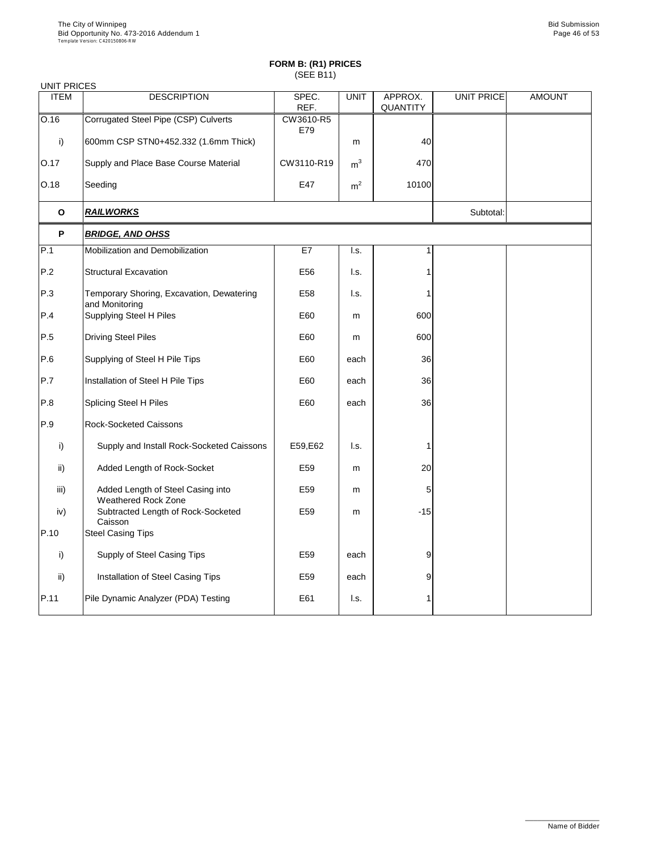| <b>UNIT PRICES</b> |                                                                 |                  |                           |                            |                   |               |
|--------------------|-----------------------------------------------------------------|------------------|---------------------------|----------------------------|-------------------|---------------|
| <b>ITEM</b>        | <b>DESCRIPTION</b>                                              | SPEC.<br>REF.    | <b>UNIT</b>               | APPROX.<br><b>QUANTITY</b> | <b>UNIT PRICE</b> | <b>AMOUNT</b> |
| O.16               | Corrugated Steel Pipe (CSP) Culverts                            | CW3610-R5<br>E79 |                           |                            |                   |               |
| i)                 | 600mm CSP STN0+452.332 (1.6mm Thick)                            |                  | m                         | 40                         |                   |               |
| O.17               | Supply and Place Base Course Material                           | CW3110-R19       | m <sup>3</sup>            | 470                        |                   |               |
| O.18               | Seeding                                                         | E47              | m <sup>2</sup>            | 10100                      |                   |               |
| $\mathbf 0$        | <b>RAILWORKS</b>                                                |                  |                           |                            | Subtotal:         |               |
| $\mathsf{P}$       | <b>BRIDGE, AND OHSS</b>                                         |                  |                           |                            |                   |               |
| P.1                | <b>Mobilization and Demobilization</b>                          | E7               | I.s.                      | 1                          |                   |               |
| P.2                | <b>Structural Excavation</b>                                    | E56              | $\mathsf{I}.\mathsf{s}$ . |                            |                   |               |
| P.3                | Temporary Shoring, Excavation, Dewatering<br>and Monitoring     | E58              | $\mathsf{I}.\mathsf{s}$ . |                            |                   |               |
| P.4                | <b>Supplying Steel H Piles</b>                                  | E60              | m                         | 600                        |                   |               |
| P.5                | <b>Driving Steel Piles</b>                                      | E60              | m                         | 600                        |                   |               |
| P.6                | Supplying of Steel H Pile Tips                                  | E60              | each                      | 36                         |                   |               |
| P.7                | Installation of Steel H Pile Tips                               | E60              | each                      | 36                         |                   |               |
| P.8                | <b>Splicing Steel H Piles</b>                                   | E60              | each                      | 36                         |                   |               |
| P.9                | <b>Rock-Socketed Caissons</b>                                   |                  |                           |                            |                   |               |
| i)                 | Supply and Install Rock-Socketed Caissons                       | E59, E62         | I.s.                      |                            |                   |               |
| $\mathsf{ii}$ )    | Added Length of Rock-Socket                                     | E59              | m                         | 20                         |                   |               |
| iii)               | Added Length of Steel Casing into<br><b>Weathered Rock Zone</b> | E59              | m                         | 5                          |                   |               |
| iv)                | Subtracted Length of Rock-Socketed<br>Caisson                   | E59              | m                         | $-15$                      |                   |               |
| P.10               | <b>Steel Casing Tips</b>                                        |                  |                           |                            |                   |               |
| i)                 | <b>Supply of Steel Casing Tips</b>                              | E <sub>59</sub>  | each                      | 9                          |                   |               |
| $\mathsf{ii}$      | Installation of Steel Casing Tips                               | E59              | each                      | 9                          |                   |               |
| P.11               | Pile Dynamic Analyzer (PDA) Testing                             | E61              | I.s.                      |                            |                   |               |

\_\_\_\_\_\_\_\_\_\_\_\_\_\_\_\_\_\_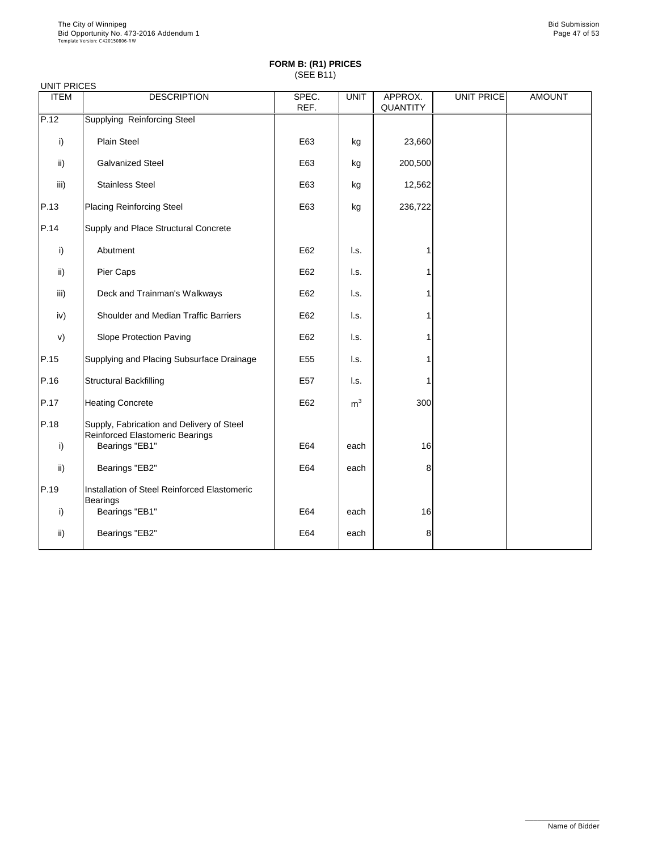| <b>UNIT PRICES</b> |                                                                                     |               |                |                            |                   |               |
|--------------------|-------------------------------------------------------------------------------------|---------------|----------------|----------------------------|-------------------|---------------|
| <b>ITEM</b>        | <b>DESCRIPTION</b>                                                                  | SPEC.<br>REF. | <b>UNIT</b>    | APPROX.<br><b>QUANTITY</b> | <b>UNIT PRICE</b> | <b>AMOUNT</b> |
| P.12               | <b>Supplying Reinforcing Steel</b>                                                  |               |                |                            |                   |               |
| i)                 | <b>Plain Steel</b>                                                                  | E63           | kg             | 23,660                     |                   |               |
| ii)                | <b>Galvanized Steel</b>                                                             | E63           | kg             | 200,500                    |                   |               |
| iii)               | <b>Stainless Steel</b>                                                              | E63           | kg             | 12,562                     |                   |               |
| P.13               | <b>Placing Reinforcing Steel</b>                                                    | E63           | kg             | 236,722                    |                   |               |
| P.14               | Supply and Place Structural Concrete                                                |               |                |                            |                   |               |
| i)                 | Abutment                                                                            | E62           | I.s.           |                            |                   |               |
| $\mathsf{ii}$      | Pier Caps                                                                           | E62           | I.s.           |                            |                   |               |
| iii)               | Deck and Trainman's Walkways                                                        | E62           | I.s.           |                            |                   |               |
| iv)                | Shoulder and Median Traffic Barriers                                                | E62           | I.s.           |                            |                   |               |
| V)                 | <b>Slope Protection Paving</b>                                                      | E62           | I.s.           |                            |                   |               |
| P.15               | Supplying and Placing Subsurface Drainage                                           | E55           | I.s.           |                            |                   |               |
| P.16               | <b>Structural Backfilling</b>                                                       | E57           | I.s.           |                            |                   |               |
| P.17               | <b>Heating Concrete</b>                                                             | E62           | m <sup>3</sup> | 300                        |                   |               |
| P.18               | Supply, Fabrication and Delivery of Steel<br><b>Reinforced Elastomeric Bearings</b> |               |                |                            |                   |               |
| $\mathsf{i}$       | Bearings "EB1"                                                                      | E64           | each           | 16                         |                   |               |
| $\mathsf{ii}$ )    | Bearings "EB2"                                                                      | E64           | each           | 8                          |                   |               |
| P.19               | Installation of Steel Reinforced Elastomeric<br><b>Bearings</b>                     |               |                |                            |                   |               |
| $\mathsf{i}$       | Bearings "EB1"                                                                      | E64           | each           | 16                         |                   |               |
| $\mathsf{ii}$      | Bearings "EB2"                                                                      | E64           | each           | 8                          |                   |               |

\_\_\_\_\_\_\_\_\_\_\_\_\_\_\_\_\_\_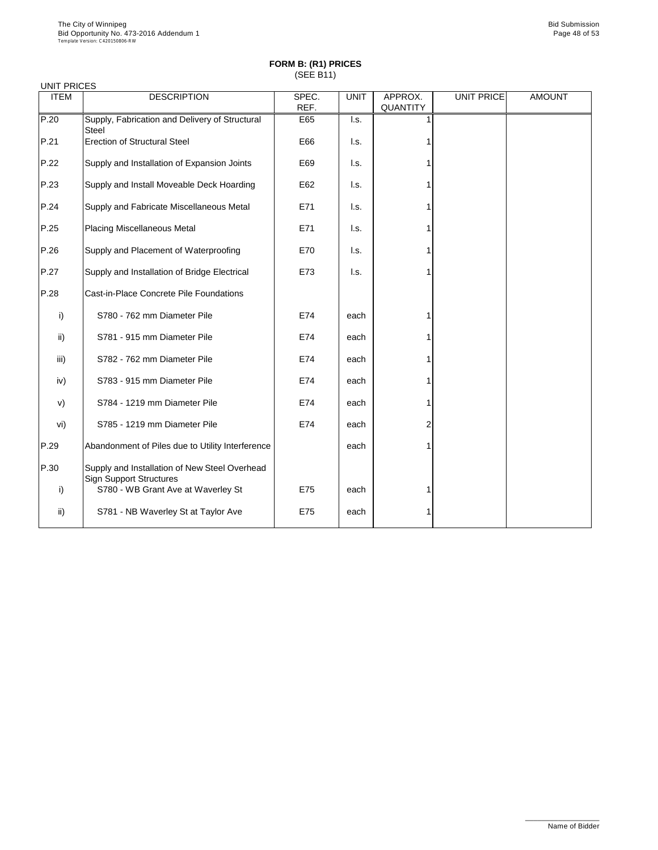| <b>UNIT PRICES</b> |                                                                                 |               |                           |                            |                   |               |
|--------------------|---------------------------------------------------------------------------------|---------------|---------------------------|----------------------------|-------------------|---------------|
| <b>ITEM</b>        | <b>DESCRIPTION</b>                                                              | SPEC.<br>REF. | <b>UNIT</b>               | APPROX.<br><b>QUANTITY</b> | <b>UNIT PRICE</b> | <b>AMOUNT</b> |
| P.20               | Supply, Fabrication and Delivery of Structural<br><b>Steel</b>                  | E65           | $\mathsf{I}.\mathsf{s}$ . |                            |                   |               |
| P.21               | <b>Erection of Structural Steel</b>                                             | E66           | I.s.                      |                            |                   |               |
| P.22               | Supply and Installation of Expansion Joints                                     | E69           | I.s.                      |                            |                   |               |
| P.23               | Supply and Install Moveable Deck Hoarding                                       | E62           | I.s.                      |                            |                   |               |
| P.24               | Supply and Fabricate Miscellaneous Metal                                        | E71           | I.s.                      |                            |                   |               |
| P.25               | <b>Placing Miscellaneous Metal</b>                                              | E71           | I.s.                      |                            |                   |               |
| P.26               | Supply and Placement of Waterproofing                                           | E70           | I.s.                      |                            |                   |               |
| P.27               | Supply and Installation of Bridge Electrical                                    | E73           | I.s.                      |                            |                   |               |
| P.28               | Cast-in-Place Concrete Pile Foundations                                         |               |                           |                            |                   |               |
| i)                 | S780 - 762 mm Diameter Pile                                                     | E74           | each                      |                            |                   |               |
| $\mathsf{ii}$ )    | S781 - 915 mm Diameter Pile                                                     | E74           | each                      |                            |                   |               |
| iii)               | S782 - 762 mm Diameter Pile                                                     | E74           | each                      |                            |                   |               |
| iv)                | S783 - 915 mm Diameter Pile                                                     | E74           | each                      |                            |                   |               |
| V)                 | S784 - 1219 mm Diameter Pile                                                    | E74           | each                      |                            |                   |               |
| vi)                | S785 - 1219 mm Diameter Pile                                                    | E74           | each                      | $\overline{2}$             |                   |               |
| P.29               | Abandonment of Piles due to Utility Interference                                |               | each                      |                            |                   |               |
| P.30               | Supply and Installation of New Steel Overhead<br><b>Sign Support Structures</b> |               |                           |                            |                   |               |
| i)                 | S780 - WB Grant Ave at Waverley St                                              | E75           | each                      |                            |                   |               |
| ii)                | S781 - NB Waverley St at Taylor Ave                                             | E75           | each                      |                            |                   |               |

\_\_\_\_\_\_\_\_\_\_\_\_\_\_\_\_\_\_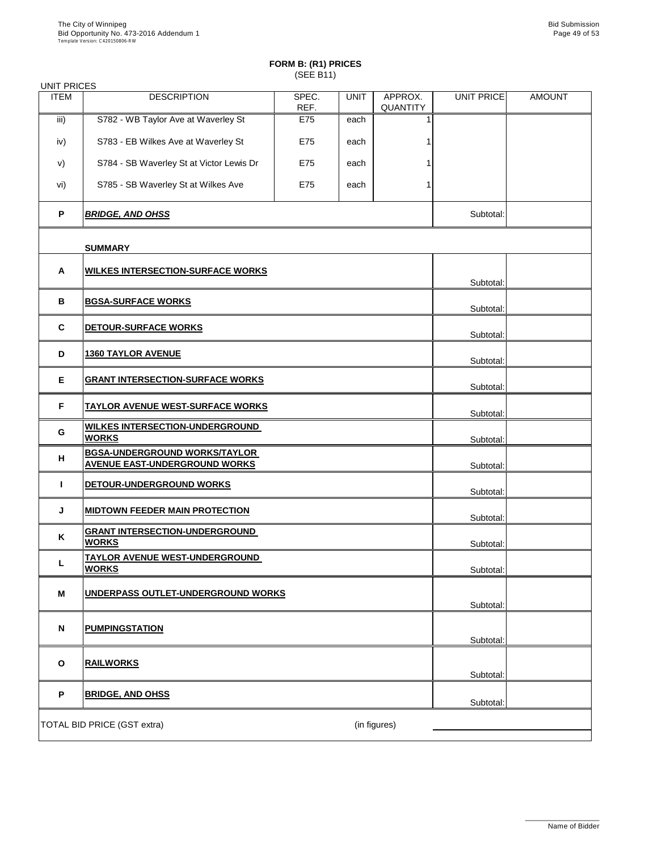| <b>UNIT PRICES</b> |                                                                              |               |             |                            |                   |               |
|--------------------|------------------------------------------------------------------------------|---------------|-------------|----------------------------|-------------------|---------------|
| <b>ITEM</b>        | <b>DESCRIPTION</b>                                                           | SPEC.<br>REF. | <b>UNIT</b> | APPROX.<br><b>QUANTITY</b> | <b>UNIT PRICE</b> | <b>AMOUNT</b> |
| iii)               | S782 - WB Taylor Ave at Waverley St                                          | E75           | each        |                            |                   |               |
| iv)                | S783 - EB Wilkes Ave at Waverley St                                          | E75           | each        |                            |                   |               |
| V)                 | S784 - SB Waverley St at Victor Lewis Dr                                     | E75           | each        |                            |                   |               |
| vi)                | S785 - SB Waverley St at Wilkes Ave                                          | E75           | each        |                            |                   |               |
| P                  | <b>BRIDGE, AND OHSS</b>                                                      |               |             |                            | Subtotal:         |               |
|                    | <b>SUMMARY</b>                                                               |               |             |                            |                   |               |
| $\mathsf{A}$       | <b>WILKES INTERSECTION-SURFACE WORKS</b>                                     |               |             |                            |                   |               |
|                    |                                                                              |               |             |                            | Subtotal:         |               |
| B                  | <b>BGSA-SURFACE WORKS</b>                                                    |               |             |                            | Subtotal:         |               |
| $\mathbf C$        | DETOUR-SURFACE WORKS                                                         |               |             |                            | Subtotal:         |               |
| D                  | <b>1360 TAYLOR AVENUE</b>                                                    |               |             |                            | Subtotal:         |               |
| E                  | <b>GRANT INTERSECTION-SURFACE WORKS</b>                                      |               |             |                            | Subtotal:         |               |
| F                  | <u>TAYLOR AVENUE WEST-SURFACE WORKS</u>                                      |               |             |                            | Subtotal:         |               |
| G                  | <b>WILKES INTERSECTION-UNDERGROUND</b><br><b>WORKS</b>                       |               |             |                            | Subtotal:         |               |
| H                  | <b>BGSA-UNDERGROUND WORKS/TAYLOR</b><br><b>AVENUE EAST-UNDERGROUND WORKS</b> |               |             |                            | Subtotal:         |               |
|                    | DETOUR-UNDERGROUND WORKS                                                     |               |             |                            | Subtotal:         |               |
| J                  | <b>MIDTOWN FEEDER MAIN PROTECTION</b>                                        |               |             |                            | Subtotal:         |               |
| K                  | <b>GRANT INTERSECTION-UNDERGROUND</b><br><b>WORKS</b>                        |               |             |                            | Subtotal:         |               |
| L                  | <u>TAYLOR AVENUE WEST-UNDERGROUND_</u><br><b>WORKS</b>                       |               |             |                            | Subtotal:         |               |
| M                  | UNDERPASS OUTLET-UNDERGROUND WORKS                                           |               |             |                            |                   |               |
|                    |                                                                              |               |             |                            | Subtotal:         |               |
| $\mathbf N$        | <b>PUMPINGSTATION</b>                                                        |               |             |                            | Subtotal:         |               |
|                    |                                                                              |               |             |                            |                   |               |

| O | <b>RAILWORKS</b>                   |              | Subtotal: |  |
|---|------------------------------------|--------------|-----------|--|
| D | <b>BRIDGE, AND OHSS</b>            |              | Subtotal: |  |
|   | <b>TOTAL BID PRICE (GST extra)</b> | (in figures) |           |  |

\_\_\_\_\_\_\_\_\_\_\_\_\_\_\_\_\_\_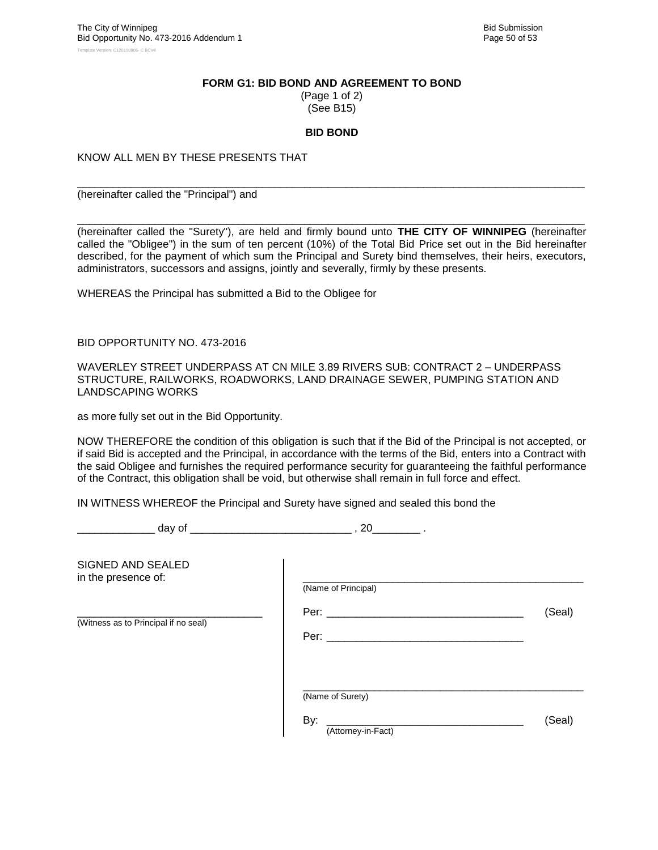#### **FORM G1: BID BOND AND AGREEMENT TO BOND**

(Page 1 of 2) (See B15)

#### **BID BOND**

\_\_\_\_\_\_\_\_\_\_\_\_\_\_\_\_\_\_\_\_\_\_\_\_\_\_\_\_\_\_\_\_\_\_\_\_\_\_\_\_\_\_\_\_\_\_\_\_\_\_\_\_\_\_\_\_\_\_\_\_\_\_\_\_\_\_\_\_\_\_\_\_\_\_\_\_\_\_\_\_\_\_\_\_\_

KNOW ALL MEN BY THESE PRESENTS THAT

(hereinafter called the "Principal") and

\_\_\_\_\_\_\_\_\_\_\_\_\_\_\_\_\_\_\_\_\_\_\_\_\_\_\_\_\_\_\_\_\_\_\_\_\_\_\_\_\_\_\_\_\_\_\_\_\_\_\_\_\_\_\_\_\_\_\_\_\_\_\_\_\_\_\_\_\_\_\_\_\_\_\_\_\_\_\_\_\_\_\_\_\_ (hereinafter called the "Surety"), are held and firmly bound unto **THE CITY OF WINNIPEG** (hereinafter called the "Obligee") in the sum of ten percent (10%) of the Total Bid Price set out in the Bid hereinafter described, for the payment of which sum the Principal and Surety bind themselves, their heirs, executors, administrators, successors and assigns, jointly and severally, firmly by these presents.

WHEREAS the Principal has submitted a Bid to the Obligee for

BID OPPORTUNITY NO. 473-2016

WAVERLEY STREET UNDERPASS AT CN MILE 3.89 RIVERS SUB: CONTRACT 2 – UNDERPASS STRUCTURE, RAILWORKS, ROADWORKS, LAND DRAINAGE SEWER, PUMPING STATION AND LANDSCAPING WORKS

as more fully set out in the Bid Opportunity.

NOW THEREFORE the condition of this obligation is such that if the Bid of the Principal is not accepted, or if said Bid is accepted and the Principal, in accordance with the terms of the Bid, enters into a Contract with the said Obligee and furnishes the required performance security for guaranteeing the faithful performance of the Contract, this obligation shall be void, but otherwise shall remain in full force and effect.

IN WITNESS WHEREOF the Principal and Surety have signed and sealed this bond the

\_\_\_\_\_\_\_\_\_\_\_\_\_ day of \_\_\_\_\_\_\_\_\_\_\_\_\_\_\_\_\_\_\_\_\_\_\_\_\_\_\_ , 20\_\_\_\_\_\_\_\_ .

| SIGNED AND SEALED<br>in the presence of: | (Name of Principal)                           |        |
|------------------------------------------|-----------------------------------------------|--------|
| (Witness as to Principal if no seal)     | Per: _________<br>Per: $\_\_$                 | (Seal) |
|                                          | (Name of Surety)<br>By:<br>(Attorney-in-Fact) | (Seal) |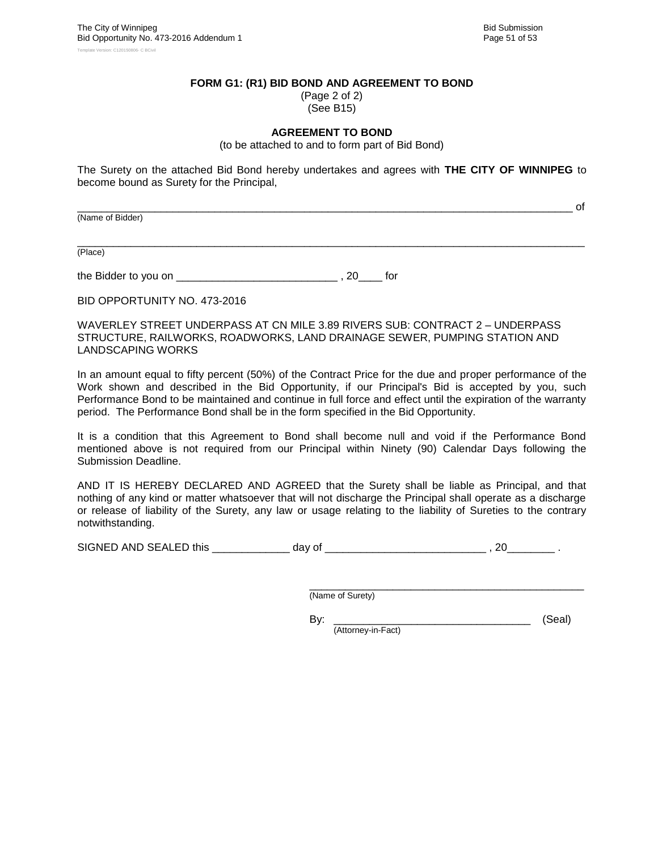#### **FORM G1: (R1) BID BOND AND AGREEMENT TO BOND**

(Page 2 of 2) (See B15)

#### **AGREEMENT TO BOND**

(to be attached to and to form part of Bid Bond)

The Surety on the attached Bid Bond hereby undertakes and agrees with **THE CITY OF WINNIPEG** to become bound as Surety for the Principal,

(Name of Bidder)

\_\_\_\_\_\_\_\_\_\_\_\_\_\_\_\_\_\_\_\_\_\_\_\_\_\_\_\_\_\_\_\_\_\_\_\_\_\_\_\_\_\_\_\_\_\_\_\_\_\_\_\_\_\_\_\_\_\_\_\_\_\_\_\_\_\_\_\_\_\_\_\_\_\_\_\_\_\_\_\_\_\_\_\_\_ (Place)

the Bidder to you on \_\_\_\_\_\_\_\_\_\_\_\_\_\_\_\_\_\_\_\_\_\_\_\_\_\_\_ , 20\_\_\_\_ for

BID OPPORTUNITY NO. 473-2016

WAVERLEY STREET UNDERPASS AT CN MILE 3.89 RIVERS SUB: CONTRACT 2 – UNDERPASS STRUCTURE, RAILWORKS, ROADWORKS, LAND DRAINAGE SEWER, PUMPING STATION AND LANDSCAPING WORKS

In an amount equal to fifty percent (50%) of the Contract Price for the due and proper performance of the Work shown and described in the Bid Opportunity, if our Principal's Bid is accepted by you, such Performance Bond to be maintained and continue in full force and effect until the expiration of the warranty period. The Performance Bond shall be in the form specified in the Bid Opportunity.

It is a condition that this Agreement to Bond shall become null and void if the Performance Bond mentioned above is not required from our Principal within Ninety (90) Calendar Days following the Submission Deadline.

AND IT IS HEREBY DECLARED AND AGREED that the Surety shall be liable as Principal, and that nothing of any kind or matter whatsoever that will not discharge the Principal shall operate as a discharge or release of liability of the Surety, any law or usage relating to the liability of Sureties to the contrary notwithstanding.

SIGNED AND SEALED this \_\_\_\_\_\_\_\_\_\_\_\_\_ day of \_\_\_\_\_\_\_\_\_\_\_\_\_\_\_\_\_\_\_\_\_\_\_\_\_\_\_ , 20\_\_\_\_\_\_\_\_ .

\_\_\_\_\_\_\_\_\_\_\_\_\_\_\_\_\_\_\_\_\_\_\_\_\_\_\_\_\_\_\_\_\_\_\_\_\_\_\_\_\_\_\_\_\_\_ (Name of Surety)

By: \_\_\_\_\_\_\_\_\_\_\_\_\_\_\_\_\_\_\_\_\_\_\_\_\_\_\_\_\_\_\_\_\_ (Seal) (Attorney-in-Fact)

\_\_\_\_\_\_\_\_\_\_\_\_\_\_\_\_\_\_\_\_\_\_\_\_\_\_\_\_\_\_\_\_\_\_\_\_\_\_\_\_\_\_\_\_\_\_\_\_\_\_\_\_\_\_\_\_\_\_\_\_\_\_\_\_\_\_\_\_\_\_\_\_\_\_\_\_\_\_\_\_\_\_\_ of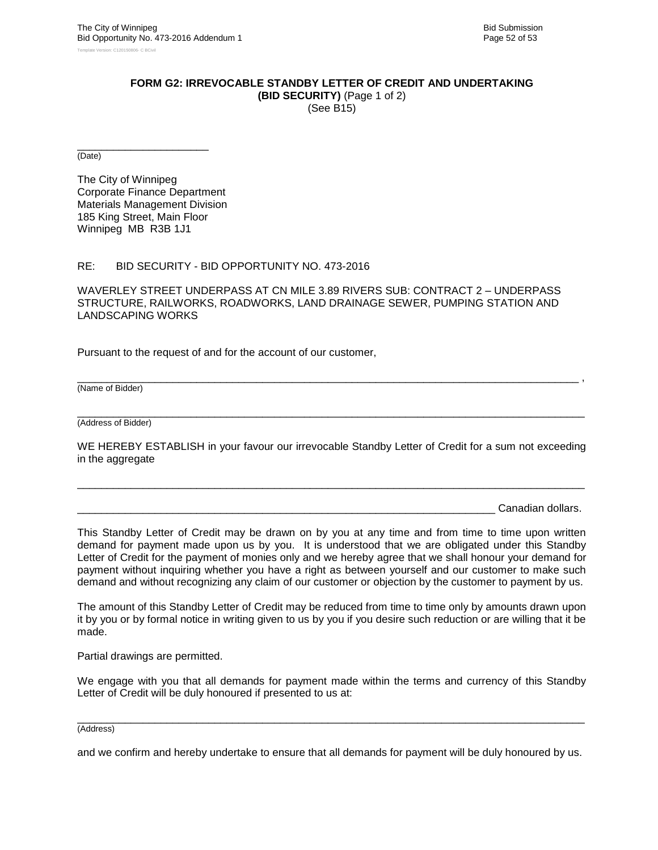#### **FORM G2: IRREVOCABLE STANDBY LETTER OF CREDIT AND UNDERTAKING**

**(BID SECURITY)** (Page 1 of 2) (See B15)

\_\_\_\_\_\_\_\_\_\_\_\_\_\_\_\_\_\_\_\_\_\_ (Date)

The City of Winnipeg Corporate Finance Department Materials Management Division 185 King Street, Main Floor Winnipeg MB R3B 1J1

#### RE: BID SECURITY - BID OPPORTUNITY NO. 473-2016

WAVERLEY STREET UNDERPASS AT CN MILE 3.89 RIVERS SUB: CONTRACT 2 – UNDERPASS STRUCTURE, RAILWORKS, ROADWORKS, LAND DRAINAGE SEWER, PUMPING STATION AND LANDSCAPING WORKS

Pursuant to the request of and for the account of our customer,

(Name of Bidder)

\_\_\_\_\_\_\_\_\_\_\_\_\_\_\_\_\_\_\_\_\_\_\_\_\_\_\_\_\_\_\_\_\_\_\_\_\_\_\_\_\_\_\_\_\_\_\_\_\_\_\_\_\_\_\_\_\_\_\_\_\_\_\_\_\_\_\_\_\_\_\_\_\_\_\_\_\_\_\_\_\_\_\_\_\_ (Address of Bidder)

WE HEREBY ESTABLISH in your favour our irrevocable Standby Letter of Credit for a sum not exceeding in the aggregate

\_\_\_\_\_\_\_\_\_\_\_\_\_\_\_\_\_\_\_\_\_\_\_\_\_\_\_\_\_\_\_\_\_\_\_\_\_\_\_\_\_\_\_\_\_\_\_\_\_\_\_\_\_\_\_\_\_\_\_\_\_\_\_\_\_\_\_\_\_\_\_\_\_\_\_\_\_\_\_\_\_\_\_\_\_

\_\_\_\_\_\_\_\_\_\_\_\_\_\_\_\_\_\_\_\_\_\_\_\_\_\_\_\_\_\_\_\_\_\_\_\_\_\_\_\_\_\_\_\_\_\_\_\_\_\_\_\_\_\_\_\_\_\_\_\_\_\_\_\_\_\_\_\_\_\_\_\_\_\_\_\_\_\_\_\_\_\_\_\_ ,

Canadian dollars.

This Standby Letter of Credit may be drawn on by you at any time and from time to time upon written demand for payment made upon us by you. It is understood that we are obligated under this Standby Letter of Credit for the payment of monies only and we hereby agree that we shall honour your demand for payment without inquiring whether you have a right as between yourself and our customer to make such demand and without recognizing any claim of our customer or objection by the customer to payment by us.

The amount of this Standby Letter of Credit may be reduced from time to time only by amounts drawn upon it by you or by formal notice in writing given to us by you if you desire such reduction or are willing that it be made.

Partial drawings are permitted.

We engage with you that all demands for payment made within the terms and currency of this Standby Letter of Credit will be duly honoured if presented to us at:

#### \_\_\_\_\_\_\_\_\_\_\_\_\_\_\_\_\_\_\_\_\_\_\_\_\_\_\_\_\_\_\_\_\_\_\_\_\_\_\_\_\_\_\_\_\_\_\_\_\_\_\_\_\_\_\_\_\_\_\_\_\_\_\_\_\_\_\_\_\_\_\_\_\_\_\_\_\_\_\_\_\_\_\_\_\_ (Address)

and we confirm and hereby undertake to ensure that all demands for payment will be duly honoured by us.